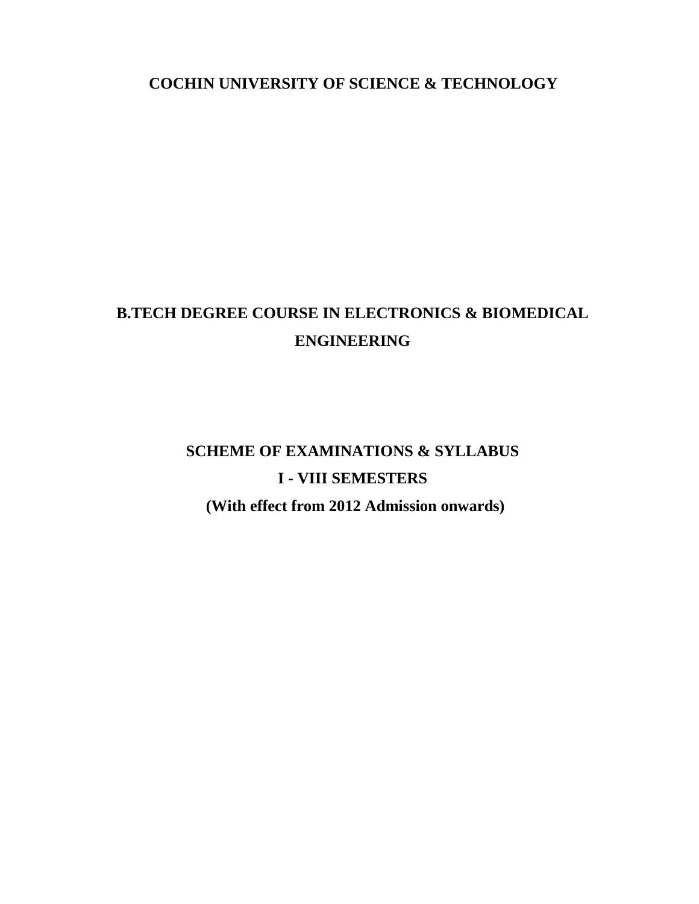**COCHIN UNIVERSITY OF SCIENCE & TECHNOLOGY**

## **B.TECH DEGREE COURSE IN ELECTRONICS & BIOMEDICAL ENGINEERING**

# **SCHEME OF EXAMINATIONS & SYLLABUS I - VIII SEMESTERS**

**(With effect from 2012 Admission onwards)**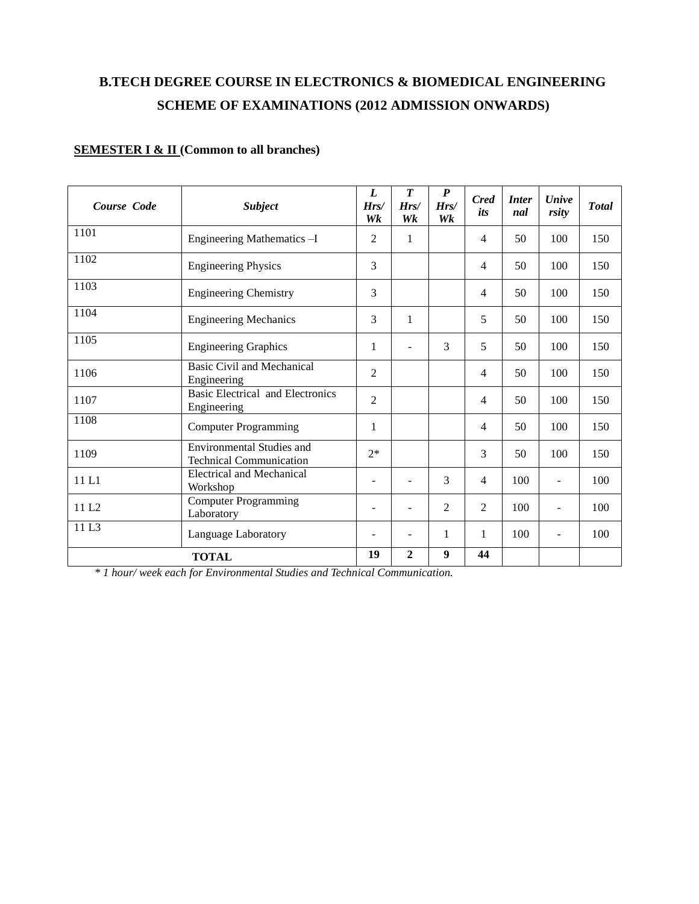## **B.TECH DEGREE COURSE IN ELECTRONICS & BIOMEDICAL ENGINEERING SCHEME OF EXAMINATIONS (2012 ADMISSION ONWARDS)**

### **SEMESTER I & II (Common to all branches)**

| Course Code       | <b>Subject</b>                                                     | L<br>Hrs/<br>Wk              | $\boldsymbol{T}$<br>Hrs/<br>Wk | P<br>Hrs/<br>Wk | <b>Cred</b><br>its | <i>Inter</i><br>nal | <b>Unive</b><br>rsity    | <b>Total</b> |
|-------------------|--------------------------------------------------------------------|------------------------------|--------------------------------|-----------------|--------------------|---------------------|--------------------------|--------------|
| 1101              | Engineering Mathematics -I                                         | $\overline{2}$               | 1                              |                 | 4                  | 50                  | 100                      | 150          |
| 1102              | <b>Engineering Physics</b>                                         | 3                            |                                |                 | 4                  | 50                  | 100                      | 150          |
| 1103              | <b>Engineering Chemistry</b>                                       | 3                            |                                |                 | 4                  | 50                  | 100                      | 150          |
| 1104              | <b>Engineering Mechanics</b>                                       | 3                            | 1                              |                 | 5                  | 50                  | 100                      | 150          |
| 1105              | <b>Engineering Graphics</b>                                        | 1                            |                                | 3               | 5                  | 50                  | 100                      | 150          |
| 1106              | Basic Civil and Mechanical<br>Engineering                          | $\overline{2}$               |                                |                 | 4                  | 50                  | 100                      | 150          |
| 1107              | <b>Basic Electrical and Electronics</b><br>Engineering             | $\overline{2}$               |                                |                 | 4                  | 50                  | 100                      | 150          |
| 1108              | <b>Computer Programming</b>                                        | 1                            |                                |                 | 4                  | 50                  | 100                      | 150          |
| 1109              | <b>Environmental Studies and</b><br><b>Technical Communication</b> | $2*$                         |                                |                 | 3                  | 50                  | 100                      | 150          |
| 11 L1             | <b>Electrical and Mechanical</b><br>Workshop                       | $\overline{\phantom{0}}$     | $\overline{\phantom{a}}$       | 3               | $\overline{4}$     | 100                 | $\overline{\phantom{a}}$ | 100          |
| 11 L <sub>2</sub> | <b>Computer Programming</b><br>Laboratory                          | $\qquad \qquad \blacksquare$ | $\overline{\phantom{a}}$       | 2               | 2                  | 100                 | $\overline{\phantom{a}}$ | 100          |
| 11L3              | Language Laboratory                                                |                              | $\overline{\phantom{a}}$       | 1               | 1                  | 100                 | $\blacksquare$           | 100          |
|                   | <b>TOTAL</b>                                                       | 19                           | $\mathbf{2}$                   | 9               | 44                 |                     |                          |              |

*\* 1 hour/ week each for Environmental Studies and Technical Communication.*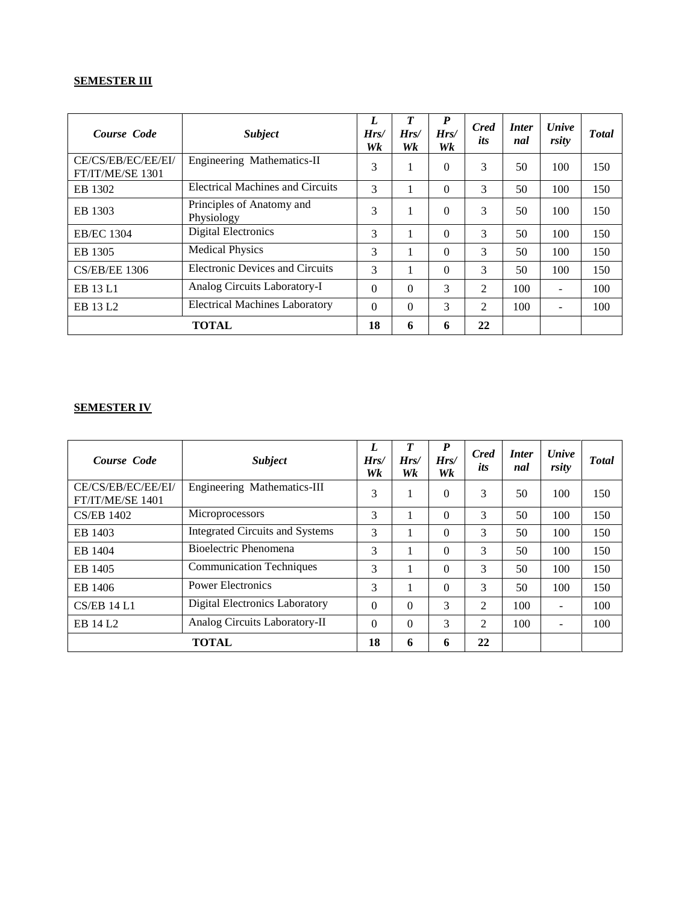## **SEMESTER III**

| Course Code                            | <b>Subject</b>                          | L<br>Hrs/<br>Wk | T<br>Hrs/<br>Wk | $\boldsymbol{P}$<br>Hrs/<br>Wk | <b>Cred</b><br>its | <i>Inter</i><br>nal | <b><i>Unive</i></b><br>rsity | <b>T</b> otal |
|----------------------------------------|-----------------------------------------|-----------------|-----------------|--------------------------------|--------------------|---------------------|------------------------------|---------------|
| CE/CS/EB/EC/EE/EI/<br>FT/IT/ME/SE 1301 | Engineering Mathematics-II              | 3               |                 | 0                              | 3                  | 50                  | 100                          | 150           |
| EB 1302                                | <b>Electrical Machines and Circuits</b> | 3               |                 | 0                              | 3                  | 50                  | 100                          | 150           |
| EB 1303                                | Principles of Anatomy and<br>Physiology | 3               |                 | $\Omega$                       | 3                  | 50                  | 100                          | 150           |
| <b>EB/EC 1304</b>                      | <b>Digital Electronics</b>              | 3               |                 | 0                              | 3                  | 50                  | 100                          | 150           |
| EB 1305                                | <b>Medical Physics</b>                  | 3               |                 | 0                              | 3                  | 50                  | 100                          | 150           |
| <b>CS/EB/EE 1306</b>                   | <b>Electronic Devices and Circuits</b>  | 3               |                 | 0                              | 3                  | 50                  | 100                          | 150           |
| EB 13 L1                               | Analog Circuits Laboratory-I            | $\Omega$        | $\Omega$        | 3                              | 2                  | 100                 | $\overline{\phantom{a}}$     | 100           |
| EB 13 L <sub>2</sub>                   | <b>Electrical Machines Laboratory</b>   | $\Omega$        | $\Omega$        | 3                              | 2                  | 100                 | $\overline{\phantom{a}}$     | 100           |
| <b>TOTAL</b>                           |                                         | 18              | 6               | 6                              | 22                 |                     |                              |               |

#### **SEMESTER IV**

| Course Code                            | <b>Subject</b>                         | L<br>Hrs/<br>Wk | T<br>Hrs/<br>Wk | P<br>Hrs/<br>Wk | <b>Cred</b><br>its | <i>Inter</i><br>nal | <b><i>Unive</i></b><br>rsity | <b>T</b> otal |
|----------------------------------------|----------------------------------------|-----------------|-----------------|-----------------|--------------------|---------------------|------------------------------|---------------|
| CE/CS/EB/EC/EE/EI/<br>FT/IT/ME/SE 1401 | Engineering Mathematics-III            | 3               |                 | $\Omega$        | 3                  | 50                  | 100                          | 150           |
| <b>CS/EB 1402</b>                      | Microprocessors                        | 3               |                 | $\Omega$        | 3                  | 50                  | 100                          | 150           |
| EB 1403                                | <b>Integrated Circuits and Systems</b> | 3               |                 | $\Omega$        | 3                  | 50                  | 100                          | 150           |
| EB 1404                                | Bioelectric Phenomena                  | 3               |                 | $\Omega$        | 3                  | 50                  | 100                          | 150           |
| EB 1405                                | <b>Communication Techniques</b>        | 3               |                 | $\Omega$        | 3                  | 50                  | 100                          | 150           |
| EB 1406                                | <b>Power Electronics</b>               | 3               |                 | $\Omega$        | 3                  | 50                  | 100                          | 150           |
| <b>CS/EB 14 L1</b>                     | Digital Electronics Laboratory         | $\Omega$        | $\theta$        | 3               | $\mathfrak{D}$     | 100                 | $\overline{\phantom{a}}$     | 100           |
| EB 14 L <sub>2</sub>                   | Analog Circuits Laboratory-II          | $\Omega$        | $\theta$        | 3               | 2                  | 100                 | $\overline{\phantom{a}}$     | 100           |
| <b>TOTAL</b>                           |                                        | 18              | 6               | 6               | 22                 |                     |                              |               |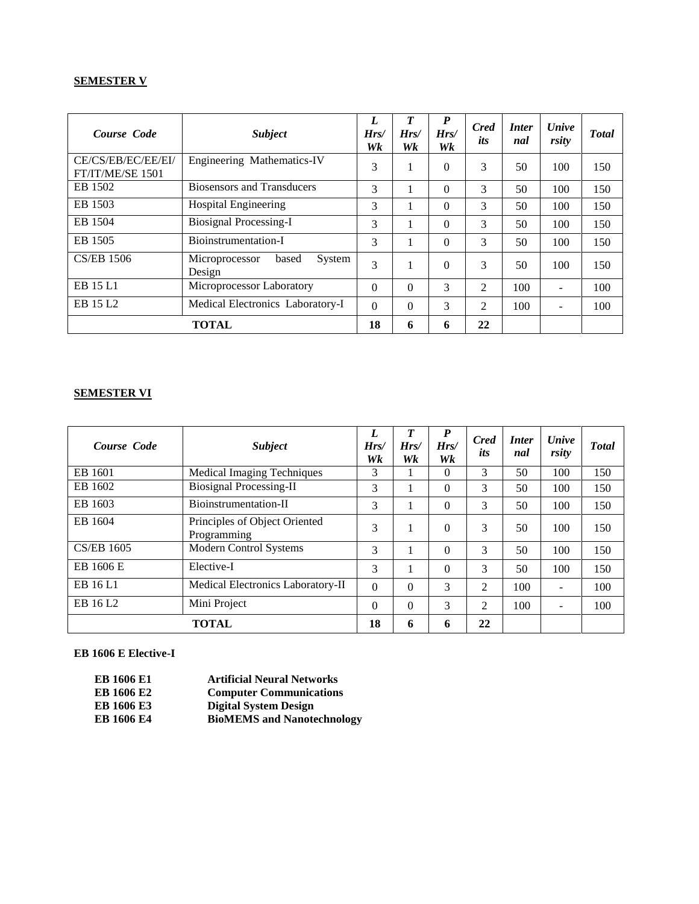#### **SEMESTER V**

| Course Code                            | <b>Subject</b>                              | L<br>Hrs/<br>Wk | Hrs/<br>Wk | $\boldsymbol{P}$<br>Hrs/<br>Wk | <b>Cred</b><br>its | <i>Inter</i><br>nal | <b><i>Unive</i></b><br>rsity | <b>T</b> otal |
|----------------------------------------|---------------------------------------------|-----------------|------------|--------------------------------|--------------------|---------------------|------------------------------|---------------|
| CE/CS/EB/EC/EE/EI/<br>FT/IT/ME/SE 1501 | Engineering Mathematics-IV                  | 3               |            | $\Omega$                       | 3                  | 50                  | 100                          | 150           |
| EB 1502                                | <b>Biosensors and Transducers</b>           | 3               |            | $\Omega$                       | 3                  | 50                  | 100                          | 150           |
| EB 1503                                | <b>Hospital Engineering</b>                 | 3               |            | $\Omega$                       | 3                  | 50                  | 100                          | 150           |
| EB 1504                                | <b>Biosignal Processing-I</b>               | 3               |            | $\Omega$                       | 3                  | 50                  | 100                          | 150           |
| EB 1505                                | Bioinstrumentation-I                        | 3               |            | $\Omega$                       | 3                  | 50                  | 100                          | 150           |
| <b>CS/EB 1506</b>                      | System<br>Microprocessor<br>based<br>Design | $\mathcal{R}$   |            | $\Omega$                       | 3                  | 50                  | 100                          | 150           |
| EB 15 L1                               | Microprocessor Laboratory                   | $\Omega$        | $\Omega$   | 3                              | 2                  | 100                 | $\overline{\phantom{a}}$     | 100           |
| EB 15 L <sub>2</sub>                   | Medical Electronics Laboratory-I            | $\Omega$        | $\Omega$   | 3                              | 2                  | 100                 |                              | 100           |
|                                        | <b>TOTAL</b>                                | 18              | 6          | 6                              | 22                 |                     |                              |               |

#### **SEMESTER VI**

| Course Code          | <b>Subject</b>                               | L<br>Hrs/<br>Wk | $\boldsymbol{T}$<br>Hrs/<br>Wk | $\boldsymbol{P}$<br>Hrs/<br>Wk | <b>Cred</b><br>its | <i>Inter</i><br>nal | <b><i>Unive</i></b><br>rsity | <b>T</b> otal |
|----------------------|----------------------------------------------|-----------------|--------------------------------|--------------------------------|--------------------|---------------------|------------------------------|---------------|
| EB 1601              | <b>Medical Imaging Techniques</b>            | 3               |                                | $\Omega$                       | 3                  | 50                  | 100                          | 150           |
| EB 1602              | <b>Biosignal Processing-II</b>               | 3               |                                | $\Omega$                       | 3                  | 50                  | 100                          | 150           |
| EB 1603              | Bioinstrumentation-II                        | 3               |                                | $\Omega$                       | 3                  | 50                  | 100                          | 150           |
| EB 1604              | Principles of Object Oriented<br>Programming | 3               |                                | $\Omega$                       | 3                  | 50                  | 100                          | 150           |
| <b>CS/EB 1605</b>    | Modern Control Systems                       | 3               |                                | $\Omega$                       | 3                  | 50                  | 100                          | 150           |
| EB 1606 E            | Elective-I                                   | 3               |                                | $\Omega$                       | 3                  | 50                  | 100                          | 150           |
| EB 16 L1             | Medical Electronics Laboratory-II            | $\Omega$        | $\Omega$                       | $\mathcal{R}$                  | 2                  | 100                 | -                            | 100           |
| EB 16 L <sub>2</sub> | Mini Project                                 | $\theta$        | $\theta$                       | 3                              | 2                  | 100                 | $\overline{\phantom{0}}$     | 100           |
| <b>TOTAL</b>         |                                              | 18              | 6                              | 6                              | 22                 |                     |                              |               |

#### **EB 1606 E Elective-I**

| <b>EB 1606 E1</b> | <b>Artificial Neural Networks</b> |
|-------------------|-----------------------------------|
| <b>EB 1606 E2</b> | <b>Computer Communications</b>    |
| <b>EB 1606 E3</b> | <b>Digital System Design</b>      |
| ED 1707 E4        | <b>DEAIRMO</b> UN                 |

**EB 1606 E4 BioMEMS and Nanotechnology**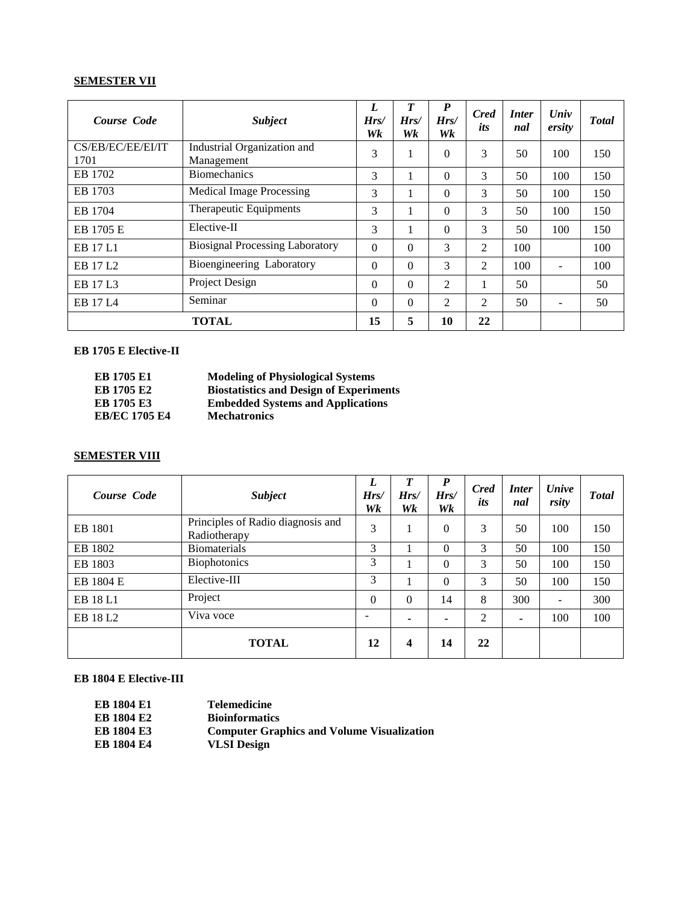#### **SEMESTER VII**

| Course Code               | <b>Subject</b>                            | L<br>Hrs/<br>Wk | T<br>Hrs/<br>Wk | $\boldsymbol{P}$<br>Hrs/<br>Wk | <b>Cred</b><br>its | <i>Inter</i><br>nal | Univ<br>ersity | <b>Total</b> |
|---------------------------|-------------------------------------------|-----------------|-----------------|--------------------------------|--------------------|---------------------|----------------|--------------|
| CS/EB/EC/EE/EI/IT<br>1701 | Industrial Organization and<br>Management | 3               |                 | $\Omega$                       | 3                  | 50                  | 100            | 150          |
| EB 1702                   | <b>Biomechanics</b>                       | 3               | 1               | $\Omega$                       | 3                  | 50                  | 100            | 150          |
| EB 1703                   | <b>Medical Image Processing</b>           | 3               |                 | $\Omega$                       | 3                  | 50                  | 100            | 150          |
| EB 1704                   | Therapeutic Equipments                    | 3               | 1               | $\Omega$                       | 3                  | 50                  | 100            | 150          |
| EB 1705 E                 | Elective-II                               | 3               | 1               | $\Omega$                       | 3                  | 50                  | 100            | 150          |
| EB 17 L1                  | <b>Biosignal Processing Laboratory</b>    | $\theta$        | $\Omega$        | $\mathcal{F}$                  | 2                  | 100                 |                | 100          |
| EB 17 L <sub>2</sub>      | Bioengineering Laboratory                 | $\theta$        | $\Omega$        | 3                              | 2                  | 100                 |                | 100          |
| EB 17 L3                  | Project Design                            | $\theta$        | $\Omega$        | $\mathfrak{D}$                 |                    | 50                  |                | 50           |
| EB 17 L <sub>4</sub>      | Seminar                                   | $\Omega$        | $\Omega$        | 2                              | 2                  | 50                  |                | 50           |
|                           | <b>TOTAL</b>                              | 15              | 5               | 10                             | 22                 |                     |                |              |

#### **EB 1705 E Elective-II**

| EB 1705 E1           | <b>Modeling of Physiological Systems</b>       |
|----------------------|------------------------------------------------|
| EB 1705 E2           | <b>Biostatistics and Design of Experiments</b> |
| <b>EB 1705 E3</b>    | <b>Embedded Systems and Applications</b>       |
| <b>EB/EC 1705 E4</b> | <b>Mechatronics</b>                            |

#### **SEMESTER VIII**

| Course Code          | <b>Subject</b>                                    | L<br>Hrs/<br>Wk | $\boldsymbol{T}$<br>Hrs/<br>Wk | $\boldsymbol{P}$<br>Hrs/<br>Wk | <b>Cred</b><br>its | <i>Inter</i><br>nal | <b><i>Unive</i></b><br>rsity | <b>T</b> otal |
|----------------------|---------------------------------------------------|-----------------|--------------------------------|--------------------------------|--------------------|---------------------|------------------------------|---------------|
| EB 1801              | Principles of Radio diagnosis and<br>Radiotherapy | 3               |                                | $\Omega$                       | 3                  | 50                  | 100                          | 150           |
| EB 1802              | <b>Biomaterials</b>                               | 3               |                                | $\Omega$                       | 3                  | 50                  | 100                          | 150           |
| EB 1803              | <b>Biophotonics</b>                               | 3               |                                | $\Omega$                       | 3                  | 50                  | 100                          | 150           |
| EB 1804 E            | Elective-III                                      | 3               |                                | $\Omega$                       | 3                  | 50                  | 100                          | 150           |
| EB 18 L1             | Project                                           | $\theta$        | $\Omega$                       | 14                             | 8                  | 300                 | $\overline{\phantom{a}}$     | 300           |
| EB 18 L <sub>2</sub> | Viva voce                                         |                 |                                | ۰                              | 2                  | ۰                   | 100                          | 100           |
|                      | <b>TOTAL</b>                                      | 12              | 4                              | 14                             | 22                 |                     |                              |               |

#### **EB 1804 E Elective-III**

| <b>EB 1804 E1</b> | <b>Telemedicine</b>                               |
|-------------------|---------------------------------------------------|
| <b>EB 1804 E2</b> | <b>Bioinformatics</b>                             |
| <b>EB 1804 E3</b> | <b>Computer Graphics and Volume Visualization</b> |
| <b>EB 1804 E4</b> | <b>VLSI</b> Design                                |
|                   |                                                   |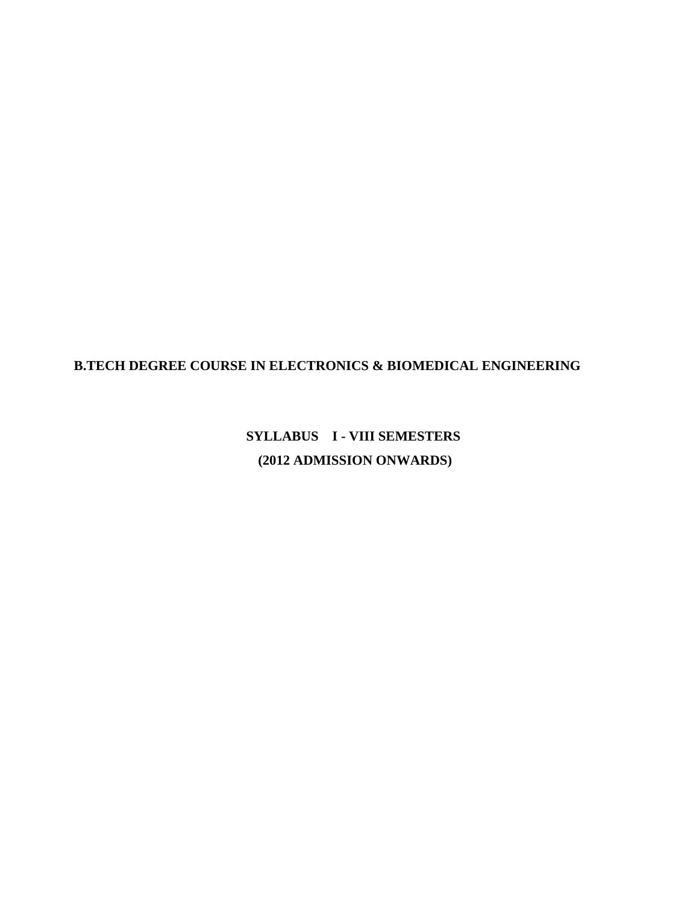### **B.TECH DEGREE COURSE IN ELECTRONICS & BIOMEDICAL ENGINEERING**

**SYLLABUS I - VIII SEMESTERS (2012 ADMISSION ONWARDS)**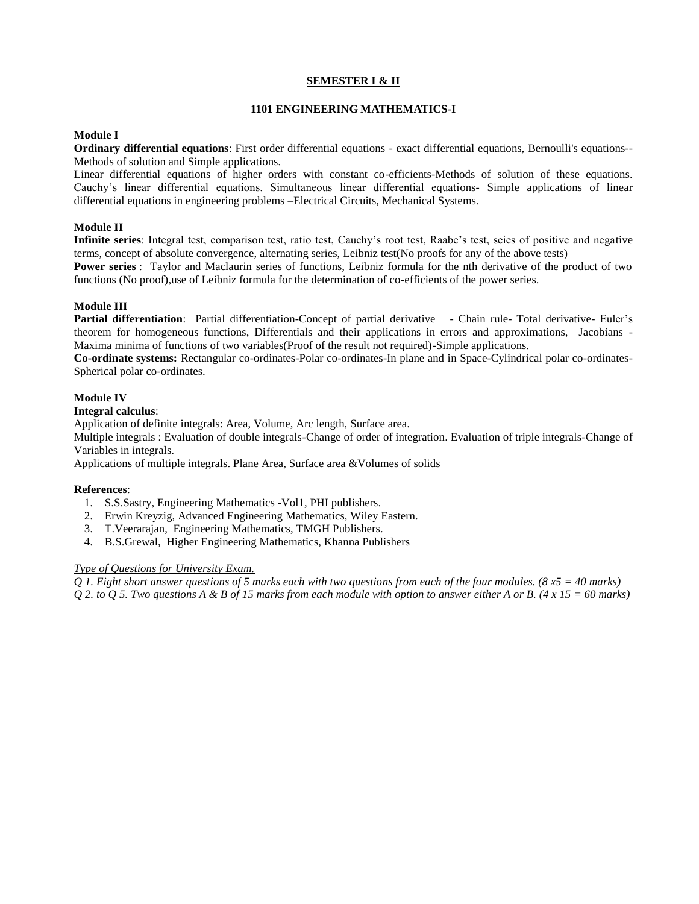#### **SEMESTER I & II**

#### **1101 ENGINEERING MATHEMATICS-I**

#### **Module I**

**Ordinary differential equations**: First order differential equations - exact differential equations, Bernoulli's equations-- Methods of solution and Simple applications.

Linear differential equations of higher orders with constant co-efficients-Methods of solution of these equations. Cauchy's linear differential equations. Simultaneous linear differential equations- Simple applications of linear differential equations in engineering problems –Electrical Circuits, Mechanical Systems.

#### **Module II**

**Infinite series**: Integral test, comparison test, ratio test, Cauchy's root test, Raabe's test, seies of positive and negative terms, concept of absolute convergence, alternating series, Leibniz test(No proofs for any of the above tests)

**Power series** : Taylor and Maclaurin series of functions, Leibniz formula for the nth derivative of the product of two functions (No proof),use of Leibniz formula for the determination of co-efficients of the power series.

#### **Module III**

Partial differentiation: Partial differentiation-Concept of partial derivative - Chain rule- Total derivative- Euler's theorem for homogeneous functions, Differentials and their applications in errors and approximations, Jacobians - Maxima minima of functions of two variables(Proof of the result not required)-Simple applications.

**Co-ordinate systems:** Rectangular co-ordinates-Polar co-ordinates-In plane and in Space-Cylindrical polar co-ordinates-Spherical polar co-ordinates.

#### **Module IV**

#### **Integral calculus**:

Application of definite integrals: Area, Volume, Arc length, Surface area.

Multiple integrals : Evaluation of double integrals-Change of order of integration. Evaluation of triple integrals-Change of Variables in integrals.

Applications of multiple integrals. Plane Area, Surface area &Volumes of solids

#### **References**:

- 1. S.S.Sastry, Engineering Mathematics -Vol1, PHI publishers.
- 2. Erwin Kreyzig, Advanced Engineering Mathematics, Wiley Eastern.
- 3. T.Veerarajan, Engineering Mathematics, TMGH Publishers.
- 4. B.S.Grewal, Higher Engineering Mathematics, Khanna Publishers

#### *Type of Questions for University Exam.*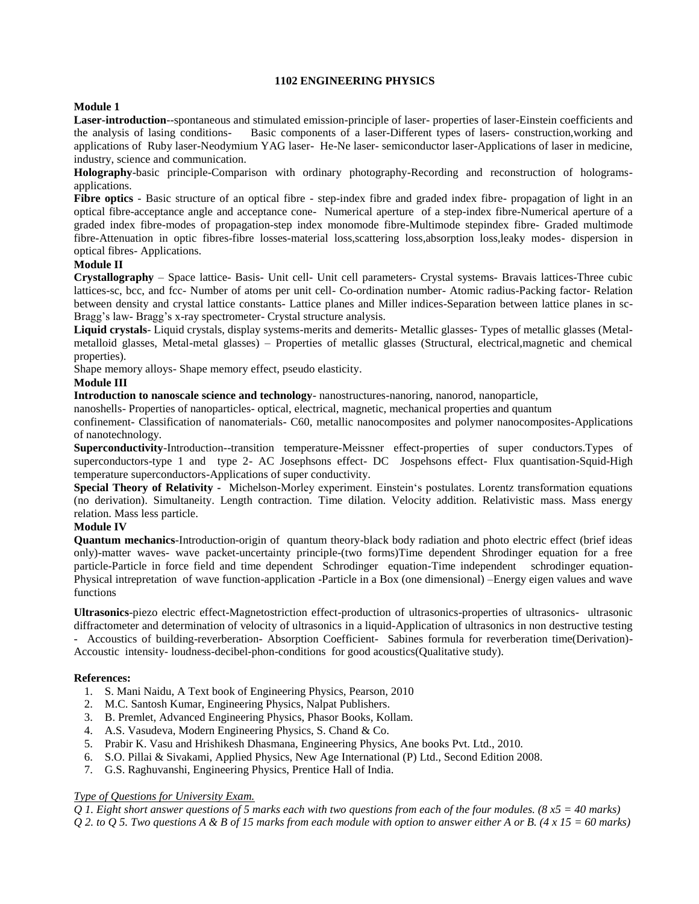#### **1102 ENGINEERING PHYSICS**

#### **Module 1**

**Laser-introduction**--spontaneous and stimulated emission-principle of laser- properties of laser-Einstein coefficients and the analysis of lasing conditions- Basic components of a laser-Different types of lasers- construction,working and applications of Ruby laser-Neodymium YAG laser- He-Ne laser- semiconductor laser-Applications of laser in medicine, industry, science and communication.

**Holography**-basic principle-Comparison with ordinary photography-Recording and reconstruction of hologramsapplications.

**Fibre optics** - Basic structure of an optical fibre - step-index fibre and graded index fibre- propagation of light in an optical fibre-acceptance angle and acceptance cone- Numerical aperture of a step-index fibre-Numerical aperture of a graded index fibre-modes of propagation-step index monomode fibre-Multimode stepindex fibre- Graded multimode fibre-Attenuation in optic fibres-fibre losses-material loss,scattering loss,absorption loss,leaky modes- dispersion in optical fibres- Applications.

#### **Module II**

**Crystallography** – Space lattice- Basis- Unit cell- Unit cell parameters- Crystal systems- Bravais lattices-Three cubic lattices-sc, bcc, and fcc- Number of atoms per unit cell- Co-ordination number- Atomic radius-Packing factor- Relation between density and crystal lattice constants- Lattice planes and Miller indices-Separation between lattice planes in sc-Bragg's law- Bragg's x-ray spectrometer- Crystal structure analysis.

**Liquid crystals**- Liquid crystals, display systems-merits and demerits- Metallic glasses- Types of metallic glasses (Metalmetalloid glasses, Metal-metal glasses) – Properties of metallic glasses (Structural, electrical,magnetic and chemical properties).

Shape memory alloys- Shape memory effect, pseudo elasticity.

#### **Module III**

**Introduction to nanoscale science and technology**- nanostructures-nanoring, nanorod, nanoparticle,

nanoshells- Properties of nanoparticles- optical, electrical, magnetic, mechanical properties and quantum

confinement- Classification of nanomaterials- C60, metallic nanocomposites and polymer nanocomposites-Applications of nanotechnology.

**Superconductivity**-Introduction--transition temperature-Meissner effect-properties of super conductors.Types of superconductors-type 1 and type 2- AC Josephsons effect- DC Jospehsons effect- Flux quantisation-Squid-High temperature superconductors-Applications of super conductivity.

**Special Theory of Relativity -** Michelson-Morley experiment. Einstein's postulates. Lorentz transformation equations (no derivation). Simultaneity. Length contraction. Time dilation. Velocity addition. Relativistic mass. Mass energy relation. Mass less particle.

#### **Module IV**

**Quantum mechanics**-Introduction-origin of quantum theory-black body radiation and photo electric effect (brief ideas only)-matter waves- wave packet-uncertainty principle-(two forms)Time dependent Shrodinger equation for a free particle-Particle in force field and time dependent Schrodinger equation-Time independent schrodinger equation-Physical intrepretation of wave function-application -Particle in a Box (one dimensional) –Energy eigen values and wave functions

**Ultrasonics**-piezo electric effect-Magnetostriction effect-production of ultrasonics-properties of ultrasonics- ultrasonic diffractometer and determination of velocity of ultrasonics in a liquid-Application of ultrasonics in non destructive testing - Accoustics of building-reverberation- Absorption Coefficient- Sabines formula for reverberation time(Derivation)- Accoustic intensity- loudness-decibel-phon-conditions for good acoustics(Qualitative study).

#### **References:**

- 1. S. Mani Naidu, A Text book of Engineering Physics, Pearson, 2010
- 2. M.C. Santosh Kumar, Engineering Physics, Nalpat Publishers.
- 3. B. Premlet, Advanced Engineering Physics, Phasor Books, Kollam.
- 4. A.S. Vasudeva, Modern Engineering Physics, S. Chand & Co.
- 5. Prabir K. Vasu and Hrishikesh Dhasmana, Engineering Physics, Ane books Pvt. Ltd., 2010.
- 6. S.O. Pillai & Sivakami, Applied Physics, New Age International (P) Ltd., Second Edition 2008.
- 7. G.S. Raghuvanshi, Engineering Physics, Prentice Hall of India.

#### *Type of Questions for University Exam.*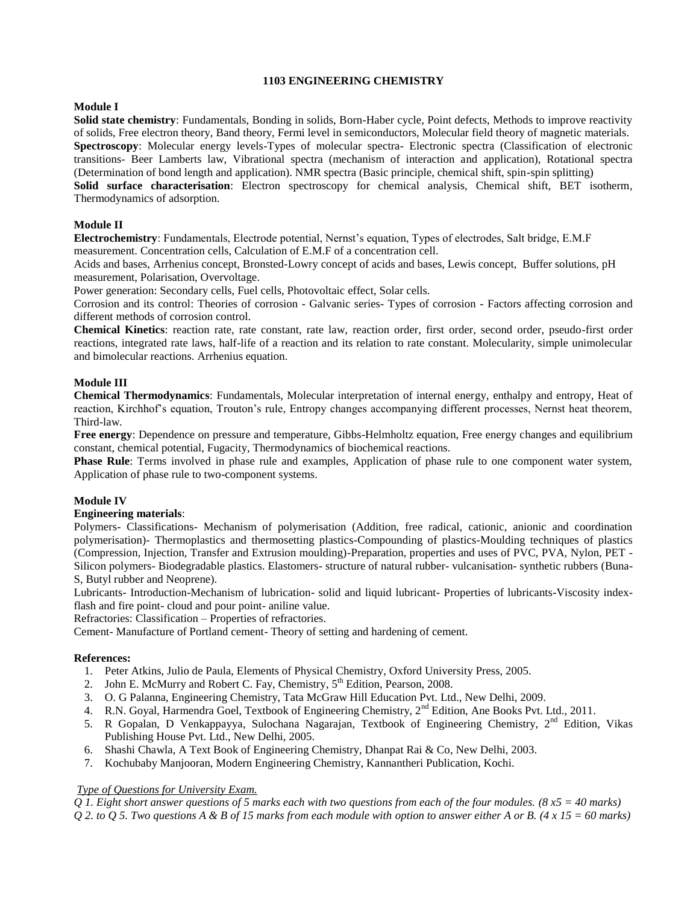#### **1103 ENGINEERING CHEMISTRY**

#### **Module I**

**Solid state chemistry**: Fundamentals, Bonding in solids, Born-Haber cycle, Point defects, Methods to improve reactivity of solids, Free electron theory, Band theory, Fermi level in semiconductors, Molecular field theory of magnetic materials. **Spectroscopy**: Molecular energy levels-Types of molecular spectra- Electronic spectra (Classification of electronic transitions- Beer Lamberts law, Vibrational spectra (mechanism of interaction and application), Rotational spectra (Determination of bond length and application). NMR spectra (Basic principle, chemical shift, spin-spin splitting) **Solid surface characterisation**: Electron spectroscopy for chemical analysis, Chemical shift, BET isotherm, Thermodynamics of adsorption.

#### **Module II**

**Electrochemistry**: Fundamentals, Electrode potential, Nernst's equation, Types of electrodes, Salt bridge, E.M.F measurement. Concentration cells, Calculation of E.M.F of a concentration cell.

Acids and bases, Arrhenius concept, Bronsted-Lowry concept of acids and bases, Lewis concept, Buffer solutions, pH measurement, Polarisation, Overvoltage.

Power generation: Secondary cells, Fuel cells, Photovoltaic effect, Solar cells.

Corrosion and its control: Theories of corrosion - Galvanic series- Types of corrosion - Factors affecting corrosion and different methods of corrosion control.

**Chemical Kinetics**: reaction rate, rate constant, rate law, reaction order, first order, second order, pseudo-first order reactions, integrated rate laws, half-life of a reaction and its relation to rate constant. Molecularity, simple unimolecular and bimolecular reactions. Arrhenius equation.

#### **Module III**

**Chemical Thermodynamics**: Fundamentals, Molecular interpretation of internal energy, enthalpy and entropy, Heat of reaction, Kirchhof's equation, Trouton's rule, Entropy changes accompanying different processes, Nernst heat theorem, Third-law.

**Free energy**: Dependence on pressure and temperature, Gibbs-Helmholtz equation, Free energy changes and equilibrium constant, chemical potential, Fugacity, Thermodynamics of biochemical reactions.

**Phase Rule**: Terms involved in phase rule and examples, Application of phase rule to one component water system, Application of phase rule to two-component systems.

#### **Module IV**

#### **Engineering materials**:

Polymers- Classifications- Mechanism of polymerisation (Addition, free radical, cationic, anionic and coordination polymerisation)- Thermoplastics and thermosetting plastics-Compounding of plastics-Moulding techniques of plastics (Compression, Injection, Transfer and Extrusion moulding)-Preparation, properties and uses of PVC, PVA, Nylon, PET - Silicon polymers- Biodegradable plastics. Elastomers- structure of natural rubber- vulcanisation- synthetic rubbers (Buna-S, Butyl rubber and Neoprene).

Lubricants- Introduction-Mechanism of lubrication- solid and liquid lubricant- Properties of lubricants-Viscosity indexflash and fire point- cloud and pour point- aniline value.

Refractories: Classification – Properties of refractories.

Cement- Manufacture of Portland cement- Theory of setting and hardening of cement.

#### **References:**

- 1. Peter Atkins, Julio de Paula, Elements of Physical Chemistry, Oxford University Press, 2005.
- 2. John E. McMurry and Robert C. Fay, Chemistry,  $5<sup>th</sup>$  Edition, Pearson, 2008.
- 3. O. G Palanna, Engineering Chemistry, Tata McGraw Hill Education Pvt. Ltd., New Delhi, 2009.
- 4. R.N. Goyal, Harmendra Goel, Textbook of Engineering Chemistry, 2<sup>nd</sup> Edition, Ane Books Pvt. Ltd., 2011.
- 5. R Gopalan, D Venkappayya, Sulochana Nagarajan, Textbook of Engineering Chemistry, 2nd Edition, Vikas Publishing House Pvt. Ltd., New Delhi, 2005.
- 6. Shashi Chawla, A Text Book of Engineering Chemistry, Dhanpat Rai & Co, New Delhi, 2003.
- 7. Kochubaby Manjooran, Modern Engineering Chemistry, Kannantheri Publication, Kochi.

#### *Type of Questions for University Exam.*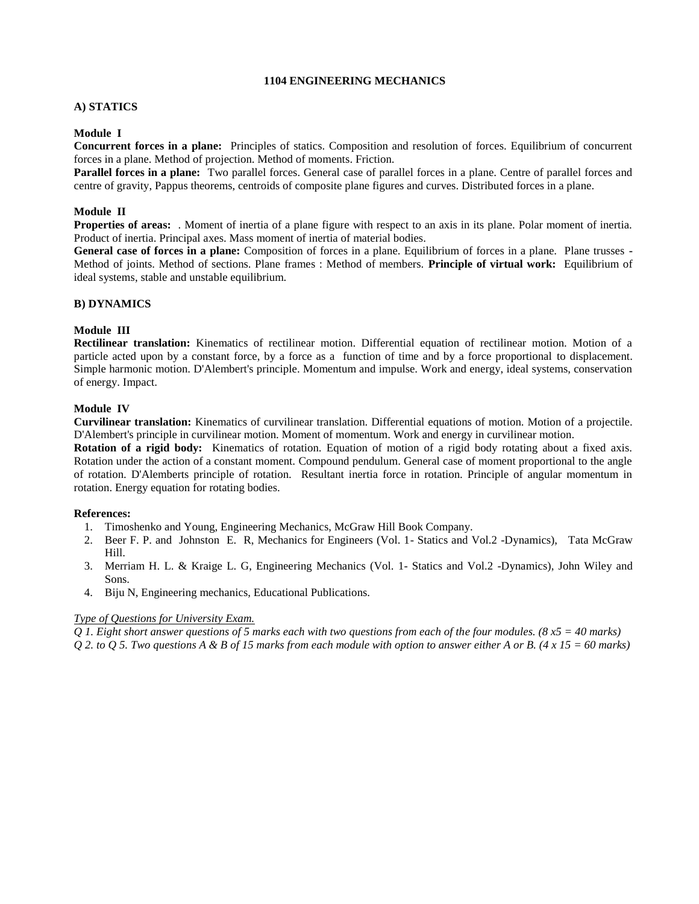#### **1104 ENGINEERING MECHANICS**

#### **A) STATICS**

#### **Module I**

**Concurrent forces in a plane:** Principles of statics. Composition and resolution of forces. Equilibrium of concurrent forces in a plane. Method of projection. Method of moments. Friction.

**Parallel forces in a plane:** Two parallel forces. General case of parallel forces in a plane. Centre of parallel forces and centre of gravity, Pappus theorems, centroids of composite plane figures and curves. Distributed forces in a plane.

#### **Module II**

**Properties of areas:** . Moment of inertia of a plane figure with respect to an axis in its plane. Polar moment of inertia. Product of inertia. Principal axes. Mass moment of inertia of material bodies.

**General case of forces in a plane:** Composition of forces in a plane. Equilibrium of forces in a plane. Plane trusses **-** Method of joints. Method of sections. Plane frames : Method of members. **Principle of virtual work:** Equilibrium of ideal systems, stable and unstable equilibrium.

#### **B) DYNAMICS**

#### **Module III**

**Rectilinear translation:** Kinematics of rectilinear motion. Differential equation of rectilinear motion. Motion of a particle acted upon by a constant force, by a force as a function of time and by a force proportional to displacement. Simple harmonic motion. D'Alembert's principle. Momentum and impulse. Work and energy, ideal systems, conservation of energy. Impact.

#### **Module IV**

**Curvilinear translation:** Kinematics of curvilinear translation. Differential equations of motion. Motion of a projectile. D'Alembert's principle in curvilinear motion. Moment of momentum. Work and energy in curvilinear motion.

**Rotation of a rigid body:** Kinematics of rotation. Equation of motion of a rigid body rotating about a fixed axis. Rotation under the action of a constant moment. Compound pendulum. General case of moment proportional to the angle of rotation. D'Alemberts principle of rotation. Resultant inertia force in rotation. Principle of angular momentum in rotation. Energy equation for rotating bodies.

#### **References:**

- 1. Timoshenko and Young, Engineering Mechanics, McGraw Hill Book Company.
- 2. Beer F. P. and Johnston E. R, Mechanics for Engineers (Vol. 1- Statics and Vol.2 -Dynamics), Tata McGraw Hill.
- 3. Merriam H. L. & Kraige L. G, Engineering Mechanics (Vol. 1- Statics and Vol.2 -Dynamics), John Wiley and Sons.
- 4. Biju N, Engineering mechanics, Educational Publications.

#### *Type of Questions for University Exam.*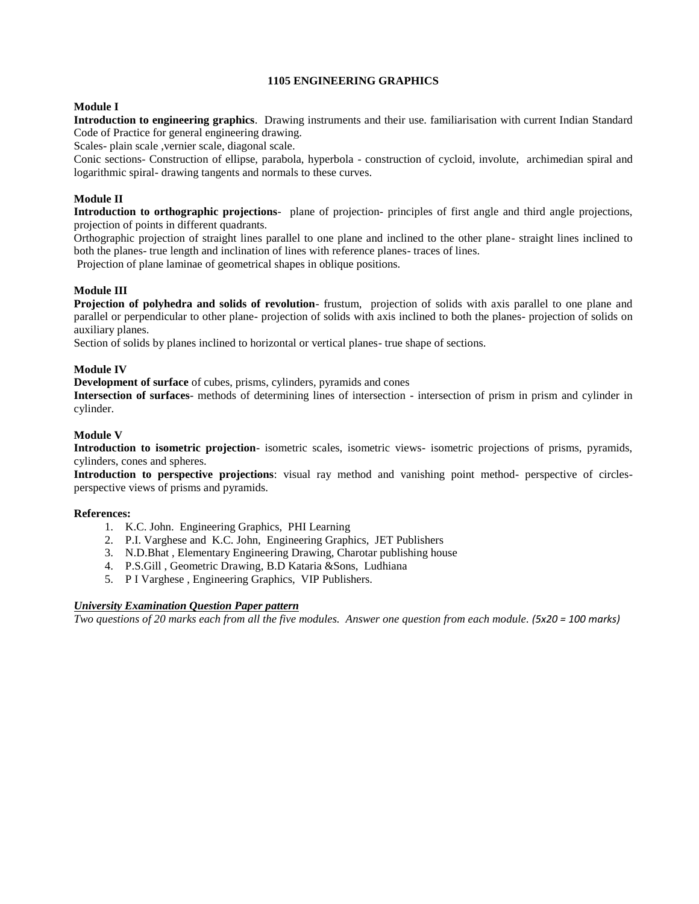#### **1105 ENGINEERING GRAPHICS**

#### **Module I**

**Introduction to engineering graphics**. Drawing instruments and their use. familiarisation with current Indian Standard Code of Practice for general engineering drawing.

Scales- plain scale ,vernier scale, diagonal scale.

Conic sections- Construction of ellipse, parabola, hyperbola - construction of cycloid, involute, archimedian spiral and logarithmic spiral- drawing tangents and normals to these curves.

#### **Module II**

**Introduction to orthographic projections**- plane of projection- principles of first angle and third angle projections, projection of points in different quadrants.

Orthographic projection of straight lines parallel to one plane and inclined to the other plane- straight lines inclined to both the planes- true length and inclination of lines with reference planes- traces of lines.

Projection of plane laminae of geometrical shapes in oblique positions.

#### **Module III**

**Projection of polyhedra and solids of revolution**- frustum, projection of solids with axis parallel to one plane and parallel or perpendicular to other plane- projection of solids with axis inclined to both the planes- projection of solids on auxiliary planes.

Section of solids by planes inclined to horizontal or vertical planes- true shape of sections.

#### **Module IV**

**Development of surface** of cubes, prisms, cylinders, pyramids and cones

**Intersection of surfaces**- methods of determining lines of intersection - intersection of prism in prism and cylinder in cylinder.

#### **Module V**

**Introduction to isometric projection**- isometric scales, isometric views- isometric projections of prisms, pyramids, cylinders, cones and spheres.

**Introduction to perspective projections**: visual ray method and vanishing point method- perspective of circlesperspective views of prisms and pyramids.

#### **References:**

- 1. K.C. John. Engineering Graphics, PHI Learning
- 2. P.I. Varghese and K.C. John, Engineering Graphics, JET Publishers
- 3. N.D.Bhat , Elementary Engineering Drawing, Charotar publishing house
- 4. P.S.Gill , Geometric Drawing, B.D Kataria &Sons, Ludhiana
- 5. P I Varghese , Engineering Graphics, VIP Publishers.

#### *University Examination Question Paper pattern*

*Two questions of 20 marks each from all the five modules. Answer one question from each module. (5x20 = 100 marks)*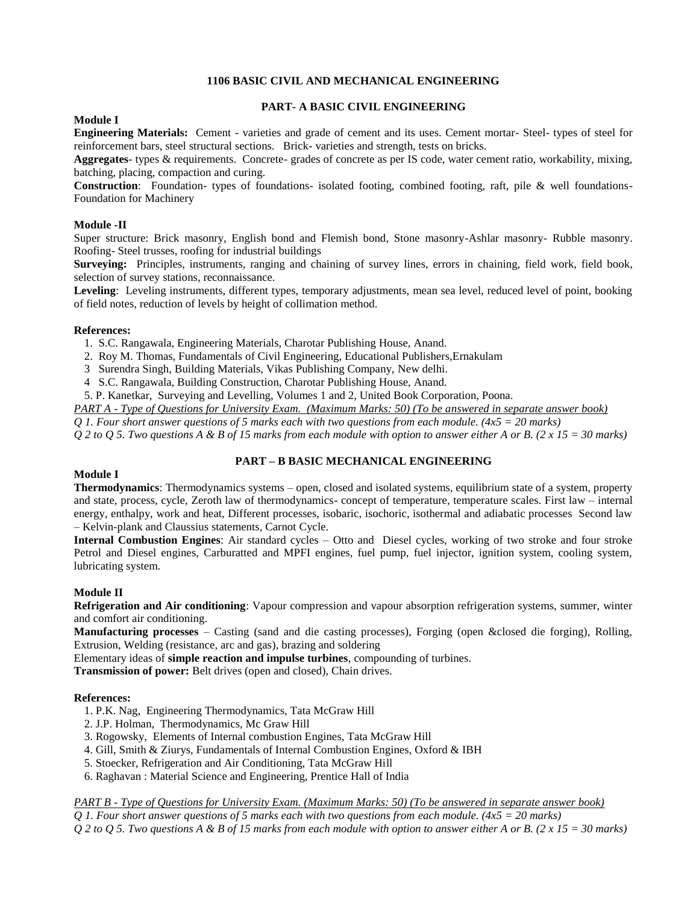#### **1106 BASIC CIVIL AND MECHANICAL ENGINEERING**

#### **PART- A BASIC CIVIL ENGINEERING**

#### **Module I**

**Engineering Materials:** Cement - varieties and grade of cement and its uses. Cement mortar- Steel- types of steel for reinforcement bars, steel structural sections. Brick- varieties and strength, tests on bricks.

**Aggregates**- types & requirements. Concrete- grades of concrete as per IS code, water cement ratio, workability, mixing, batching, placing, compaction and curing.

**Construction**: Foundation- types of foundations- isolated footing, combined footing, raft, pile & well foundations-Foundation for Machinery

#### **Module -II**

Super structure: Brick masonry, English bond and Flemish bond, Stone masonry-Ashlar masonry- Rubble masonry. Roofing- Steel trusses, roofing for industrial buildings

**Surveying:** Principles, instruments, ranging and chaining of survey lines, errors in chaining, field work, field book, selection of survey stations, reconnaissance.

**Leveling**: Leveling instruments, different types, temporary adjustments, mean sea level, reduced level of point, booking of field notes, reduction of levels by height of collimation method.

#### **References:**

- 1. S.C. Rangawala, Engineering Materials, Charotar Publishing House, Anand.
- 2. Roy M. Thomas, Fundamentals of Civil Engineering, Educational Publishers,Ernakulam
- 3 Surendra Singh, Building Materials, Vikas Publishing Company, New delhi.
- 4 S.C. Rangawala, Building Construction, Charotar Publishing House, Anand.
- 5. P. Kanetkar, Surveying and Levelling, Volumes 1 and 2, United Book Corporation, Poona.

*PART A - Type of Questions for University Exam. (Maximum Marks: 50) (To be answered in separate answer book)*

*Q 1. Four short answer questions of 5 marks each with two questions from each module. (4x5 = 20 marks)*

*Q 2 to Q 5. Two questions A & B of 15 marks from each module with option to answer either A or B. (2 x 15 = 30 marks)*

#### **PART – B BASIC MECHANICAL ENGINEERING**

#### **Module I**

**Thermodynamics**: Thermodynamics systems – open, closed and isolated systems, equilibrium state of a system, property and state, process, cycle, Zeroth law of thermodynamics- concept of temperature, temperature scales. First law – internal energy, enthalpy, work and heat, Different processes, isobaric, isochoric, isothermal and adiabatic processes Second law – Kelvin-plank and Claussius statements, Carnot Cycle.

**Internal Combustion Engines**: Air standard cycles – Otto and Diesel cycles, working of two stroke and four stroke Petrol and Diesel engines, Carburatted and MPFI engines, fuel pump, fuel injector, ignition system, cooling system, lubricating system.

#### **Module II**

**Refrigeration and Air conditioning**: Vapour compression and vapour absorption refrigeration systems, summer, winter and comfort air conditioning.

**Manufacturing processes** – Casting (sand and die casting processes), Forging (open &closed die forging), Rolling, Extrusion, Welding (resistance, arc and gas), brazing and soldering

Elementary ideas of **simple reaction and impulse turbines**, compounding of turbines.

**Transmission of power:** Belt drives (open and closed), Chain drives.

#### **References:**

- 1. P.K. Nag, Engineering Thermodynamics, Tata McGraw Hill
- 2. J.P. Holman, Thermodynamics, Mc Graw Hill
- 3. Rogowsky, Elements of Internal combustion Engines, Tata McGraw Hill
- 4. Gill, Smith & Ziurys, Fundamentals of Internal Combustion Engines, Oxford & IBH
- 5. Stoecker, Refrigeration and Air Conditioning, Tata McGraw Hill
- 6. Raghavan : Material Science and Engineering, Prentice Hall of India

*PART B - Type of Questions for University Exam. (Maximum Marks: 50) (To be answered in separate answer book)*

*Q 1. Four short answer questions of 5 marks each with two questions from each module. (4x5 = 20 marks)*

*Q 2 to Q 5. Two questions A & B of 15 marks from each module with option to answer either A or B. (2 x 15 = 30 marks)*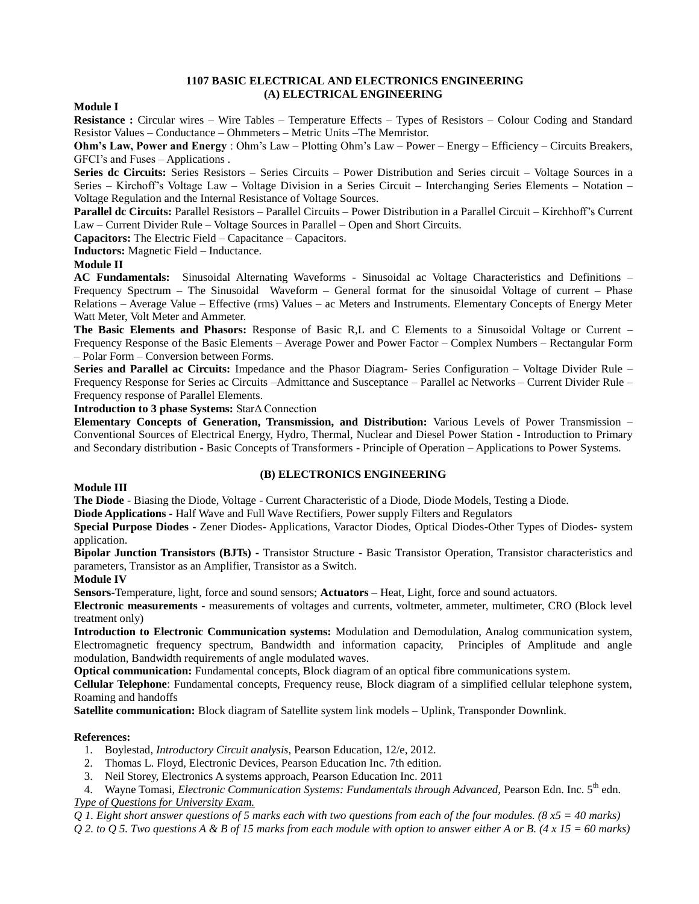#### **1107 BASIC ELECTRICAL AND ELECTRONICS ENGINEERING (A) ELECTRICAL ENGINEERING**

#### **Module I**

**Resistance :** Circular wires – Wire Tables – Temperature Effects – Types of Resistors – Colour Coding and Standard Resistor Values – Conductance – Ohmmeters – Metric Units –The Memristor.

**Ohm's Law, Power and Energy** : Ohm's Law – Plotting Ohm's Law – Power – Energy – Efficiency – Circuits Breakers, GFCI's and Fuses – Applications .

**Series dc Circuits:** Series Resistors – Series Circuits – Power Distribution and Series circuit – Voltage Sources in a Series – Kirchoff's Voltage Law – Voltage Division in a Series Circuit – Interchanging Series Elements – Notation – Voltage Regulation and the Internal Resistance of Voltage Sources.

**Parallel dc Circuits:** Parallel Resistors – Parallel Circuits – Power Distribution in a Parallel Circuit – Kirchhoff's Current Law – Current Divider Rule – Voltage Sources in Parallel – Open and Short Circuits.

**Capacitors:** The Electric Field – Capacitance – Capacitors.

**Inductors:** Magnetic Field – Inductance.

#### **Module II**

**AC Fundamentals:** Sinusoidal Alternating Waveforms - Sinusoidal ac Voltage Characteristics and Definitions – Frequency Spectrum – The Sinusoidal Waveform – General format for the sinusoidal Voltage of current – Phase Relations – Average Value – Effective (rms) Values – ac Meters and Instruments. Elementary Concepts of Energy Meter Watt Meter, Volt Meter and Ammeter.

**The Basic Elements and Phasors:** Response of Basic R,L and C Elements to a Sinusoidal Voltage or Current – Frequency Response of the Basic Elements – Average Power and Power Factor – Complex Numbers – Rectangular Form – Polar Form – Conversion between Forms.

**Series and Parallel ac Circuits:** Impedance and the Phasor Diagram- Series Configuration – Voltage Divider Rule – Frequency Response for Series ac Circuits –Admittance and Susceptance – Parallel ac Networks – Current Divider Rule – Frequency response of Parallel Elements.

#### **Introduction to 3 phase Systems:** StarΔ Connection

**Elementary Concepts of Generation, Transmission, and Distribution:** Various Levels of Power Transmission – Conventional Sources of Electrical Energy, Hydro, Thermal, Nuclear and Diesel Power Station - Introduction to Primary and Secondary distribution - Basic Concepts of Transformers - Principle of Operation – Applications to Power Systems.

#### **(B) ELECTRONICS ENGINEERING**

#### **Module III**

**The Diode** - Biasing the Diode, Voltage - Current Characteristic of a Diode, Diode Models, Testing a Diode.

**Diode Applications -** Half Wave and Full Wave Rectifiers, Power supply Filters and Regulators

**Special Purpose Diodes -** Zener Diodes- Applications, Varactor Diodes, Optical Diodes-Other Types of Diodes- system application.

**Bipolar Junction Transistors (BJTs) -** Transistor Structure - Basic Transistor Operation, Transistor characteristics and parameters, Transistor as an Amplifier, Transistor as a Switch.

#### **Module IV**

**Sensors-**Temperature, light, force and sound sensors; **Actuators** – Heat, Light, force and sound actuators.

**Electronic measurements** - measurements of voltages and currents, voltmeter, ammeter, multimeter, CRO (Block level treatment only)

**Introduction to Electronic Communication systems:** Modulation and Demodulation, Analog communication system, Electromagnetic frequency spectrum, Bandwidth and information capacity, Principles of Amplitude and angle modulation, Bandwidth requirements of angle modulated waves.

**Optical communication:** Fundamental concepts, Block diagram of an optical fibre communications system.

**Cellular Telephone**: Fundamental concepts, Frequency reuse, Block diagram of a simplified cellular telephone system, Roaming and handoffs

**Satellite communication:** Block diagram of Satellite system link models – Uplink, Transponder Downlink.

#### **References:**

- 1. Boylestad, *Introductory Circuit analysis*, Pearson Education, 12/e, 2012.
- 2. Thomas L. Floyd, Electronic Devices, Pearson Education Inc. 7th edition.
- 3. Neil Storey, Electronics A systems approach, Pearson Education Inc. 2011

4. Wayne Tomasi, *Electronic Communication Systems: Fundamentals through Advanced,* Pearson Edn. Inc. 5th edn. *Type of Questions for University Exam.*

*Q 1. Eight short answer questions of 5 marks each with two questions from each of the four modules. (8 x5 = 40 marks)*

*Q 2. to Q 5. Two questions A & B of 15 marks from each module with option to answer either A or B. (4 x 15 = 60 marks)*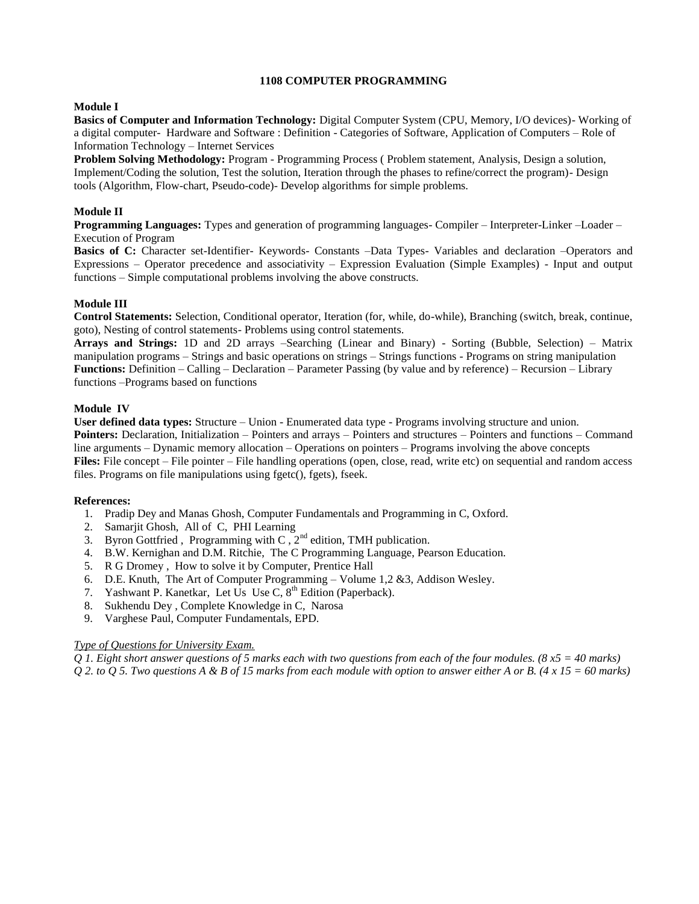#### **1108 COMPUTER PROGRAMMING**

#### **Module I**

**Basics of Computer and Information Technology:** Digital Computer System (CPU, Memory, I/O devices)- Working of a digital computer- Hardware and Software : Definition - Categories of Software, Application of Computers – Role of Information Technology – Internet Services

**Problem Solving Methodology:** Program - Programming Process ( Problem statement, Analysis, Design a solution, Implement/Coding the solution, Test the solution, Iteration through the phases to refine/correct the program)- Design tools (Algorithm, Flow-chart, Pseudo-code)- Develop algorithms for simple problems.

#### **Module II**

**Programming Languages:** Types and generation of programming languages- Compiler – Interpreter-Linker –Loader – Execution of Program

**Basics of C:** Character set-Identifier- Keywords- Constants –Data Types- Variables and declaration –Operators and Expressions – Operator precedence and associativity – Expression Evaluation (Simple Examples) - Input and output functions – Simple computational problems involving the above constructs.

#### **Module III**

**Control Statements:** Selection, Conditional operator, Iteration (for, while, do-while), Branching (switch, break, continue, goto), Nesting of control statements- Problems using control statements.

**Arrays and Strings:** 1D and 2D arrays –Searching (Linear and Binary) - Sorting (Bubble, Selection) – Matrix manipulation programs – Strings and basic operations on strings – Strings functions - Programs on string manipulation **Functions:** Definition – Calling – Declaration – Parameter Passing (by value and by reference) – Recursion – Library functions –Programs based on functions

#### **Module IV**

**User defined data types:** Structure – Union - Enumerated data type - Programs involving structure and union. **Pointers:** Declaration, Initialization – Pointers and arrays – Pointers and structures – Pointers and functions – Command line arguments – Dynamic memory allocation – Operations on pointers – Programs involving the above concepts **Files:** File concept – File pointer – File handling operations (open, close, read, write etc) on sequential and random access files. Programs on file manipulations using fgetc(), fgets), fseek.

#### **References:**

- 1. Pradip Dey and Manas Ghosh, Computer Fundamentals and Programming in C, Oxford.
- 2. Samarjit Ghosh, All of C, PHI Learning
- 3. Byron Gottfried, Programming with C,  $2<sup>nd</sup>$  edition, TMH publication.
- 4. B.W. Kernighan and D.M. Ritchie, The C Programming Language, Pearson Education.
- 5. R G Dromey , How to solve it by Computer, Prentice Hall
- 6. D.E. Knuth, The Art of Computer Programming Volume  $1,2, 8, 3$ , Addison Wesley.
- 7. Yashwant P. Kanetkar, Let Us Use C,  $8<sup>th</sup>$  Edition (Paperback).
- 8. Sukhendu Dey , Complete Knowledge in C, Narosa
- 9. Varghese Paul, Computer Fundamentals, EPD.

#### *Type of Questions for University Exam.*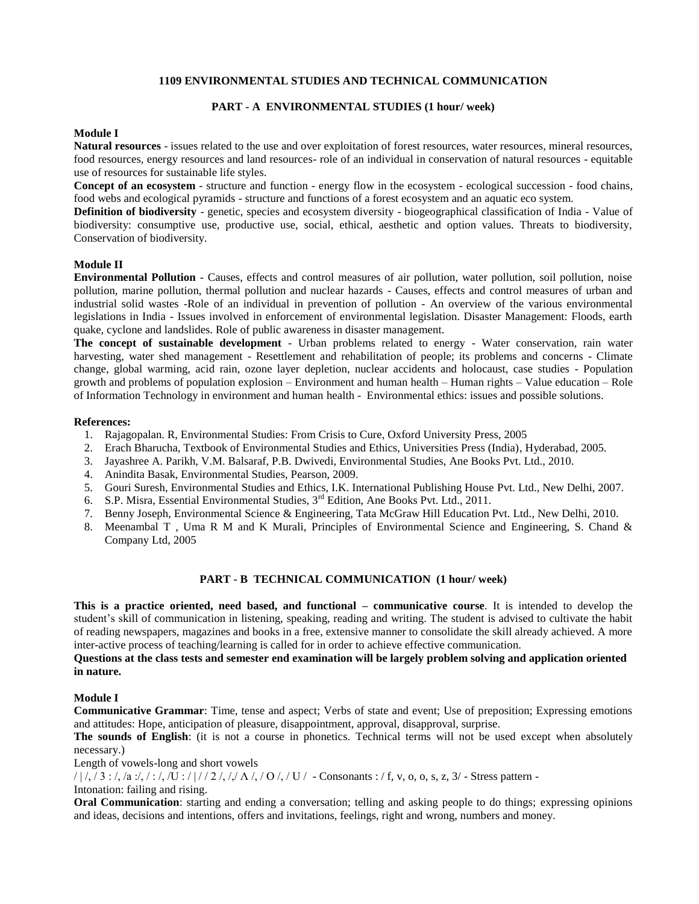#### **1109 ENVIRONMENTAL STUDIES AND TECHNICAL COMMUNICATION**

#### **PART - A ENVIRONMENTAL STUDIES (1 hour/ week)**

#### **Module I**

**Natural resources** - issues related to the use and over exploitation of forest resources, water resources, mineral resources, food resources, energy resources and land resources- role of an individual in conservation of natural resources - equitable use of resources for sustainable life styles.

**Concept of an ecosystem** - structure and function - energy flow in the ecosystem - ecological succession - food chains, food webs and ecological pyramids - structure and functions of a forest ecosystem and an aquatic eco system.

**Definition of biodiversity** - genetic, species and ecosystem diversity - biogeographical classification of India - Value of biodiversity: consumptive use, productive use, social, ethical, aesthetic and option values. Threats to biodiversity, Conservation of biodiversity.

#### **Module II**

**Environmental Pollution** - Causes, effects and control measures of air pollution, water pollution, soil pollution, noise pollution, marine pollution, thermal pollution and nuclear hazards - Causes, effects and control measures of urban and industrial solid wastes -Role of an individual in prevention of pollution - An overview of the various environmental legislations in India - Issues involved in enforcement of environmental legislation. Disaster Management: Floods, earth quake, cyclone and landslides. Role of public awareness in disaster management.

**The concept of sustainable development** - Urban problems related to energy - Water conservation, rain water harvesting, water shed management - Resettlement and rehabilitation of people; its problems and concerns - Climate change, global warming, acid rain, ozone layer depletion, nuclear accidents and holocaust, case studies - Population growth and problems of population explosion – Environment and human health – Human rights – Value education – Role of Information Technology in environment and human health - Environmental ethics: issues and possible solutions.

#### **References:**

- 1. Rajagopalan. R, Environmental Studies: From Crisis to Cure, Oxford University Press, 2005
- 2. Erach Bharucha, Textbook of Environmental Studies and Ethics, Universities Press (India), Hyderabad, 2005.
- 3. Jayashree A. Parikh, V.M. Balsaraf, P.B. Dwivedi, Environmental Studies, Ane Books Pvt. Ltd., 2010.
- 4. Anindita Basak, Environmental Studies, Pearson, 2009.
- 5. Gouri Suresh, Environmental Studies and Ethics, I.K. International Publishing House Pvt. Ltd., New Delhi, 2007.
- 6. S.P. Misra, Essential Environmental Studies, 3<sup>rd</sup> Edition, Ane Books Pvt. Ltd., 2011.
- 7. Benny Joseph, Environmental Science & Engineering, Tata McGraw Hill Education Pvt. Ltd., New Delhi, 2010.
- 8. Meenambal T , Uma R M and K Murali, Principles of Environmental Science and Engineering, S. Chand & Company Ltd, 2005

#### **PART - B TECHNICAL COMMUNICATION (1 hour/ week)**

**This is a practice oriented, need based, and functional – communicative course**. It is intended to develop the student's skill of communication in listening, speaking, reading and writing. The student is advised to cultivate the habit of reading newspapers, magazines and books in a free, extensive manner to consolidate the skill already achieved. A more inter-active process of teaching/learning is called for in order to achieve effective communication.

#### **Questions at the class tests and semester end examination will be largely problem solving and application oriented in nature.**

#### **Module I**

**Communicative Grammar**: Time, tense and aspect; Verbs of state and event; Use of preposition; Expressing emotions and attitudes: Hope, anticipation of pleasure, disappointment, approval, disapproval, surprise.

**The sounds of English**: (it is not a course in phonetics. Technical terms will not be used except when absolutely necessary.)

Length of vowels-long and short vowels

 $/ \frac{1}{7}$ ,  $/ 3$ :  $/$ ,  $/ a$ : $/$ ,  $/$ :  $/$ ,  $/ U$ :  $/ \frac{1}{7}$   $/ 2$   $/$ ,  $/$ ,  $/ O$ ,  $/ U$   $/ U$   $-$  Consonants :  $/ f$ , v, o, o, s, z,  $/ 3$   $-$  Stress pattern -

#### Intonation: failing and rising.

**Oral Communication**: starting and ending a conversation; telling and asking people to do things; expressing opinions and ideas, decisions and intentions, offers and invitations, feelings, right and wrong, numbers and money.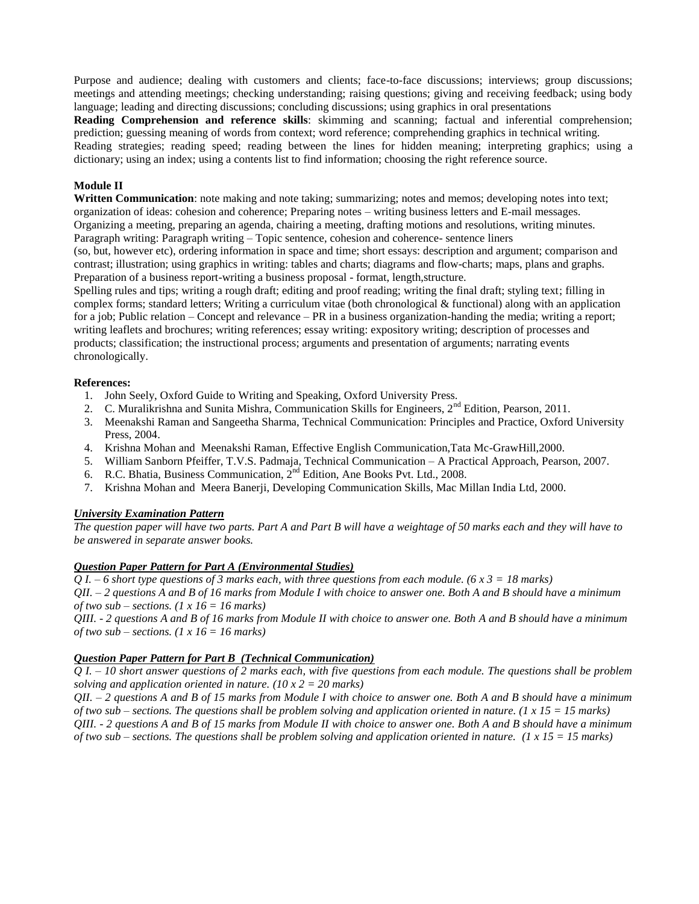Purpose and audience; dealing with customers and clients; face-to-face discussions; interviews; group discussions; meetings and attending meetings; checking understanding; raising questions; giving and receiving feedback; using body language; leading and directing discussions; concluding discussions; using graphics in oral presentations

**Reading Comprehension and reference skills**: skimming and scanning; factual and inferential comprehension; prediction; guessing meaning of words from context; word reference; comprehending graphics in technical writing. Reading strategies; reading speed; reading between the lines for hidden meaning; interpreting graphics; using a dictionary; using an index; using a contents list to find information; choosing the right reference source.

#### **Module II**

**Written Communication**: note making and note taking; summarizing; notes and memos; developing notes into text; organization of ideas: cohesion and coherence; Preparing notes – writing business letters and E-mail messages. Organizing a meeting, preparing an agenda, chairing a meeting, drafting motions and resolutions, writing minutes. Paragraph writing: Paragraph writing – Topic sentence, cohesion and coherence- sentence liners

(so, but, however etc), ordering information in space and time; short essays: description and argument; comparison and contrast; illustration; using graphics in writing: tables and charts; diagrams and flow-charts; maps, plans and graphs. Preparation of a business report-writing a business proposal - format, length,structure.

Spelling rules and tips; writing a rough draft; editing and proof reading; writing the final draft; styling text; filling in complex forms; standard letters; Writing a curriculum vitae (both chronological & functional) along with an application for a job; Public relation – Concept and relevance – PR in a business organization-handing the media; writing a report; writing leaflets and brochures; writing references; essay writing: expository writing; description of processes and products; classification; the instructional process; arguments and presentation of arguments; narrating events chronologically.

#### **References:**

- 1. John Seely, Oxford Guide to Writing and Speaking, Oxford University Press.
- 2. C. Muralikrishna and Sunita Mishra, Communication Skills for Engineers,  $2<sup>nd</sup>$  Edition, Pearson, 2011.
- 3. Meenakshi Raman and Sangeetha Sharma, Technical Communication: Principles and Practice, Oxford University Press, 2004.
- 4. Krishna Mohan and Meenakshi Raman, Effective English Communication,Tata Mc-GrawHill,2000.
- 5. William Sanborn Pfeiffer, T.V.S. Padmaja, Technical Communication A Practical Approach, Pearson, 2007.
- 6. R.C. Bhatia, Business Communication,  $2^{nd}$  Edition, Ane Books Pvt. Ltd., 2008.
- 7. Krishna Mohan and Meera Banerji, Developing Communication Skills, Mac Millan India Ltd, 2000.

#### *University Examination Pattern*

*The question paper will have two parts. Part A and Part B will have a weightage of 50 marks each and they will have to be answered in separate answer books.*

#### *Question Paper Pattern for Part A (Environmental Studies)*

*Q I. – 6 short type questions of 3 marks each, with three questions from each module. (6 x 3 = 18 marks)*

*QII. – 2 questions A and B of 16 marks from Module I with choice to answer one. Both A and B should have a minimum of two sub – sections. (1 x 16 = 16 marks)*

*QIII. - 2 questions A and B of 16 marks from Module II with choice to answer one. Both A and B should have a minimum of two sub – sections. (1 x 16 = 16 marks)*

#### *Question Paper Pattern for Part B (Technical Communication)*

*Q I. – 10 short answer questions of 2 marks each, with five questions from each module. The questions shall be problem solving and application oriented in nature. (10 x 2 = 20 marks)*

*QII. – 2 questions A and B of 15 marks from Module I with choice to answer one. Both A and B should have a minimum of two sub – sections. The questions shall be problem solving and application oriented in nature. (1 x 15 = 15 marks) QIII. - 2 questions A and B of 15 marks from Module II with choice to answer one. Both A and B should have a minimum of two sub – sections. The questions shall be problem solving and application oriented in nature. (1 x 15 = 15 marks)*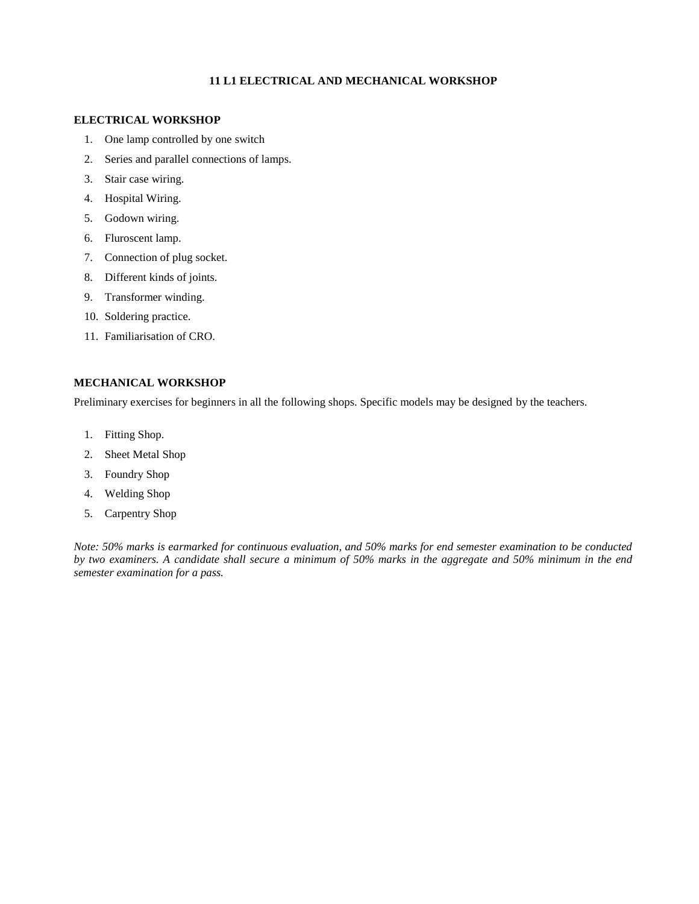#### **11 L1 ELECTRICAL AND MECHANICAL WORKSHOP**

#### **ELECTRICAL WORKSHOP**

- 1. One lamp controlled by one switch
- 2. Series and parallel connections of lamps.
- 3. Stair case wiring.
- 4. Hospital Wiring.
- 5. Godown wiring.
- 6. Fluroscent lamp.
- 7. Connection of plug socket.
- 8. Different kinds of joints.
- 9. Transformer winding.
- 10. Soldering practice.
- 11. Familiarisation of CRO.

#### **MECHANICAL WORKSHOP**

Preliminary exercises for beginners in all the following shops. Specific models may be designed by the teachers.

- 1. Fitting Shop.
- 2. Sheet Metal Shop
- 3. Foundry Shop
- 4. Welding Shop
- 5. Carpentry Shop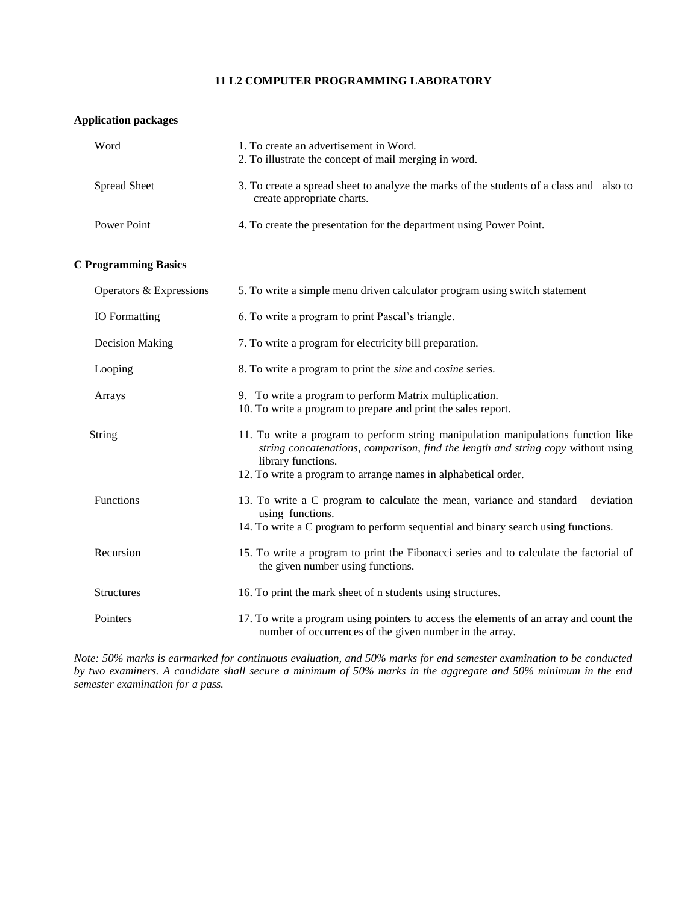#### **11 L2 COMPUTER PROGRAMMING LABORATORY**

#### **Application packages**

| Word                | 1. To create an advertisement in Word.<br>2. To illustrate the concept of mail merging in word.                       |  |
|---------------------|-----------------------------------------------------------------------------------------------------------------------|--|
| <b>Spread Sheet</b> | 3. To create a spread sheet to analyze the marks of the students of a class and also to<br>create appropriate charts. |  |
| Power Point         | 4. To create the presentation for the department using Power Point.                                                   |  |

#### **C Programming Basics**

| Operators & Expressions | 5. To write a simple menu driven calculator program using switch statement                                                                                                                  |
|-------------------------|---------------------------------------------------------------------------------------------------------------------------------------------------------------------------------------------|
| <b>IO</b> Formatting    | 6. To write a program to print Pascal's triangle.                                                                                                                                           |
| Decision Making         | 7. To write a program for electricity bill preparation.                                                                                                                                     |
| Looping                 | 8. To write a program to print the <i>sine</i> and <i>cosine</i> series.                                                                                                                    |
| Arrays                  | 9. To write a program to perform Matrix multiplication.<br>10. To write a program to prepare and print the sales report.                                                                    |
| <b>String</b>           | 11. To write a program to perform string manipulation manipulations function like<br>string concatenations, comparison, find the length and string copy without using<br>library functions. |
|                         | 12. To write a program to arrange names in alphabetical order.                                                                                                                              |
| <b>Functions</b>        | 13. To write a C program to calculate the mean, variance and standard<br>deviation<br>using functions.                                                                                      |
|                         | 14. To write a C program to perform sequential and binary search using functions.                                                                                                           |
| Recursion               | 15. To write a program to print the Fibonacci series and to calculate the factorial of<br>the given number using functions.                                                                 |
| <b>Structures</b>       | 16. To print the mark sheet of n students using structures.                                                                                                                                 |
| Pointers                | 17. To write a program using pointers to access the elements of an array and count the<br>number of occurrences of the given number in the array.                                           |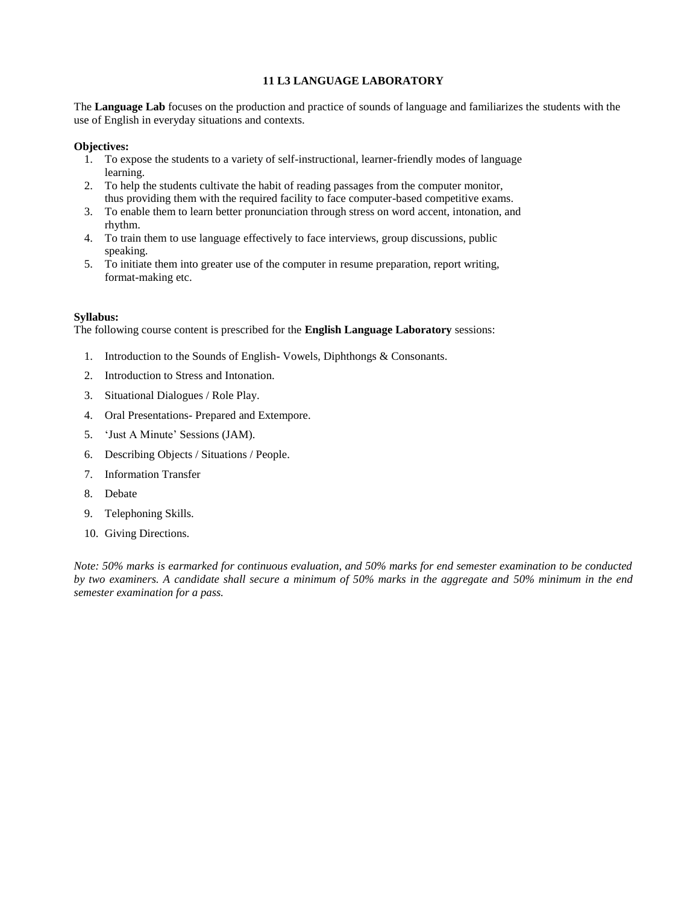#### **11 L3 LANGUAGE LABORATORY**

The **Language Lab** focuses on the production and practice of sounds of language and familiarizes the students with the use of English in everyday situations and contexts.

#### **Objectives:**

- 1. To expose the students to a variety of self-instructional, learner-friendly modes of language learning.
- 2. To help the students cultivate the habit of reading passages from the computer monitor, thus providing them with the required facility to face computer-based competitive exams.
- 3. To enable them to learn better pronunciation through stress on word accent, intonation, and rhythm.
- 4. To train them to use language effectively to face interviews, group discussions, public speaking.
- 5. To initiate them into greater use of the computer in resume preparation, report writing, format-making etc.

#### **Syllabus:**

The following course content is prescribed for the **English Language Laboratory** sessions:

- 1. Introduction to the Sounds of English- Vowels, Diphthongs & Consonants.
- 2. Introduction to Stress and Intonation.
- 3. Situational Dialogues / Role Play.
- 4. Oral Presentations- Prepared and Extempore.
- 5. 'Just A Minute' Sessions (JAM).
- 6. Describing Objects / Situations / People.
- 7. Information Transfer
- 8. Debate
- 9. Telephoning Skills.
- 10. Giving Directions.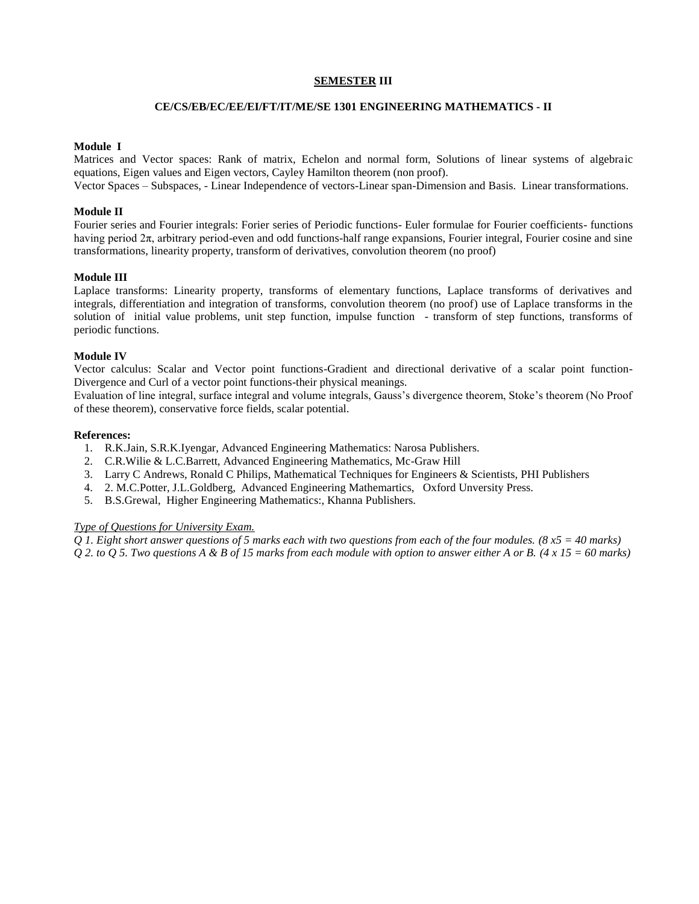#### **SEMESTER III**

#### **CE/CS/EB/EC/EE/EI/FT/IT/ME/SE 1301 ENGINEERING MATHEMATICS - II**

#### **Module I**

Matrices and Vector spaces: Rank of matrix, Echelon and normal form, Solutions of linear systems of algebraic equations, Eigen values and Eigen vectors, Cayley Hamilton theorem (non proof).

Vector Spaces – Subspaces, - Linear Independence of vectors-Linear span-Dimension and Basis. Linear transformations.

#### **Module II**

Fourier series and Fourier integrals: Forier series of Periodic functions- Euler formulae for Fourier coefficients- functions having period  $2\pi$ , arbitrary period-even and odd functions-half range expansions, Fourier integral, Fourier cosine and sine transformations, linearity property, transform of derivatives, convolution theorem (no proof)

#### **Module III**

Laplace transforms: Linearity property, transforms of elementary functions, Laplace transforms of derivatives and integrals, differentiation and integration of transforms, convolution theorem (no proof) use of Laplace transforms in the solution of initial value problems, unit step function, impulse function - transform of step functions, transforms of periodic functions.

#### **Module IV**

Vector calculus: Scalar and Vector point functions-Gradient and directional derivative of a scalar point function-Divergence and Curl of a vector point functions-their physical meanings.

Evaluation of line integral, surface integral and volume integrals, Gauss's divergence theorem, Stoke's theorem (No Proof of these theorem), conservative force fields, scalar potential.

#### **References:**

- 1. R.K.Jain, S.R.K.Iyengar, Advanced Engineering Mathematics: Narosa Publishers.
- 2. C.R.Wilie & L.C.Barrett, Advanced Engineering Mathematics, Mc-Graw Hill
- 3. Larry C Andrews, Ronald C Philips, Mathematical Techniques for Engineers & Scientists, PHI Publishers
- 4. 2. M.C.Potter, J.L.Goldberg, Advanced Engineering Mathemartics, Oxford Unversity Press.
- 5. B.S.Grewal, Higher Engineering Mathematics:, Khanna Publishers.

#### *Type of Questions for University Exam.*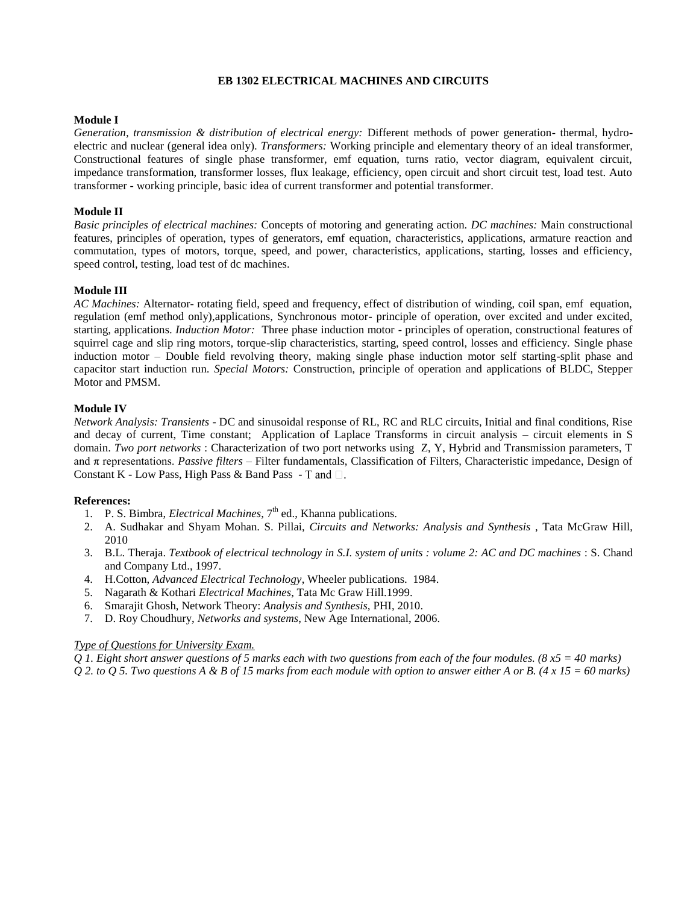#### **EB 1302 ELECTRICAL MACHINES AND CIRCUITS**

#### **Module I**

*Generation, transmission & distribution of electrical energy:* Different methods of power generation- thermal, hydroelectric and nuclear (general idea only). *Transformers:* Working principle and elementary theory of an ideal transformer, Constructional features of single phase transformer, emf equation, turns ratio, vector diagram, equivalent circuit, impedance transformation, transformer losses, flux leakage, efficiency, open circuit and short circuit test, load test. Auto transformer - working principle, basic idea of current transformer and potential transformer.

#### **Module II**

*Basic principles of electrical machines:* Concepts of motoring and generating action. *DC machines:* Main constructional features, principles of operation, types of generators, emf equation, characteristics, applications, armature reaction and commutation, types of motors, torque, speed, and power, characteristics, applications, starting, losses and efficiency, speed control, testing, load test of dc machines.

#### **Module III**

*AC Machines:* Alternator- rotating field, speed and frequency, effect of distribution of winding, coil span, emf equation, regulation (emf method only),applications, Synchronous motor- principle of operation, over excited and under excited, starting, applications. *Induction Motor:* Three phase induction motor - principles of operation, constructional features of squirrel cage and slip ring motors, torque-slip characteristics, starting, speed control, losses and efficiency. Single phase induction motor – Double field revolving theory, making single phase induction motor self starting-split phase and capacitor start induction run. *Special Motors:* Construction, principle of operation and applications of BLDC, Stepper Motor and PMSM.

#### **Module IV**

*Network Analysis: Transients* - DC and sinusoidal response of RL, RC and RLC circuits, Initial and final conditions, Rise and decay of current, Time constant; Application of Laplace Transforms in circuit analysis – circuit elements in S domain. *Two port networks* : Characterization of two port networks using Z, Y, Hybrid and Transmission parameters, T and π representations. *Passive filters* – Filter fundamentals, Classification of Filters, Characteristic impedance, Design of Constant K - Low Pass, High Pass & Band Pass - T and  $\Box$ .

#### **References:**

- 1. P. S. Bimbra, *Electrical Machines*, 7<sup>th</sup> ed., Khanna publications.
- 2. A. Sudhakar and Shyam Mohan. S. Pillai, *Circuits and Networks: Analysis and Synthesis* , Tata McGraw Hill, 2010
- 3. B.L. Theraja. *Textbook of electrical technology in S.I. system of units : volume 2: AC and DC machines* : S. Chand and Company Ltd., 1997.
- 4. H.Cotton, *Advanced Electrical Technology*, Wheeler publications. 1984.
- 5. Nagarath & Kothari *Electrical Machines*, Tata Mc Graw Hill.1999.
- 6. Smarajit Ghosh, Network Theory: *Analysis and Synthesis,* PHI, 2010.
- 7. D. Roy Choudhury, *Networks and systems*, New Age International, 2006.

#### *Type of Questions for University Exam.*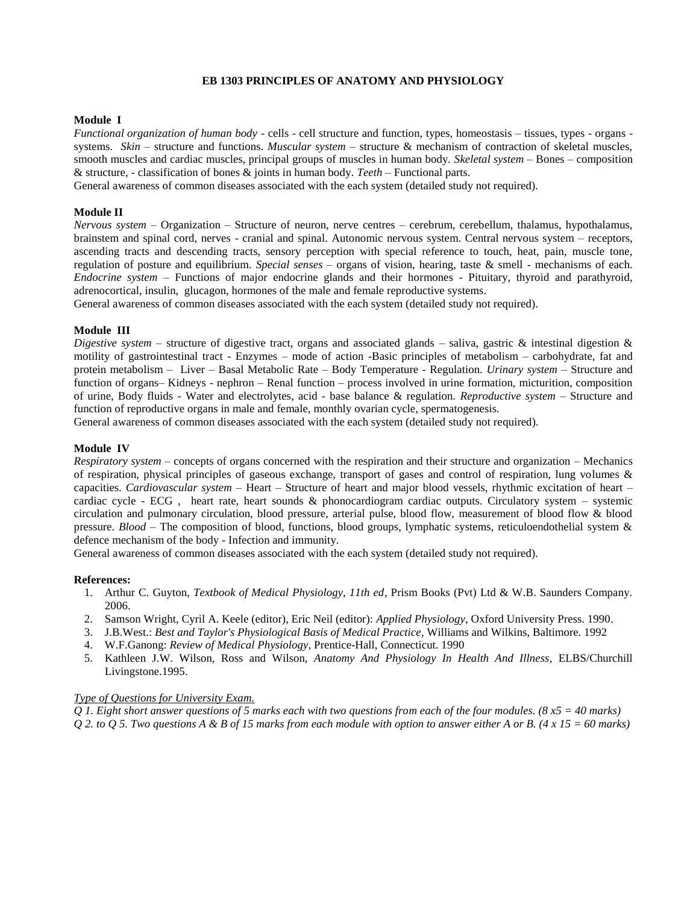#### **EB 1303 PRINCIPLES OF ANATOMY AND PHYSIOLOGY**

#### **Module I**

*Functional organization of human body -* cells - cell structure and function, types, homeostasis – tissues, types - organs systems. *Skin* – structure and functions. *Muscular system* – structure & mechanism of contraction of skeletal muscles, smooth muscles and cardiac muscles, principal groups of muscles in human body. *Skeletal system* – Bones – composition & structure, - classification of bones & joints in human body. *Teeth* – Functional parts.

General awareness of common diseases associated with the each system (detailed study not required).

#### **Module II**

*Nervous system* – Organization – Structure of neuron, nerve centres – cerebrum, cerebellum, thalamus, hypothalamus, brainstem and spinal cord, nerves - cranial and spinal. Autonomic nervous system. Central nervous system – receptors, ascending tracts and descending tracts, sensory perception with special reference to touch, heat, pain, muscle tone, regulation of posture and equilibrium. *Special senses* – organs of vision, hearing, taste & smell - mechanisms of each. *Endocrine system* – Functions of major endocrine glands and their hormones - Pituitary, thyroid and parathyroid, adrenocortical, insulin, glucagon, hormones of the male and female reproductive systems.

General awareness of common diseases associated with the each system (detailed study not required).

#### **Module III**

*Digestive system* – structure of digestive tract, organs and associated glands – saliva, gastric & intestinal digestion & motility of gastrointestinal tract - Enzymes – mode of action -Basic principles of metabolism – carbohydrate, fat and protein metabolism – Liver – Basal Metabolic Rate – Body Temperature - Regulation. *Urinary system* – Structure and function of organs– Kidneys - nephron – Renal function – process involved in urine formation, micturition, composition of urine, Body fluids - Water and electrolytes, acid - base balance & regulation. *Reproductive system* – Structure and function of reproductive organs in male and female, monthly ovarian cycle, spermatogenesis.

General awareness of common diseases associated with the each system (detailed study not required).

#### **Module IV**

*Respiratory system* – concepts of organs concerned with the respiration and their structure and organization – Mechanics of respiration, physical principles of gaseous exchange, transport of gases and control of respiration, lung volumes & capacities. *Cardiovascular system* – Heart – Structure of heart and major blood vessels, rhythmic excitation of heart – cardiac cycle - ECG , heart rate, heart sounds & phonocardiogram cardiac outputs. Circulatory system – systemic circulation and pulmonary circulation, blood pressure, arterial pulse, blood flow, measurement of blood flow & blood pressure. *Blood* – The composition of blood, functions, blood groups, lymphatic systems, reticuloendothelial system & defence mechanism of the body - Infection and immunity.

General awareness of common diseases associated with the each system (detailed study not required).

#### **References:**

- 1. Arthur C. Guyton, *Textbook of Medical Physiology, 11th ed*, Prism Books (Pvt) Ltd & W.B. Saunders Company. 2006.
- 2. Samson Wright, Cyril A. Keele (editor), Eric Neil (editor): *Applied Physiology*, Oxford University Press. 1990.
- 3. J.B.West.: *Best and Taylor's Physiological Basis of Medical Practice*, Williams and Wilkins, Baltimore. 1992
- 4. W.F.Ganong: *Review of Medical Physiology*, Prentice-Hall, Connecticut. 1990
- 5. Kathleen J.W. Wilson, Ross and Wilson, *Anatomy And Physiology In Health And Illness*, ELBS/Churchill Livingstone.1995.

#### *Type of Questions for University Exam.*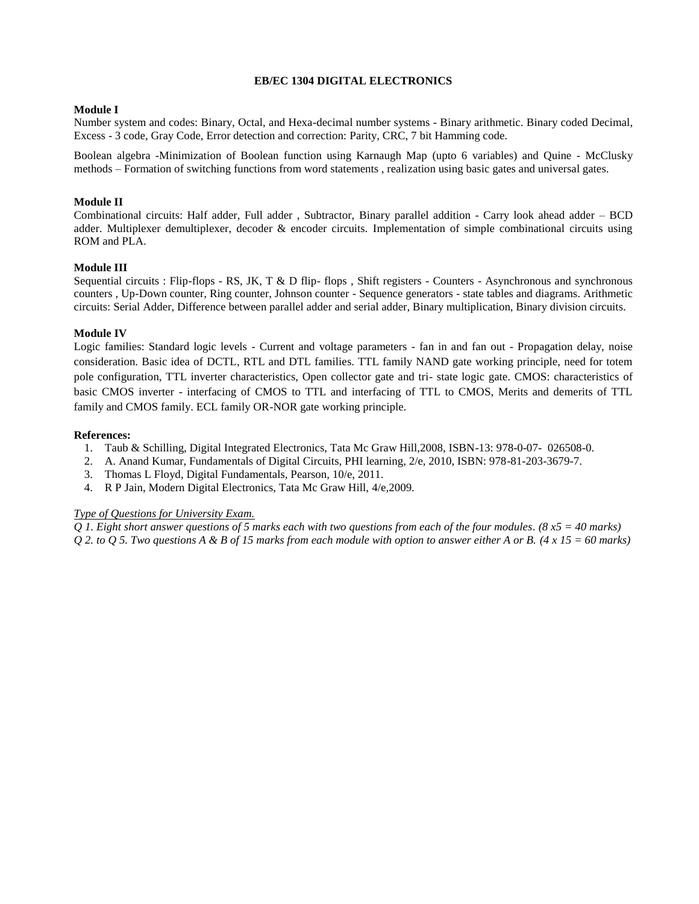#### **EB/EC 1304 DIGITAL ELECTRONICS**

#### **Module I**

Number system and codes: Binary, Octal, and Hexa-decimal number systems - Binary arithmetic. Binary coded Decimal, Excess - 3 code, Gray Code, Error detection and correction: Parity, CRC, 7 bit Hamming code.

Boolean algebra -Minimization of Boolean function using Karnaugh Map (upto 6 variables) and Quine - McClusky methods – Formation of switching functions from word statements , realization using basic gates and universal gates.

#### **Module II**

Combinational circuits: Half adder, Full adder , Subtractor, Binary parallel addition - Carry look ahead adder – BCD adder. Multiplexer demultiplexer, decoder & encoder circuits. Implementation of simple combinational circuits using ROM and PLA.

#### **Module III**

Sequential circuits : Flip-flops - RS, JK, T & D flip- flops , Shift registers - Counters - Asynchronous and synchronous counters , Up-Down counter, Ring counter, Johnson counter - Sequence generators - state tables and diagrams. Arithmetic circuits: Serial Adder, Difference between parallel adder and serial adder, Binary multiplication, Binary division circuits.

#### **Module IV**

Logic families: Standard logic levels - Current and voltage parameters - fan in and fan out - Propagation delay, noise consideration. Basic idea of DCTL, RTL and DTL families. TTL family NAND gate working principle, need for totem pole configuration, TTL inverter characteristics, Open collector gate and tri- state logic gate. CMOS: characteristics of basic CMOS inverter - interfacing of CMOS to TTL and interfacing of TTL to CMOS, Merits and demerits of TTL family and CMOS family. ECL family OR-NOR gate working principle.

#### **References:**

- 1. Taub & Schilling, Digital Integrated Electronics, Tata Mc Graw Hill,2008, ISBN-13: 978-0-07- 026508-0.
- 2. A. Anand Kumar, Fundamentals of Digital Circuits, PHI learning, 2/e, 2010, ISBN: 978-81-203-3679-7.
- 3. Thomas L Floyd, Digital Fundamentals, Pearson, 10/e, 2011.
- 4. R P Jain, Modern Digital Electronics, Tata Mc Graw Hill, 4/e,2009.

#### *Type of Questions for University Exam.*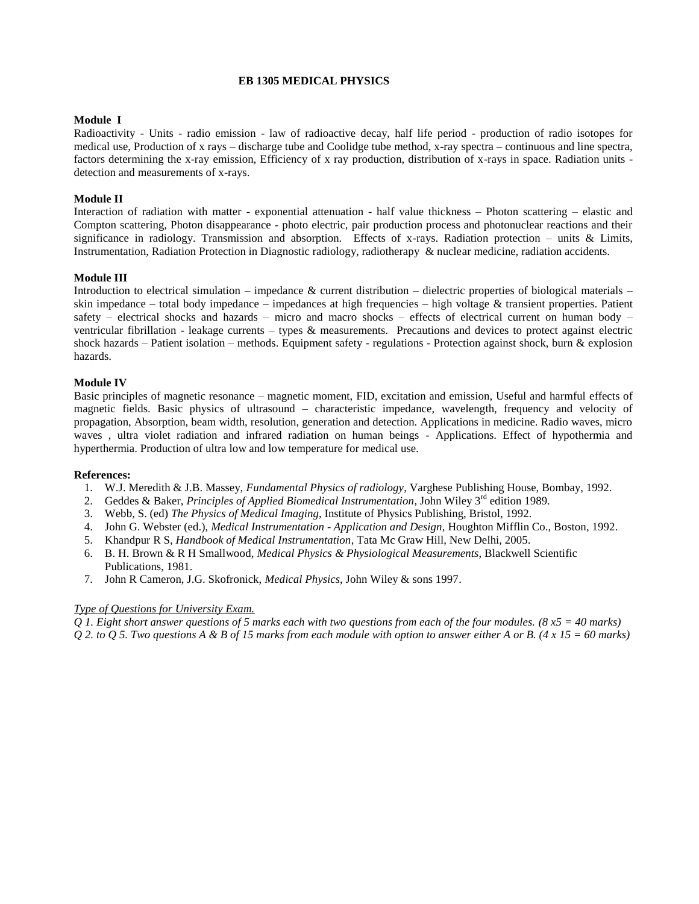#### **EB 1305 MEDICAL PHYSICS**

#### **Module I**

Radioactivity - Units - radio emission - law of radioactive decay, half life period - production of radio isotopes for medical use, Production of x rays – discharge tube and Coolidge tube method, x-ray spectra – continuous and line spectra, factors determining the x-ray emission, Efficiency of x ray production, distribution of x-rays in space. Radiation units detection and measurements of x-rays.

#### **Module II**

Interaction of radiation with matter - exponential attenuation - half value thickness – Photon scattering – elastic and Compton scattering, Photon disappearance - photo electric, pair production process and photonuclear reactions and their significance in radiology. Transmission and absorption. Effects of x-rays. Radiation protection – units  $\&$  Limits, Instrumentation, Radiation Protection in Diagnostic radiology, radiotherapy & nuclear medicine, radiation accidents.

#### **Module III**

Introduction to electrical simulation – impedance  $\&$  current distribution – dielectric properties of biological materials – skin impedance – total body impedance – impedances at high frequencies – high voltage  $\&$  transient properties. Patient safety – electrical shocks and hazards – micro and macro shocks – effects of electrical current on human body – ventricular fibrillation - leakage currents – types  $\&$  measurements. Precautions and devices to protect against electric shock hazards – Patient isolation – methods. Equipment safety - regulations - Protection against shock, burn  $\&$  explosion hazards.

#### **Module IV**

Basic principles of magnetic resonance – magnetic moment, FID, excitation and emission, Useful and harmful effects of magnetic fields. Basic physics of ultrasound – characteristic impedance, wavelength, frequency and velocity of propagation, Absorption, beam width, resolution, generation and detection. Applications in medicine. Radio waves, micro waves , ultra violet radiation and infrared radiation on human beings - Applications. Effect of hypothermia and hyperthermia. Production of ultra low and low temperature for medical use.

#### **References:**

- 1. W.J. Meredith & J.B. Massey, *Fundamental Physics of radiology*, Varghese Publishing House, Bombay, 1992.
- 2. Geddes & Baker, *Principles of Applied Biomedical Instrumentation*, John Wiley 3rd edition 1989.
- 3. Webb, S. (ed) *The Physics of Medical Imaging*, Institute of Physics Publishing, Bristol, 1992.
- 4. John G. Webster (ed.), *Medical Instrumentation - Application and Design*, Houghton Mifflin Co., Boston, 1992.
- 5. Khandpur R S, *Handbook of Medical Instrumentation*, Tata Mc Graw Hill, New Delhi, 2005.
- 6. B. H. Brown & R H Smallwood, *Medical Physics & Physiological Measurements*, Blackwell Scientific Publications, 1981.
- 7. John R Cameron, J.G. Skofronick, *Medical Physics*, John Wiley & sons 1997.

#### *Type of Questions for University Exam.*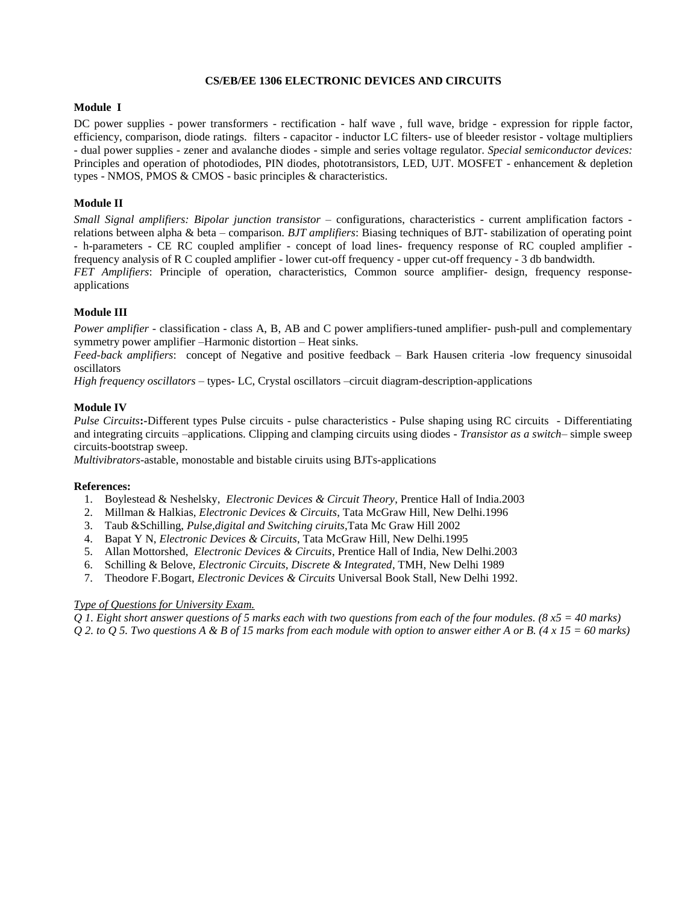#### **CS/EB/EE 1306 ELECTRONIC DEVICES AND CIRCUITS**

#### **Module I**

DC power supplies - power transformers - rectification - half wave , full wave, bridge - expression for ripple factor, efficiency, comparison, diode ratings. filters - capacitor - inductor LC filters- use of bleeder resistor - voltage multipliers - dual power supplies - zener and avalanche diodes - simple and series voltage regulator. *Special semiconductor devices:* Principles and operation of photodiodes, PIN diodes, phototransistors, LED, UJT. MOSFET - enhancement & depletion types - NMOS, PMOS & CMOS - basic principles & characteristics.

#### **Module II**

*Small Signal amplifiers: Bipolar junction transistor* – configurations, characteristics - current amplification factors relations between alpha & beta – comparison. *BJT amplifiers*: Biasing techniques of BJT- stabilization of operating point - h-parameters - CE RC coupled amplifier - concept of load lines- frequency response of RC coupled amplifier frequency analysis of R C coupled amplifier - lower cut-off frequency - upper cut-off frequency - 3 db bandwidth.

*FET Amplifiers*: Principle of operation, characteristics, Common source amplifier- design, frequency responseapplications

#### **Module III**

*Power amplifier* - classification - class A, B, AB and C power amplifiers-tuned amplifier- push-pull and complementary symmetry power amplifier –Harmonic distortion – Heat sinks.

*Feed-back amplifiers*: concept of Negative and positive feedback – Bark Hausen criteria -low frequency sinusoidal oscillators

*High frequency oscillators* – types- LC, Crystal oscillators –circuit diagram-description-applications

#### **Module IV**

*Pulse Circuits***:-**Different types Pulse circuits - pulse characteristics - Pulse shaping using RC circuits - Differentiating and integrating circuits –applications. Clipping and clamping circuits using diodes - *Transistor as a switch*– simple sweep circuits-bootstrap sweep.

*Multivibrators*-astable, monostable and bistable ciruits using BJTs-applications

#### **References:**

- 1. Boylestead & Neshelsky, *Electronic Devices & Circuit Theory*, Prentice Hall of India.2003
- 2. Millman & Halkias, *Electronic Devices & Circuits*, Tata McGraw Hill, New Delhi.1996
- 3. Taub &Schilling, *Pulse,digital and Switching ciruits*,Tata Mc Graw Hill 2002
- 4. Bapat Y N, *Electronic Devices & Circuits*, Tata McGraw Hill, New Delhi.1995
- 5. Allan Mottorshed, *Electronic Devices & Circuits*, Prentice Hall of India, New Delhi.2003
- 6. Schilling & Belove, *Electronic Circuits, Discrete & Integrated*, TMH, New Delhi 1989
- 7. Theodore F.Bogart, *Electronic Devices & Circuits* Universal Book Stall, New Delhi 1992.

#### *Type of Questions for University Exam.*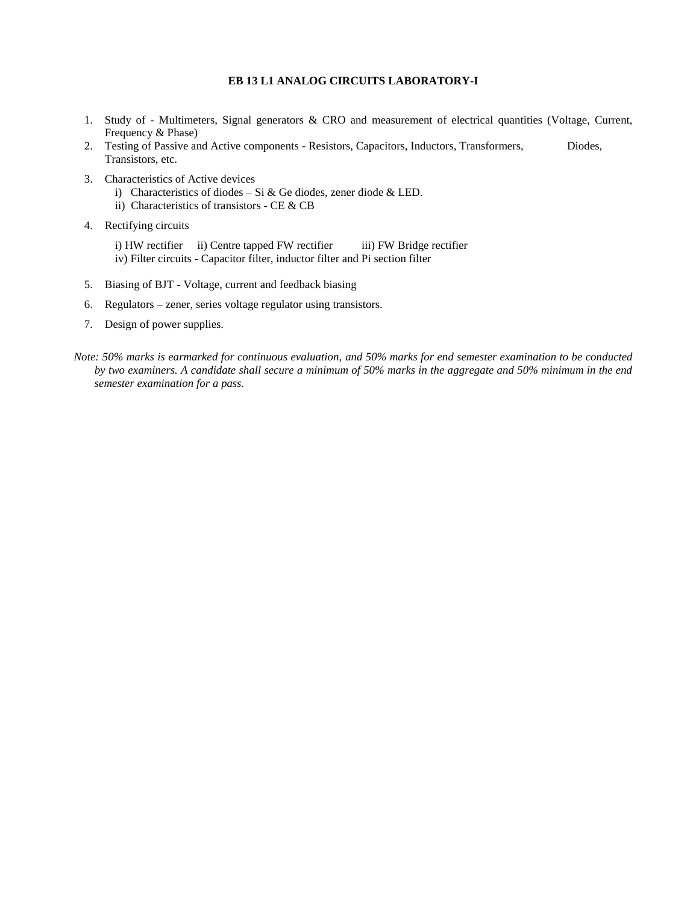#### **EB 13 L1 ANALOG CIRCUITS LABORATORY-I**

- 1. Study of Multimeters, Signal generators & CRO and measurement of electrical quantities (Voltage, Current, Frequency & Phase)
- 2. Testing of Passive and Active components Resistors, Capacitors, Inductors, Transformers, Diodes, Transistors, etc.
- 3. Characteristics of Active devices
	- i) Characteristics of diodes Si & Ge diodes, zener diode & LED.
	- ii) Characteristics of transistors CE & CB
- 4. Rectifying circuits
	- i) HW rectifier ii) Centre tapped FW rectifier iii) FW Bridge rectifier iv) Filter circuits - Capacitor filter, inductor filter and Pi section filter
- 5. Biasing of BJT Voltage, current and feedback biasing
- 6. Regulators zener, series voltage regulator using transistors.
- 7. Design of power supplies.
- *Note: 50% marks is earmarked for continuous evaluation, and 50% marks for end semester examination to be conducted by two examiners. A candidate shall secure a minimum of 50% marks in the aggregate and 50% minimum in the end semester examination for a pass.*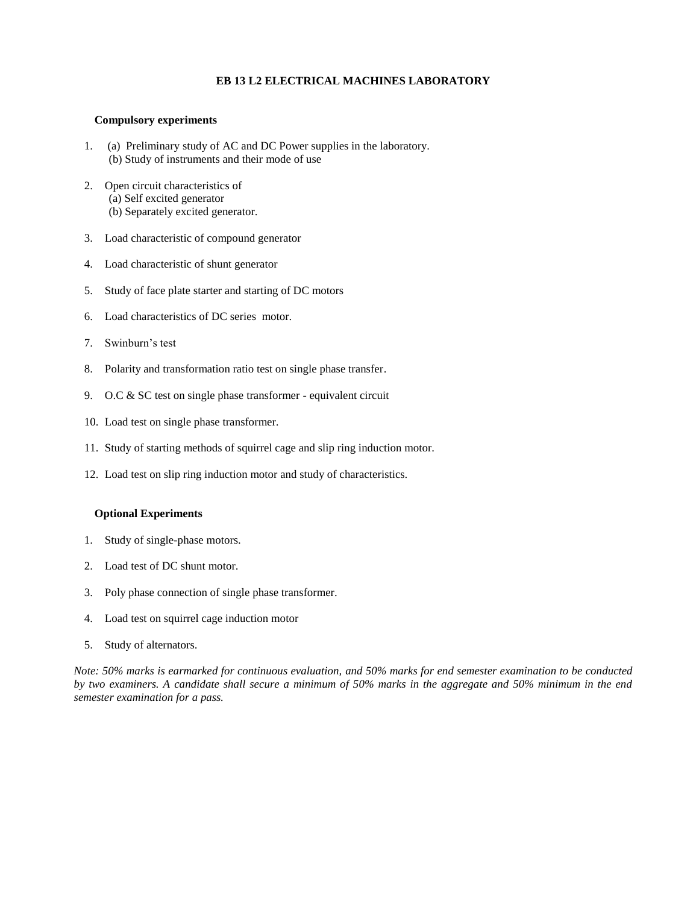#### **EB 13 L2 ELECTRICAL MACHINES LABORATORY**

#### **Compulsory experiments**

- 1. (a) Preliminary study of AC and DC Power supplies in the laboratory. (b) Study of instruments and their mode of use
- 2. Open circuit characteristics of (a) Self excited generator (b) Separately excited generator.
- 3. Load characteristic of compound generator
- 4. Load characteristic of shunt generator
- 5. Study of face plate starter and starting of DC motors
- 6. Load characteristics of DC series motor.
- 7. Swinburn's test
- 8. Polarity and transformation ratio test on single phase transfer.
- 9. O.C & SC test on single phase transformer equivalent circuit
- 10. Load test on single phase transformer.
- 11. Study of starting methods of squirrel cage and slip ring induction motor.
- 12. Load test on slip ring induction motor and study of characteristics.

#### **Optional Experiments**

- 1. Study of single-phase motors.
- 2. Load test of DC shunt motor.
- 3. Poly phase connection of single phase transformer.
- 4. Load test on squirrel cage induction motor
- 5. Study of alternators.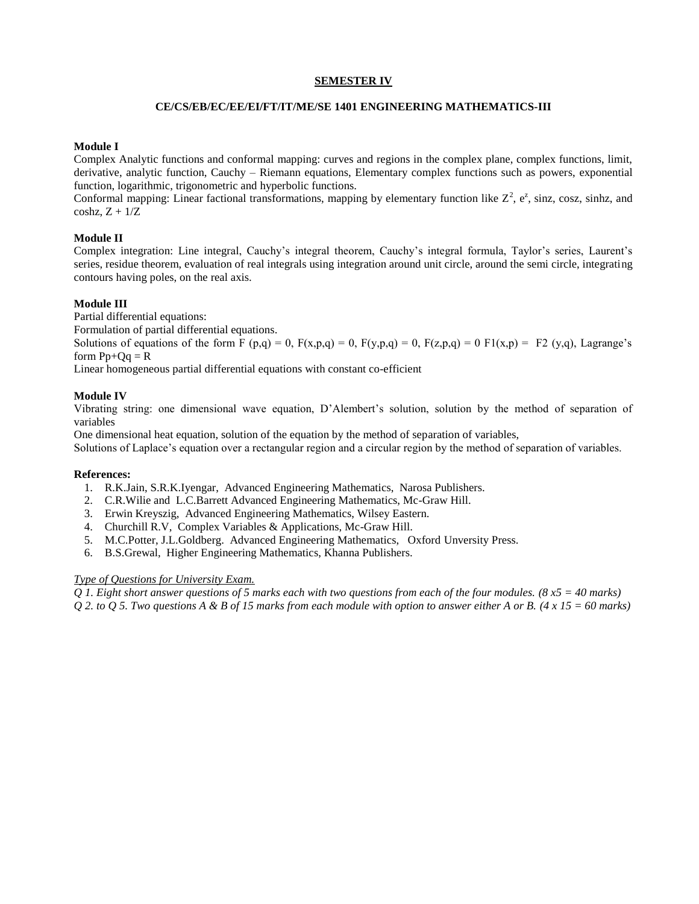#### **SEMESTER IV**

#### **CE/CS/EB/EC/EE/EI/FT/IT/ME/SE 1401 ENGINEERING MATHEMATICS-III**

#### **Module I**

Complex Analytic functions and conformal mapping: curves and regions in the complex plane, complex functions, limit, derivative, analytic function, Cauchy – Riemann equations, Elementary complex functions such as powers, exponential function, logarithmic, trigonometric and hyperbolic functions.

Conformal mapping: Linear factional transformations, mapping by elementary function like  $Z^2$ ,  $e^z$ , sinz, cosz, sinhz, and  $coshz$ ,  $Z + 1/Z$ 

#### **Module II**

Complex integration: Line integral, Cauchy's integral theorem, Cauchy's integral formula, Taylor's series, Laurent's series, residue theorem, evaluation of real integrals using integration around unit circle, around the semi circle, integrating contours having poles, on the real axis.

#### **Module III**

Partial differential equations:

Formulation of partial differential equations.

Solutions of equations of the form  $\overline{F}(p,q) = 0$ ,  $F(x,p,q) = 0$ ,  $F(y,p,q) = 0$ ,  $F(z,p,q) = 0$   $F1(x,p) = F2(y,q)$ , Lagrange's form  $Pp+Oq = R$ 

Linear homogeneous partial differential equations with constant co-efficient

#### **Module IV**

Vibrating string: one dimensional wave equation, D'Alembert's solution, solution by the method of separation of variables

One dimensional heat equation, solution of the equation by the method of separation of variables,

Solutions of Laplace's equation over a rectangular region and a circular region by the method of separation of variables.

#### **References:**

- 1. R.K.Jain, S.R.K.Iyengar, Advanced Engineering Mathematics, Narosa Publishers.
- 2. C.R.Wilie and L.C.Barrett Advanced Engineering Mathematics, Mc-Graw Hill.
- 3. Erwin Kreyszig, Advanced Engineering Mathematics, Wilsey Eastern.
- 4. Churchill R.V, Complex Variables & Applications, Mc-Graw Hill.
- 5. M.C.Potter, J.L.Goldberg. Advanced Engineering Mathematics, Oxford Unversity Press.
- 6. B.S.Grewal, Higher Engineering Mathematics, Khanna Publishers.

#### *Type of Questions for University Exam.*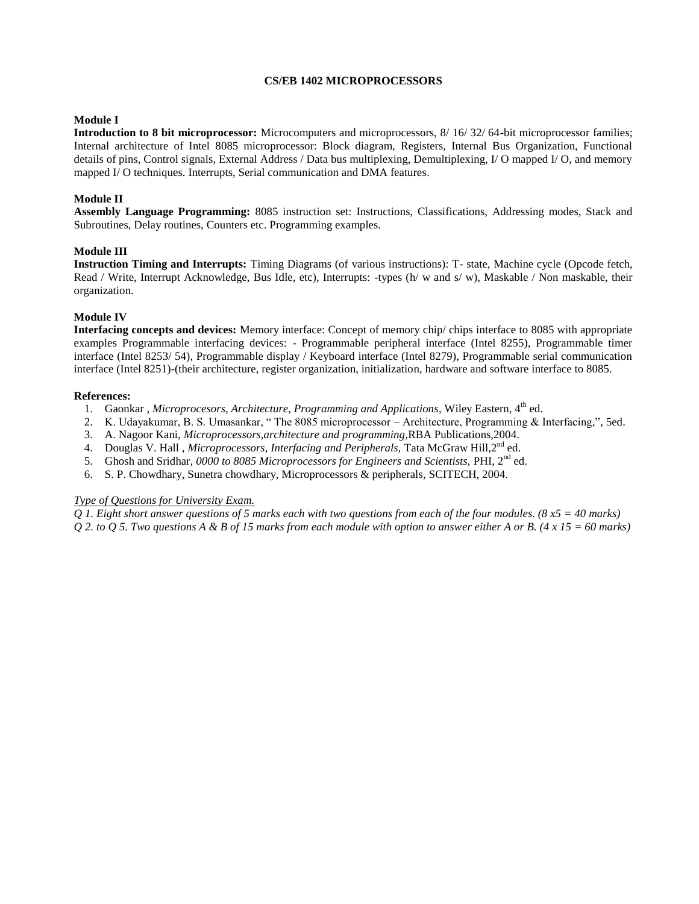#### **CS/EB 1402 MICROPROCESSORS**

#### **Module I**

**Introduction to 8 bit microprocessor:** Microcomputers and microprocessors, 8/ 16/ 32/ 64-bit microprocessor families; Internal architecture of Intel 8085 microprocessor: Block diagram, Registers, Internal Bus Organization, Functional details of pins, Control signals, External Address / Data bus multiplexing, Demultiplexing, I/ O mapped I/ O, and memory mapped I/ O techniques. Interrupts, Serial communication and DMA features.

#### **Module II**

**Assembly Language Programming:** 8085 instruction set: Instructions, Classifications, Addressing modes, Stack and Subroutines, Delay routines, Counters etc. Programming examples.

#### **Module III**

**Instruction Timing and Interrupts:** Timing Diagrams (of various instructions): T- state, Machine cycle (Opcode fetch, Read / Write, Interrupt Acknowledge, Bus Idle, etc), Interrupts: -types (h/w and s/w), Maskable / Non maskable, their organization.

#### **Module IV**

**Interfacing concepts and devices:** Memory interface: Concept of memory chip/ chips interface to 8085 with appropriate examples Programmable interfacing devices: - Programmable peripheral interface (Intel 8255), Programmable timer interface (Intel 8253/ 54), Programmable display / Keyboard interface (Intel 8279), Programmable serial communication interface (Intel 8251)-(their architecture, register organization, initialization, hardware and software interface to 8085.

#### **References:**

- 1. Gaonkar, *Microprocesors, Architecture, Programming and Applications*, Wiley Eastern, 4<sup>th</sup> ed.
- 2. K. Udayakumar, B. S. Umasankar, " The 8085 microprocessor Architecture, Programming & Interfacing,", 5ed.
- 3. A. Nagoor Kani, *Microprocessors,architecture and programming,*RBA Publications,2004.
- 4. Douglas V. Hall , *Microprocessors, Interfacing and Peripherals*, Tata McGraw Hill, 2<sup>nd</sup> ed.
- 5. Ghosh and Sridhar, *0000 to 8085 Microprocessors for Engineers and Scientists,* PHI, 2nd ed.
- 6. S. P. Chowdhary, Sunetra chowdhary, Microprocessors & peripherals, SCITECH, 2004.

#### *Type of Questions for University Exam.*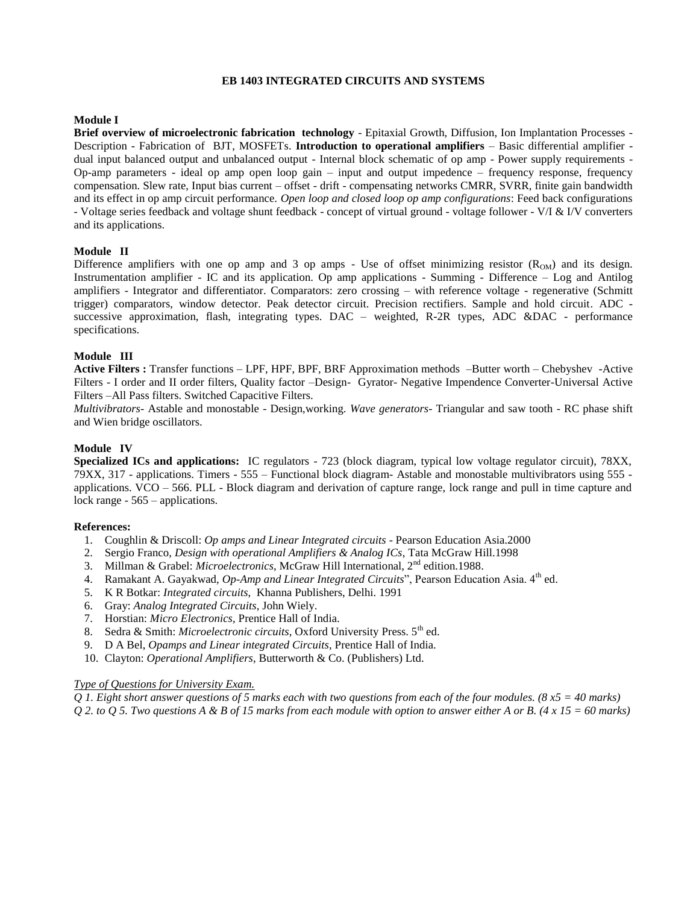#### **EB 1403 INTEGRATED CIRCUITS AND SYSTEMS**

#### **Module I**

**Brief overview of microelectronic fabrication technology** - Epitaxial Growth, Diffusion, Ion Implantation Processes - Description - Fabrication of BJT, MOSFETs. **Introduction to operational amplifiers** – Basic differential amplifier dual input balanced output and unbalanced output - Internal block schematic of op amp - Power supply requirements - Op-amp parameters - ideal op amp open loop gain – input and output impedence – frequency response, frequency compensation. Slew rate, Input bias current – offset - drift - compensating networks CMRR, SVRR, finite gain bandwidth and its effect in op amp circuit performance. *Open loop and closed loop op amp configurations*: Feed back configurations - Voltage series feedback and voltage shunt feedback - concept of virtual ground - voltage follower - V/I & I/V converters and its applications.

#### **Module II**

Difference amplifiers with one op amp and 3 op amps - Use of offset minimizing resistor  $(R_{OM})$  and its design. Instrumentation amplifier - IC and its application. Op amp applications - Summing - Difference – Log and Antilog amplifiers - Integrator and differentiator. Comparators: zero crossing – with reference voltage - regenerative (Schmitt trigger) comparators, window detector. Peak detector circuit. Precision rectifiers. Sample and hold circuit. ADC successive approximation, flash, integrating types. DAC – weighted, R-2R types, ADC &DAC - performance specifications.

#### **Module III**

**Active Filters :** Transfer functions – LPF, HPF, BPF, BRF Approximation methods –Butter worth – Chebyshev -Active Filters - I order and II order filters, Quality factor –Design- Gyrator- Negative Impendence Converter-Universal Active Filters –All Pass filters. Switched Capacitive Filters.

*Multivibrators*- Astable and monostable - Design,working. *Wave generators*- Triangular and saw tooth - RC phase shift and Wien bridge oscillators.

#### **Module IV**

**Specialized ICs and applications:** IC regulators - 723 (block diagram, typical low voltage regulator circuit), 78XX, 79XX, 317 - applications. Timers - 555 – Functional block diagram- Astable and monostable multivibrators using 555 applications. VCO – 566. PLL - Block diagram and derivation of capture range, lock range and pull in time capture and lock range - 565 – applications.

#### **References:**

- 1. Coughlin & Driscoll: *Op amps and Linear Integrated circuits* Pearson Education Asia.2000
- 2. Sergio Franco, *Design with operational Amplifiers & Analog ICs*, Tata McGraw Hill.1998
- 3. Millman & Grabel: *Microelectronics*, McGraw Hill International, 2nd edition.1988.
- 4. Ramakant A. Gayakwad, *Op-Amp and Linear Integrated Circuits*", Pearson Education Asia. 4<sup>th</sup> ed.
- 5. K R Botkar: *Integrated circuits*, Khanna Publishers, Delhi. 1991
- 6. Gray: *Analog Integrated Circuits*, John Wiely.
- 7. Horstian: *Micro Electronics*, Prentice Hall of India.
- 8. Sedra & Smith: *Microelectronic circuits*, Oxford University Press. 5<sup>th</sup> ed.
- 9. D A Bel, *Opamps and Linear integrated Circuits*, Prentice Hall of India.
- 10. Clayton: *Operational Amplifiers*, Butterworth & Co. (Publishers) Ltd.

#### *Type of Questions for University Exam.*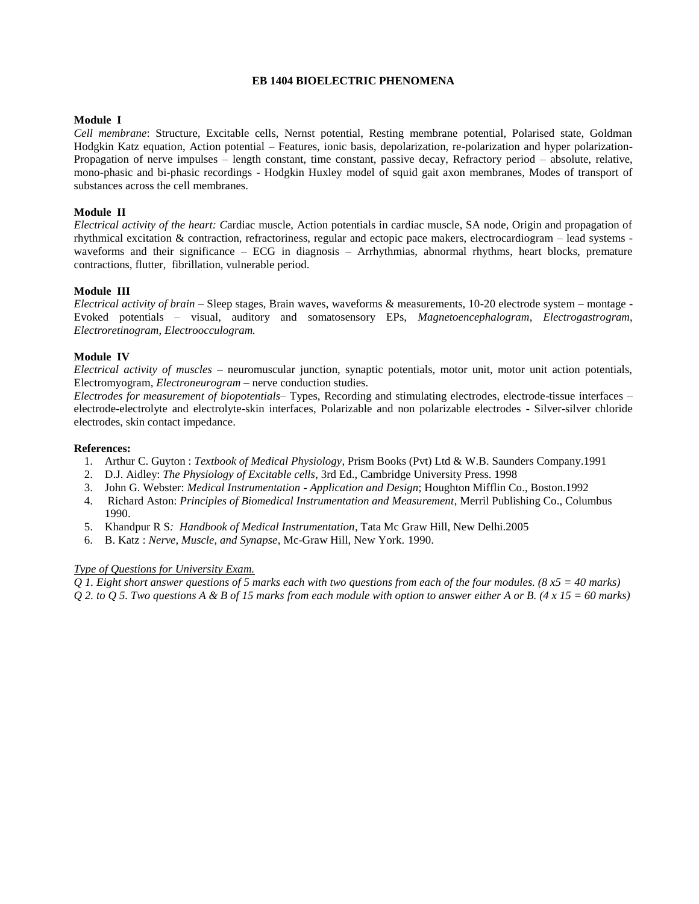#### **EB 1404 BIOELECTRIC PHENOMENA**

#### **Module I**

*Cell membrane*: Structure, Excitable cells, Nernst potential, Resting membrane potential, Polarised state, Goldman Hodgkin Katz equation, Action potential – Features, ionic basis, depolarization, re-polarization and hyper polarization-Propagation of nerve impulses – length constant, time constant, passive decay, Refractory period – absolute, relative, mono-phasic and bi-phasic recordings - Hodgkin Huxley model of squid gait axon membranes, Modes of transport of substances across the cell membranes.

#### **Module II**

*Electrical activity of the heart: C*ardiac muscle, Action potentials in cardiac muscle, SA node, Origin and propagation of rhythmical excitation & contraction, refractoriness, regular and ectopic pace makers, electrocardiogram – lead systems waveforms and their significance – ECG in diagnosis – Arrhythmias, abnormal rhythms, heart blocks, premature contractions, flutter, fibrillation, vulnerable period.

#### **Module III**

*Electrical activity of brain* – Sleep stages, Brain waves, waveforms & measurements, 10-20 electrode system – montage - Evoked potentials – visual, auditory and somatosensory EPs, *Magnetoencephalogram*, *Electrogastrogram*, *Electroretinogram*, *Electroocculogram.*

#### **Module IV**

*Electrical activity of muscles* – neuromuscular junction, synaptic potentials, motor unit, motor unit action potentials, Electromyogram, *Electroneurogram* – nerve conduction studies.

*Electrodes for measurement of biopotentials*– Types, Recording and stimulating electrodes, electrode-tissue interfaces – electrode-electrolyte and electrolyte-skin interfaces, Polarizable and non polarizable electrodes - Silver-silver chloride electrodes, skin contact impedance.

#### **References:**

- 1. Arthur C. Guyton : *Textbook of Medical Physiology*, Prism Books (Pvt) Ltd & W.B. Saunders Company.1991
- 2. D.J. Aidley: *The Physiology of Excitable cells*, 3rd Ed., Cambridge University Press. 1998
- 3. John G. Webster: *Medical Instrumentation - Application and Design*; Houghton Mifflin Co., Boston.1992
- 4. Richard Aston: *Principles of Biomedical Instrumentation and Measurement*, Merril Publishing Co., Columbus 1990.
- 5. Khandpur R S*: Handbook of Medical Instrumentation*, Tata Mc Graw Hill, New Delhi.2005
- 6. B. Katz : *Nerve, Muscle, and Synapse*, Mc-Graw Hill, New York. 1990.

#### *Type of Questions for University Exam.*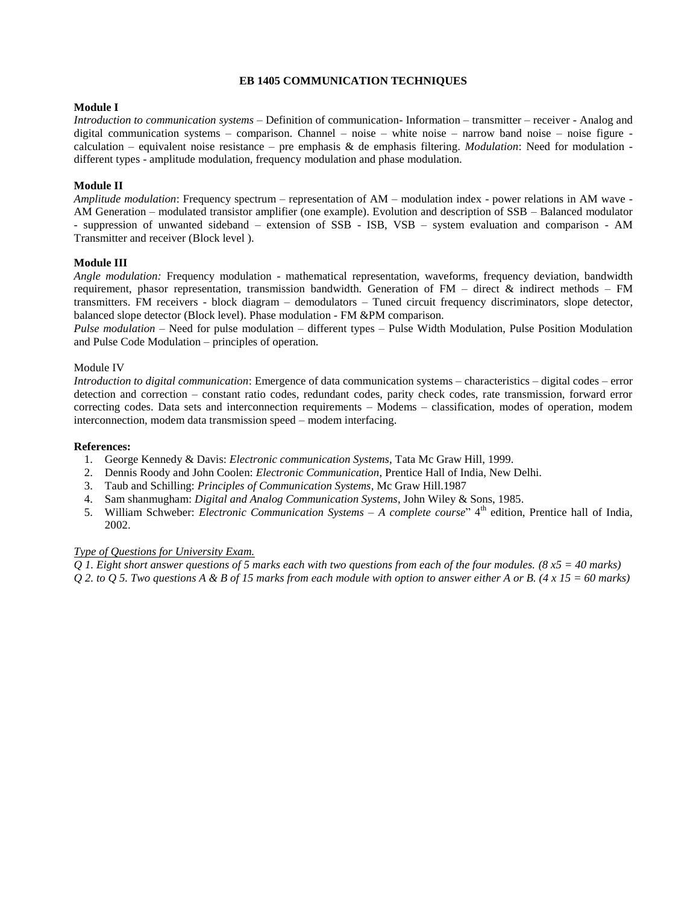#### **EB 1405 COMMUNICATION TECHNIQUES**

#### **Module I**

*Introduction to communication systems* – Definition of communication- Information – transmitter – receiver - Analog and digital communication systems – comparison. Channel – noise – white noise – narrow band noise – noise figure calculation – equivalent noise resistance – pre emphasis & de emphasis filtering. *Modulation*: Need for modulation different types - amplitude modulation, frequency modulation and phase modulation.

#### **Module II**

*Amplitude modulation*: Frequency spectrum – representation of AM – modulation index - power relations in AM wave - AM Generation – modulated transistor amplifier (one example). Evolution and description of SSB – Balanced modulator - suppression of unwanted sideband – extension of SSB - ISB, VSB – system evaluation and comparison - AM Transmitter and receiver (Block level ).

#### **Module III**

*Angle modulation:* Frequency modulation - mathematical representation, waveforms, frequency deviation, bandwidth requirement, phasor representation, transmission bandwidth. Generation of FM – direct & indirect methods – FM transmitters. FM receivers - block diagram – demodulators – Tuned circuit frequency discriminators, slope detector, balanced slope detector (Block level). Phase modulation - FM &PM comparison.

*Pulse modulation* – Need for pulse modulation – different types – Pulse Width Modulation, Pulse Position Modulation and Pulse Code Modulation – principles of operation.

#### Module IV

*Introduction to digital communication*: Emergence of data communication systems – characteristics – digital codes – error detection and correction – constant ratio codes, redundant codes, parity check codes, rate transmission, forward error correcting codes. Data sets and interconnection requirements – Modems – classification, modes of operation, modem interconnection, modem data transmission speed – modem interfacing.

#### **References:**

- 1. George Kennedy & Davis: *Electronic communication Systems*, Tata Mc Graw Hill, 1999.
- 2. Dennis Roody and John Coolen: *Electronic Communication*, Prentice Hall of India, New Delhi.
- 3. Taub and Schilling: *Principles of Communication Systems*, Mc Graw Hill.1987
- 4. Sam shanmugham: *Digital and Analog Communication Systems*, John Wiley & Sons, 1985.
- 5. William Schweber: *Electronic Communication Systems – A complete course*" 4th edition, Prentice hall of India, 2002.

#### *Type of Questions for University Exam.*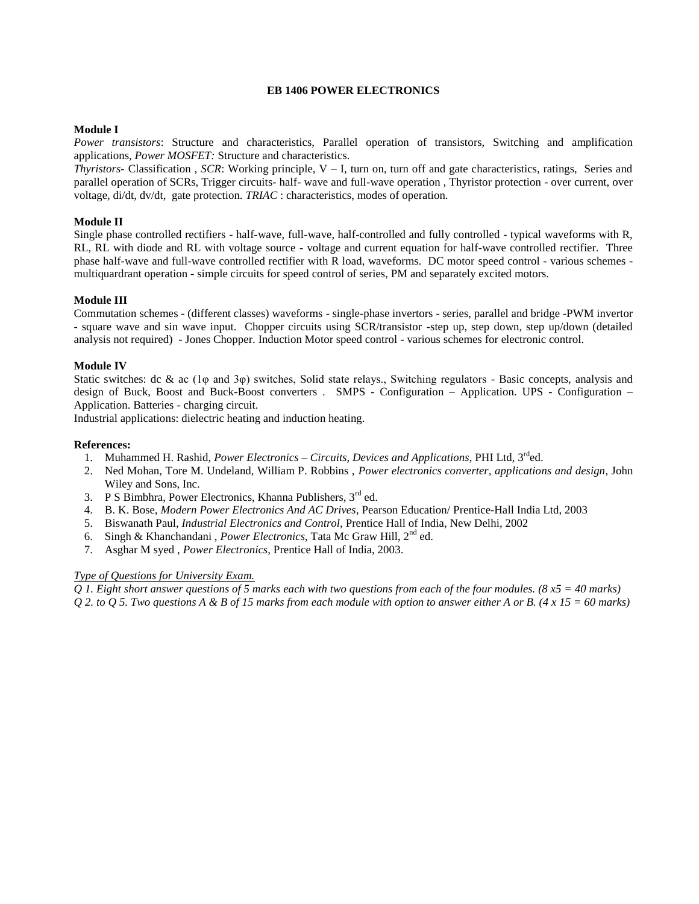#### **EB 1406 POWER ELECTRONICS**

#### **Module I**

*Power transistors*: Structure and characteristics, Parallel operation of transistors, Switching and amplification applications, *Power MOSFET:* Structure and characteristics.

*Thyristors*- Classification , *SCR*: Working principle, V – I, turn on, turn off and gate characteristics, ratings, Series and parallel operation of SCRs, Trigger circuits- half- wave and full-wave operation , Thyristor protection - over current, over voltage, di/dt, dv/dt, gate protection. *TRIAC* : characteristics, modes of operation.

#### **Module II**

Single phase controlled rectifiers - half-wave, full-wave, half-controlled and fully controlled - typical waveforms with R, RL, RL with diode and RL with voltage source - voltage and current equation for half-wave controlled rectifier. Three phase half-wave and full-wave controlled rectifier with R load, waveforms. DC motor speed control - various schemes multiquardrant operation - simple circuits for speed control of series, PM and separately excited motors.

#### **Module III**

Commutation schemes - (different classes) waveforms - single-phase invertors - series, parallel and bridge -PWM invertor - square wave and sin wave input. Chopper circuits using SCR/transistor -step up, step down, step up/down (detailed analysis not required) - Jones Chopper. Induction Motor speed control - various schemes for electronic control.

#### **Module IV**

Static switches: dc & ac (1 $\varphi$  and 3 $\varphi$ ) switches, Solid state relays., Switching regulators - Basic concepts, analysis and design of Buck, Boost and Buck-Boost converters . SMPS - Configuration – Application. UPS - Configuration – Application. Batteries - charging circuit.

Industrial applications: dielectric heating and induction heating.

#### **References:**

- 1. Muhammed H. Rashid, *Power Electronics – Circuits, Devices and Applications*, PHI Ltd, 3rded.
- 2. Ned Mohan, Tore M. Undeland, William P. Robbins , *Power electronics converter, applications and design*, John Wiley and Sons, Inc.
- 3. P S Bimbhra, Power Electronics, Khanna Publishers, 3rd ed.
- 4. B. K. Bose, *Modern Power Electronics And AC Drives*, Pearson Education/ Prentice-Hall India Ltd, 2003
- 5. Biswanath Paul, *Industrial Electronics and Control,* Prentice Hall of India, New Delhi, 2002
- 6. Singh & Khanchandani , *Power Electronics*, Tata Mc Graw Hill, 2nd ed.
- 7. Asghar M syed , *Power Electronics*, Prentice Hall of India, 2003.

#### *Type of Questions for University Exam.*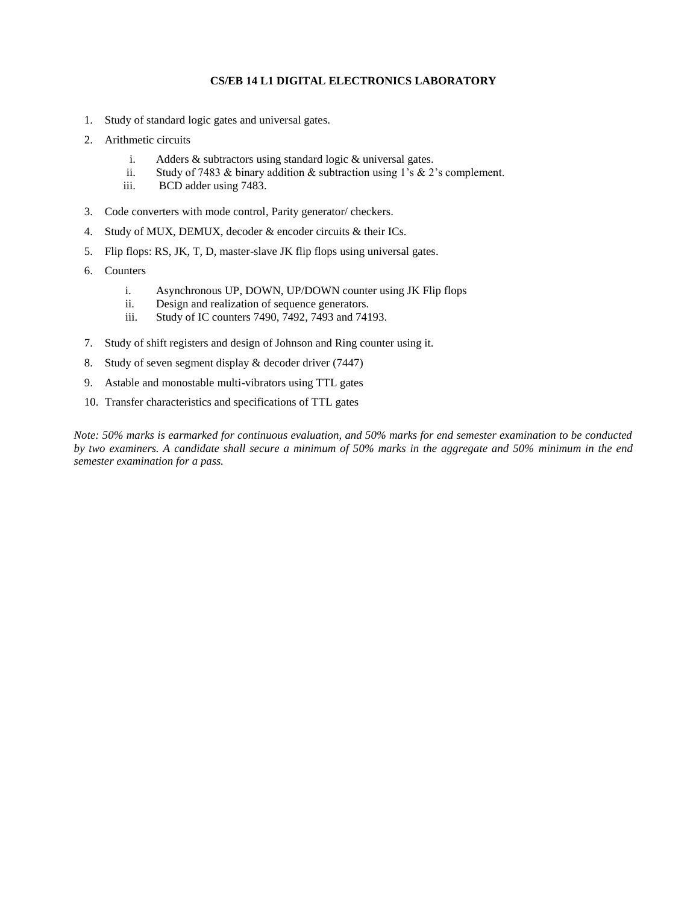#### **CS/EB 14 L1 DIGITAL ELECTRONICS LABORATORY**

- 1. Study of standard logic gates and universal gates.
- 2. Arithmetic circuits
	- i. Adders & subtractors using standard logic & universal gates.
	- ii. Study of 7483 & binary addition & subtraction using 1's & 2's complement.
	- iii. BCD adder using 7483.
- 3. Code converters with mode control, Parity generator/ checkers.
- 4. Study of MUX, DEMUX, decoder & encoder circuits & their ICs.
- 5. Flip flops: RS, JK, T, D, master-slave JK flip flops using universal gates.
- 6. Counters
	- i. Asynchronous UP, DOWN, UP/DOWN counter using JK Flip flops
	- ii. Design and realization of sequence generators.
	- iii. Study of IC counters 7490, 7492, 7493 and 74193.
- 7. Study of shift registers and design of Johnson and Ring counter using it.
- 8. Study of seven segment display & decoder driver (7447)
- 9. Astable and monostable multi-vibrators using TTL gates
- 10. Transfer characteristics and specifications of TTL gates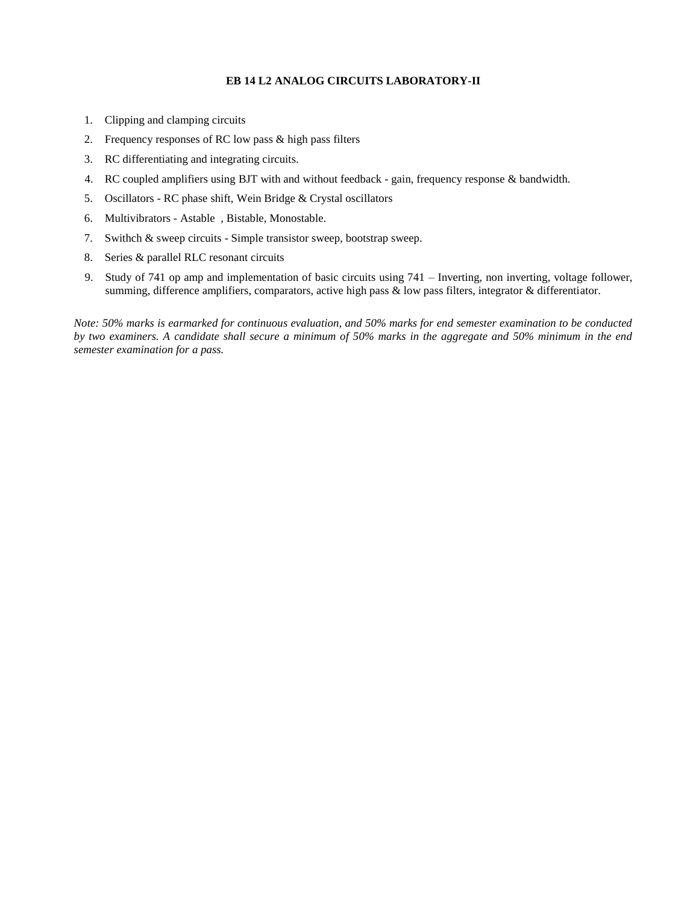#### **EB 14 L2 ANALOG CIRCUITS LABORATORY-II**

- 1. Clipping and clamping circuits
- 2. Frequency responses of RC low pass & high pass filters
- 3. RC differentiating and integrating circuits.
- 4. RC coupled amplifiers using BJT with and without feedback gain, frequency response & bandwidth.
- 5. Oscillators RC phase shift, Wein Bridge & Crystal oscillators
- 6. Multivibrators Astable , Bistable, Monostable.
- 7. Swithch & sweep circuits Simple transistor sweep, bootstrap sweep.
- 8. Series & parallel RLC resonant circuits
- 9. Study of 741 op amp and implementation of basic circuits using 741 Inverting, non inverting, voltage follower, summing, difference amplifiers, comparators, active high pass & low pass filters, integrator & differentiator.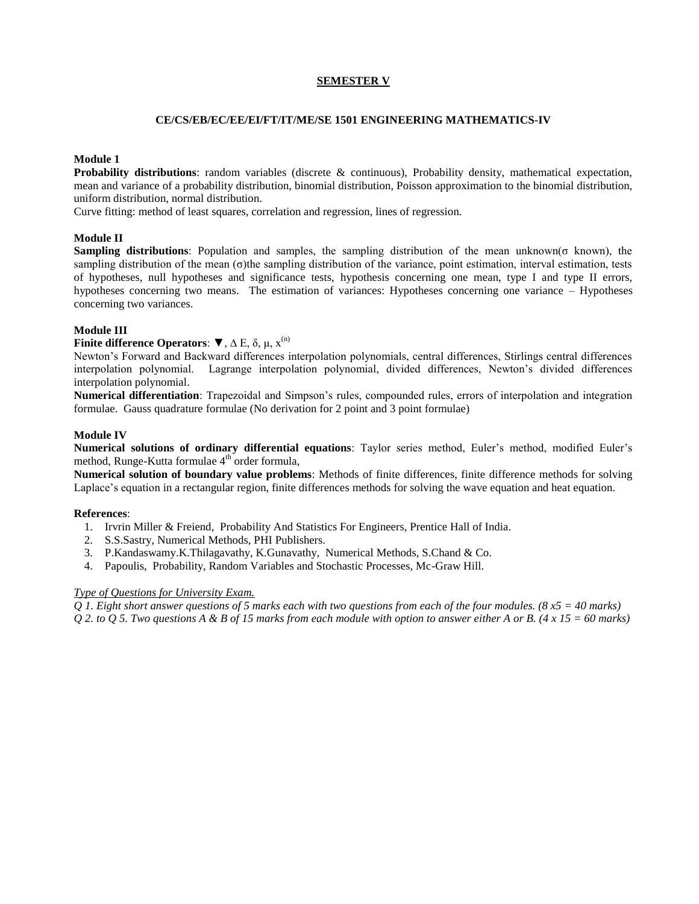#### **SEMESTER V**

#### **CE/CS/EB/EC/EE/EI/FT/IT/ME/SE 1501 ENGINEERING MATHEMATICS-IV**

#### **Module 1**

**Probability distributions**: random variables (discrete & continuous), Probability density, mathematical expectation, mean and variance of a probability distribution, binomial distribution, Poisson approximation to the binomial distribution, uniform distribution, normal distribution.

Curve fitting: method of least squares, correlation and regression, lines of regression.

#### **Module II**

**Sampling distributions**: Population and samples, the sampling distribution of the mean unknown(σ known), the sampling distribution of the mean (σ)the sampling distribution of the variance, point estimation, interval estimation, tests of hypotheses, null hypotheses and significance tests, hypothesis concerning one mean, type I and type II errors, hypotheses concerning two means. The estimation of variances: Hypotheses concerning one variance – Hypotheses concerning two variances.

#### **Module III**

#### **Finite difference Operators:**  $\blacktriangledown$ ,  $\Delta$  E,  $\delta$ ,  $\mu$ ,  $x^{(n)}$

Newton's Forward and Backward differences interpolation polynomials, central differences, Stirlings central differences interpolation polynomial. Lagrange interpolation polynomial, divided differences, Newton's divided differences interpolation polynomial.

**Numerical differentiation**: Trapezoidal and Simpson's rules, compounded rules, errors of interpolation and integration formulae. Gauss quadrature formulae (No derivation for 2 point and 3 point formulae)

#### **Module IV**

**Numerical solutions of ordinary differential equations**: Taylor series method, Euler's method, modified Euler's method, Runge-Kutta formulae  $4<sup>th</sup>$  order formula,

**Numerical solution of boundary value problems**: Methods of finite differences, finite difference methods for solving Laplace's equation in a rectangular region, finite differences methods for solving the wave equation and heat equation.

#### **References**:

- 1. Irvrin Miller & Freiend, Probability And Statistics For Engineers, Prentice Hall of India.
- 2. S.S.Sastry, Numerical Methods, PHI Publishers.
- 3. P.Kandaswamy.K.Thilagavathy, K.Gunavathy, Numerical Methods, S.Chand & Co.
- 4. Papoulis, Probability, Random Variables and Stochastic Processes, Mc-Graw Hill.

#### *Type of Questions for University Exam.*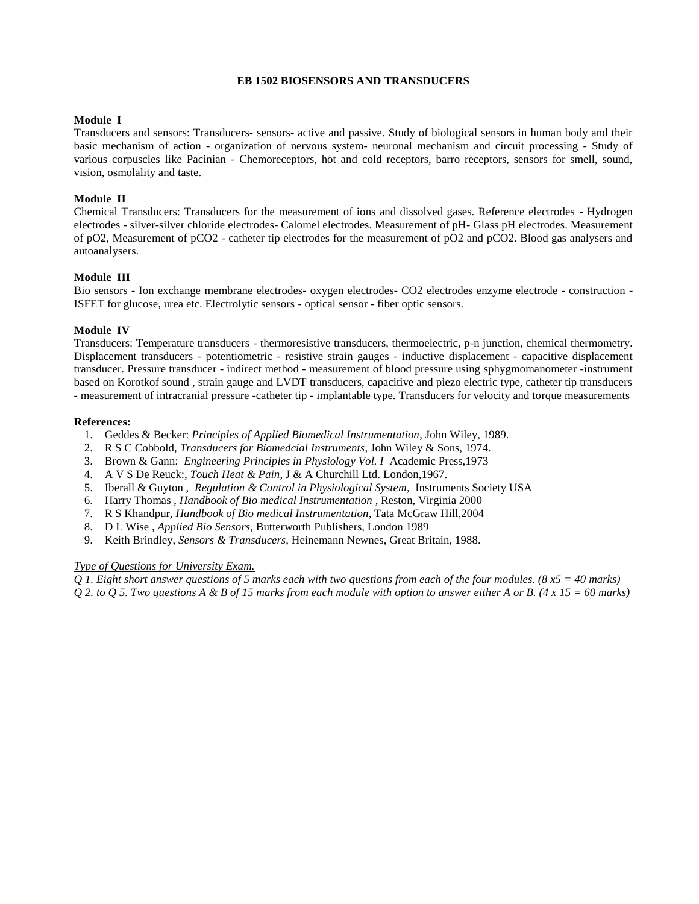#### **EB 1502 BIOSENSORS AND TRANSDUCERS**

### **Module I**

Transducers and sensors: Transducers- sensors- active and passive. Study of biological sensors in human body and their basic mechanism of action - organization of nervous system- neuronal mechanism and circuit processing - Study of various corpuscles like Pacinian - Chemoreceptors, hot and cold receptors, barro receptors, sensors for smell, sound, vision, osmolality and taste.

## **Module II**

Chemical Transducers: Transducers for the measurement of ions and dissolved gases. Reference electrodes - Hydrogen electrodes - silver-silver chloride electrodes- Calomel electrodes. Measurement of pH- Glass pH electrodes. Measurement of pO2, Measurement of pCO2 - catheter tip electrodes for the measurement of pO2 and pCO2. Blood gas analysers and autoanalysers.

### **Module III**

Bio sensors - Ion exchange membrane electrodes- oxygen electrodes- CO2 electrodes enzyme electrode - construction - ISFET for glucose, urea etc. Electrolytic sensors - optical sensor - fiber optic sensors.

### **Module IV**

Transducers: Temperature transducers - thermoresistive transducers, thermoelectric, p-n junction, chemical thermometry. Displacement transducers - potentiometric - resistive strain gauges - inductive displacement - capacitive displacement transducer. Pressure transducer - indirect method - measurement of blood pressure using sphygmomanometer -instrument based on Korotkof sound , strain gauge and LVDT transducers, capacitive and piezo electric type, catheter tip transducers - measurement of intracranial pressure -catheter tip - implantable type. Transducers for velocity and torque measurements

#### **References:**

- 1. Geddes & Becker: *Principles of Applied Biomedical Instrumentation*, John Wiley, 1989.
- 2. R S C Cobbold, *Transducers for Biomedcial Instruments*, John Wiley & Sons, 1974.
- 3. Brown & Gann: *Engineering Principles in Physiology Vol. I* Academic Press,1973
- 4. A V S De Reuck:, *Touch Heat & Pain*, J & A Churchill Ltd. London,1967.
- 5. Iberall & Guyton , *Regulation & Control in Physiological System*, Instruments Society USA
- 6. Harry Thomas , *Handbook of Bio medical Instrumentation* , Reston, Virginia 2000
- 7. R S Khandpur, *Handbook of Bio medical Instrumentation*, Tata McGraw Hill,2004
- 8. D L Wise , *Applied Bio Sensors*, Butterworth Publishers, London 1989
- 9. Keith Brindley, *Sensors & Transducers*, Heinemann Newnes, Great Britain, 1988.

#### *Type of Questions for University Exam.*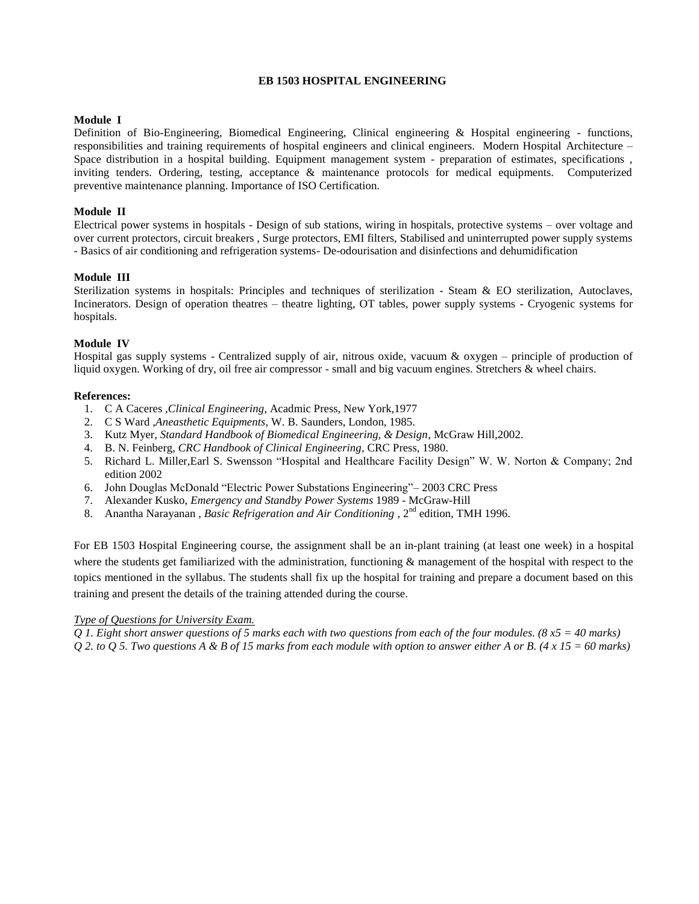# **EB 1503 HOSPITAL ENGINEERING**

### **Module I**

Definition of Bio-Engineering, Biomedical Engineering, Clinical engineering & Hospital engineering - functions, responsibilities and training requirements of hospital engineers and clinical engineers. Modern Hospital Architecture – Space distribution in a hospital building. Equipment management system - preparation of estimates, specifications , inviting tenders. Ordering, testing, acceptance & maintenance protocols for medical equipments. Computerized preventive maintenance planning. Importance of ISO Certification.

### **Module II**

Electrical power systems in hospitals - Design of sub stations, wiring in hospitals, protective systems – over voltage and over current protectors, circuit breakers , Surge protectors, EMI filters, Stabilised and uninterrupted power supply systems - Basics of air conditioning and refrigeration systems- De-odourisation and disinfections and dehumidification

### **Module III**

Sterilization systems in hospitals: Principles and techniques of sterilization - Steam & EO sterilization, Autoclaves, Incinerators. Design of operation theatres – theatre lighting, OT tables, power supply systems - Cryogenic systems for hospitals.

### **Module IV**

Hospital gas supply systems - Centralized supply of air, nitrous oxide, vacuum & oxygen – principle of production of liquid oxygen. Working of dry, oil free air compressor - small and big vacuum engines. Stretchers & wheel chairs.

### **References:**

- 1. C A Caceres ,*Clinical Engineering*, Acadmic Press, New York,1977
- 2. C S Ward ,*Aneasthetic Equipments*, W. B. Saunders, London, 1985.
- 3. Kutz Myer, *Standard Handbook of Biomedical Engineering, & Design*, McGraw Hill,2002.
- 4. B. N. Feinberg, *CRC Handbook of Clinical Engineering*, CRC Press, 1980.
- 5. [Richard L. Miller,](http://www.amazon.com/exec/obidos/search-handle-url/102-4748113-3231307?%5Fencoding=UTF8&search-type=ss&index=books&field-author=Richard%20L.%20Miller)[Earl S. Swensson](http://www.amazon.com/exec/obidos/search-handle-url/102-4748113-3231307?%5Fencoding=UTF8&search-type=ss&index=books&field-author=Earl%20S.%20Swensson) "Hospital and Healthcare Facility Design" W. W. Norton & Company; 2nd edition 2002
- 6. John Douglas McDonald "Electric Power Substations Engineering"– 2003 CRC Press
- 7. Alexander Kusko, *Emergency and Standby Power Systems* 1989 McGraw-Hill
- 8. Anantha Narayanan , *Basic Refrigeration and Air Conditioning*, 2<sup>nd</sup> edition, TMH 1996.

For EB 1503 Hospital Engineering course, the assignment shall be an in-plant training (at least one week) in a hospital where the students get familiarized with the administration, functioning  $\&$  management of the hospital with respect to the topics mentioned in the syllabus. The students shall fix up the hospital for training and prepare a document based on this training and present the details of the training attended during the course.

#### *Type of Questions for University Exam.*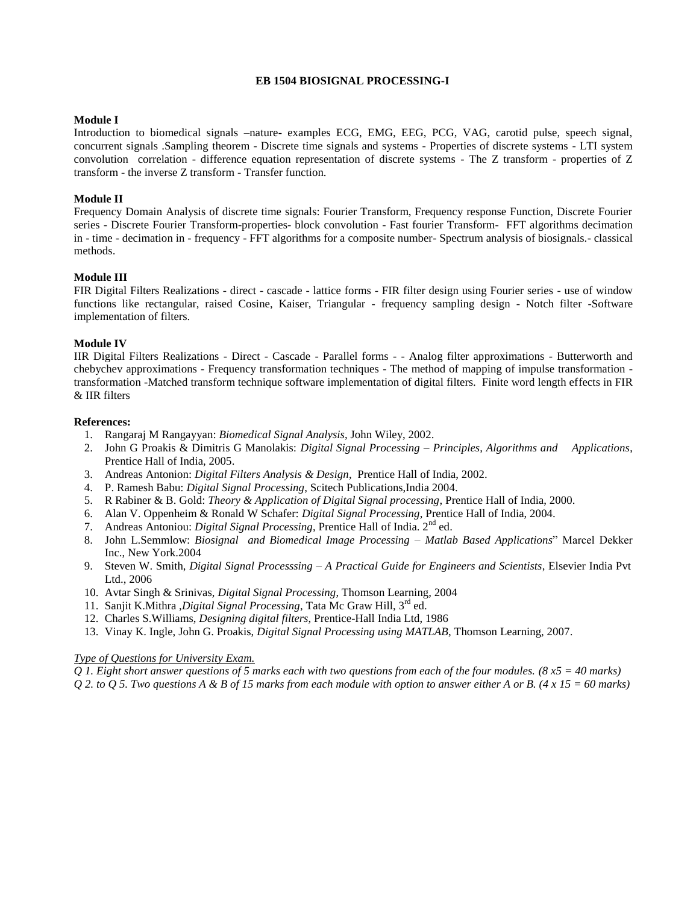#### **EB 1504 BIOSIGNAL PROCESSING-I**

#### **Module I**

Introduction to biomedical signals –nature- examples ECG, EMG, EEG, PCG, VAG, carotid pulse, speech signal, concurrent signals .Sampling theorem - Discrete time signals and systems - Properties of discrete systems - LTI system convolution correlation - difference equation representation of discrete systems - The Z transform - properties of Z transform - the inverse Z transform - Transfer function.

#### **Module II**

Frequency Domain Analysis of discrete time signals: Fourier Transform, Frequency response Function, Discrete Fourier series - Discrete Fourier Transform-properties- block convolution - Fast fourier Transform- FFT algorithms decimation in - time - decimation in - frequency - FFT algorithms for a composite number- Spectrum analysis of biosignals.- classical methods.

#### **Module III**

FIR Digital Filters Realizations - direct - cascade - lattice forms - FIR filter design using Fourier series - use of window functions like rectangular, raised Cosine, Kaiser, Triangular - frequency sampling design - Notch filter -Software implementation of filters.

#### **Module IV**

IIR Digital Filters Realizations - Direct - Cascade - Parallel forms - - Analog filter approximations - Butterworth and chebychev approximations - Frequency transformation techniques - The method of mapping of impulse transformation transformation -Matched transform technique software implementation of digital filters. Finite word length effects in FIR & IIR filters

#### **References:**

- 1. Rangaraj M Rangayyan: *Biomedical Signal Analysis*, John Wiley, 2002.
- 2. John G Proakis & Dimitris G Manolakis: *Digital Signal Processing – Principles, Algorithms and Applications*, Prentice Hall of India, 2005.
- 3. Andreas Antonion: *Digital Filters Analysis & Design*, Prentice Hall of India, 2002.
- 4. P. Ramesh Babu: *Digital Signal Processing*, Scitech Publications,India 2004.
- 5. R Rabiner & B. Gold: *Theory & Application of Digital Signal processing*, Prentice Hall of India, 2000.
- 6. Alan V. Oppenheim & Ronald W Schafer: *Digital Signal Processing*, Prentice Hall of India, 2004.
- 7. Andreas Antoniou: *Digital Signal Processing*, Prentice Hall of India. 2nd ed.
- 8. John L.Semmlow: *Biosignal and Biomedical Image Processing – Matlab Based Applications*" Marcel Dekker Inc., New York.2004
- 9. Steven W. Smith, *Digital Signal Processsing – A Practical Guide for Engineers and Scientists*, Elsevier India Pvt Ltd., 2006
- 10. Avtar Singh & Srinivas, *Digital Signal Processing*, Thomson Learning, 2004
- 11. Sanjit K.Mithra ,*Digital Signal Processing*, Tata Mc Graw Hill, 3rd ed.
- 12. Charles S.Williams, *Designing digital filters*, Prentice-Hall India Ltd, 1986
- 13. Vinay K. Ingle, John G. Proakis, *Digital Signal Processing using MATLAB*, Thomson Learning, 2007.

#### *Type of Questions for University Exam.*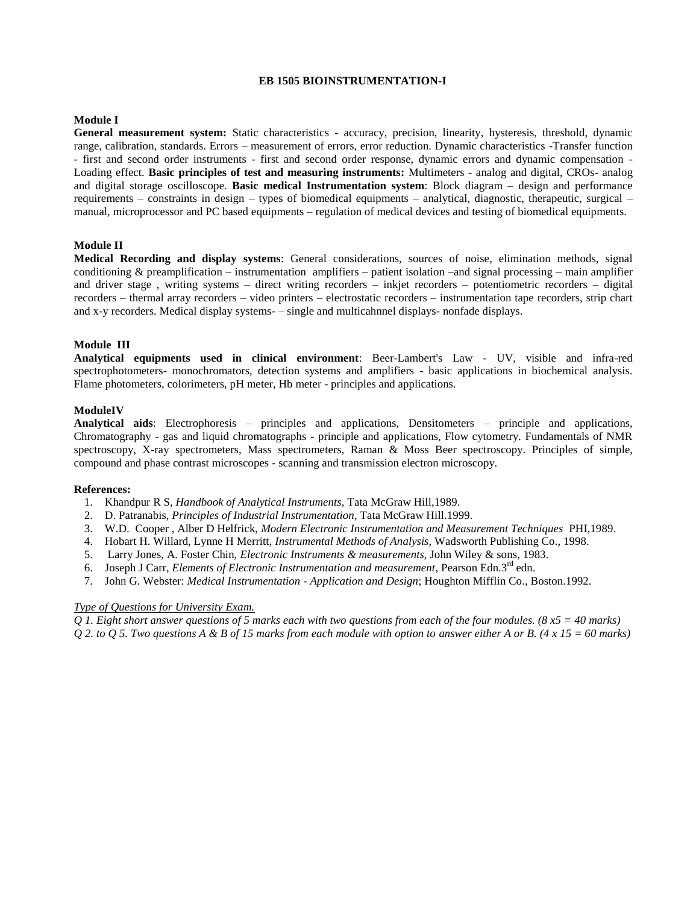#### **EB 1505 BIOINSTRUMENTATION-I**

#### **Module I**

**General measurement system:** Static characteristics - accuracy, precision, linearity, hysteresis, threshold, dynamic range, calibration, standards. Errors – measurement of errors, error reduction. Dynamic characteristics -Transfer function - first and second order instruments - first and second order response, dynamic errors and dynamic compensation - Loading effect. **Basic principles of test and measuring instruments:** Multimeters - analog and digital, CROs- analog and digital storage oscilloscope. **Basic medical Instrumentation system**: Block diagram – design and performance requirements – constraints in design – types of biomedical equipments – analytical, diagnostic, therapeutic, surgical – manual, microprocessor and PC based equipments – regulation of medical devices and testing of biomedical equipments.

### **Module II**

**Medical Recording and display systems**: General considerations, sources of noise, elimination methods, signal conditioning & preamplification – instrumentation amplifiers – patient isolation –and signal processing – main amplifier and driver stage, writing systems – direct writing recorders – inkjet recorders – potentiometric recorders – digital recorders – thermal array recorders – video printers – electrostatic recorders – instrumentation tape recorders, strip chart and x-y recorders. Medical display systems- – single and multicahnnel displays- nonfade displays.

#### **Module III**

**Analytical equipments used in clinical environment**: Beer-Lambert's Law - UV, visible and infra-red spectrophotometers- monochromators, detection systems and amplifiers - basic applications in biochemical analysis. Flame photometers, colorimeters, pH meter, Hb meter - principles and applications.

#### **ModuleIV**

**Analytical aids**: Electrophoresis – principles and applications, Densitometers – principle and applications, Chromatography - gas and liquid chromatographs - principle and applications, Flow cytometry. Fundamentals of NMR spectroscopy, X-ray spectrometers, Mass spectrometers, Raman & Moss Beer spectroscopy. Principles of simple, compound and phase contrast microscopes - scanning and transmission electron microscopy.

#### **References:**

- 1. Khandpur R S, *Handbook of Analytical Instruments*, Tata McGraw Hill,1989.
- 2. D. Patranabis, *Principles of Industrial Instrumentation*, Tata McGraw Hill.1999.
- 3. W.D. Cooper , Alber D Helfrick, *Modern Electronic Instrumentation and Measurement Techniques* PHI,1989.
- 4. Hobart H. Willard, Lynne H Merritt, *Instrumental Methods of Analysis*, Wadsworth Publishing Co., 1998.
- 5. Larry Jones, A. Foster Chin, *Electronic Instruments & measurements*, John Wiley & sons, 1983.
- 6. Joseph J Carr, *Elements of Electronic Instrumentation and measurement*, Pearson Edn.3rd edn.
- 7. John G. Webster: *Medical Instrumentation - Application and Design*; Houghton Mifflin Co., Boston.1992.

#### *Type of Questions for University Exam.*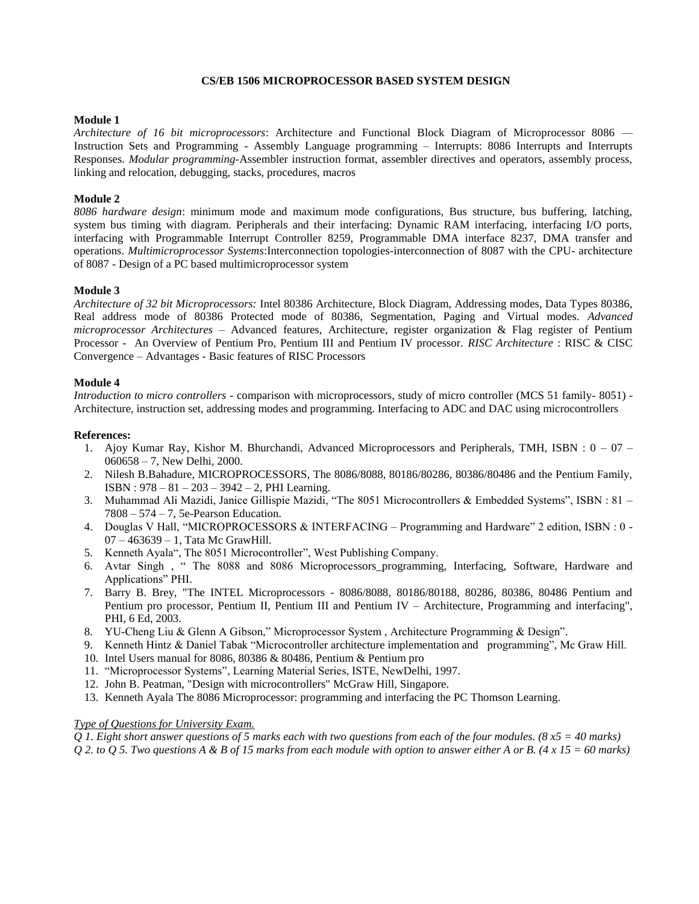#### **CS/EB 1506 MICROPROCESSOR BASED SYSTEM DESIGN**

#### **Module 1**

*Architecture of 16 bit microprocessors*: Architecture and Functional Block Diagram of Microprocessor 8086 –– Instruction Sets and Programming - Assembly Language programming – Interrupts: 8086 Interrupts and Interrupts Responses. *Modular programming*-Assembler instruction format, assembler directives and operators, assembly process, linking and relocation, debugging, stacks, procedures, macros

#### **Module 2**

*8086 hardware design*: minimum mode and maximum mode configurations, Bus structure, bus buffering, latching, system bus timing with diagram. Peripherals and their interfacing: Dynamic RAM interfacing, interfacing I/O ports, interfacing with Programmable Interrupt Controller 8259, Programmable DMA interface 8237, DMA transfer and operations. *Multimicroprocessor Systems*:Interconnection topologies-interconnection of 8087 with the CPU- architecture of 8087 - Design of a PC based multimicroprocessor system

#### **Module 3**

*Architecture of 32 bit Microprocessors:* Intel 80386 Architecture, Block Diagram, Addressing modes, Data Types 80386, Real address mode of 80386 Protected mode of 80386, Segmentation, Paging and Virtual modes. *Advanced microprocessor Architectures –* Advanced features, Architecture, register organization & Flag register of Pentium Processor - An Overview of Pentium Pro, Pentium III and Pentium IV processor. *RISC Architecture* : RISC & CISC Convergence – Advantages - Basic features of RISC Processors

#### **Module 4**

*Introduction to micro controllers* - comparison with microprocessors, study of micro controller (MCS 51 family- 8051) - Architecture, instruction set, addressing modes and programming. Interfacing to ADC and DAC using microcontrollers

#### **References:**

- 1. Ajoy Kumar Ray, Kishor M. Bhurchandi, Advanced Microprocessors and Peripherals, TMH, ISBN : 0 07 060658 – 7, New Delhi, 2000.
- 2. Nilesh B.Bahadure, MICROPROCESSORS, The 8086/8088, 80186/80286, 80386/80486 and the Pentium Family, ISBN : 978 – 81 – 203 – 3942 – 2, PHI Learning.
- 3. Muhammad Ali Mazidi, Janice Gillispie Mazidi, "The 8051 Microcontrollers & Embedded Systems", ISBN : 81 7808 – 574 – 7, 5e-Pearson Education.
- 4. Douglas V Hall, "MICROPROCESSORS & INTERFACING Programming and Hardware" 2 edition, ISBN : 0 -07 – 463639 – 1, Tata Mc GrawHill.
- 5. Kenneth Ayala", The 8051 Microcontroller", West Publishing Company.
- 6. Avtar Singh , " The 8088 and 8086 Microprocessors\_programming, Interfacing, Software, Hardware and Applications" PHI.
- 7. Barry B. Brey, "The INTEL Microprocessors 8086/8088, 80186/80188, 80286, 80386, 80486 Pentium and Pentium pro processor, Pentium II, Pentium III and Pentium IV – Architecture, Programming and interfacing", PHI, 6 Ed, 2003.
- 8. YU-Cheng Liu & Glenn A Gibson," Microprocessor System , Architecture Programming & Design".
- 9. Kenneth Hintz & Daniel Tabak "Microcontroller architecture implementation and programming", Mc Graw Hill.
- 10. Intel Users manual for 8086, 80386 & 80486, Pentium & Pentium pro
- 11. "Microprocessor Systems", Learning Material Series, ISTE, NewDelhi, 1997.
- 12. John B. Peatman, "Design with microcontrollers" McGraw Hill, Singapore.
- 13. Kenneth Ayala The 8086 Microprocessor: programming and interfacing the PC Thomson Learning.

#### *Type of Questions for University Exam.*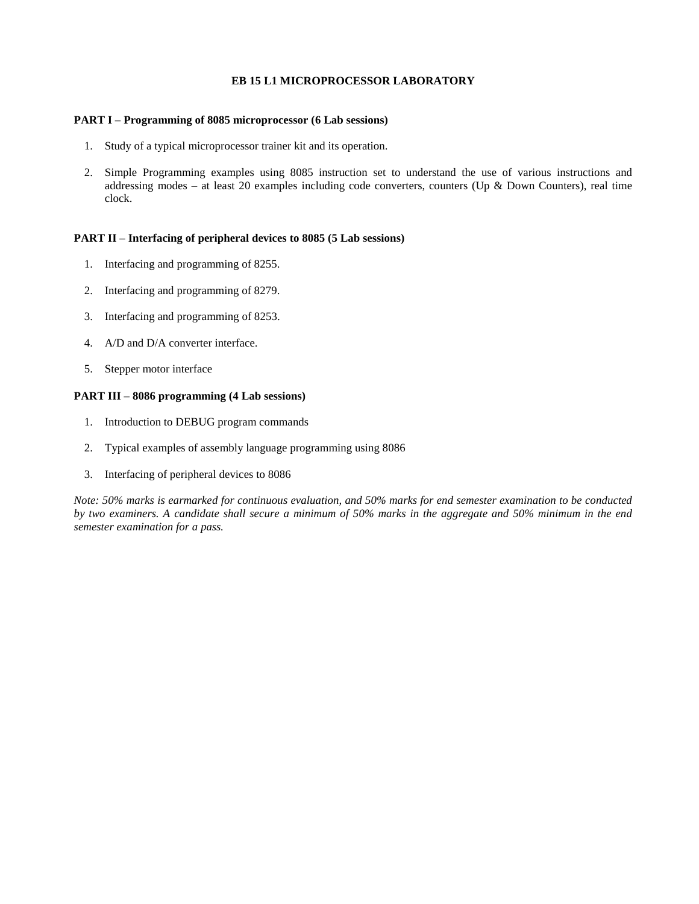## **EB 15 L1 MICROPROCESSOR LABORATORY**

#### **PART I – Programming of 8085 microprocessor (6 Lab sessions)**

- 1. Study of a typical microprocessor trainer kit and its operation.
- 2. Simple Programming examples using 8085 instruction set to understand the use of various instructions and addressing modes – at least 20 examples including code converters, counters (Up & Down Counters), real time clock.

#### **PART II – Interfacing of peripheral devices to 8085 (5 Lab sessions)**

- 1. Interfacing and programming of 8255.
- 2. Interfacing and programming of 8279.
- 3. Interfacing and programming of 8253.
- 4. A/D and D/A converter interface.
- 5. Stepper motor interface

### **PART III – 8086 programming (4 Lab sessions)**

- 1. Introduction to DEBUG program commands
- 2. Typical examples of assembly language programming using 8086
- 3. Interfacing of peripheral devices to 8086

*Note: 50% marks is earmarked for continuous evaluation, and 50% marks for end semester examination to be conducted by two examiners. A candidate shall secure a minimum of 50% marks in the aggregate and 50% minimum in the end semester examination for a pass.*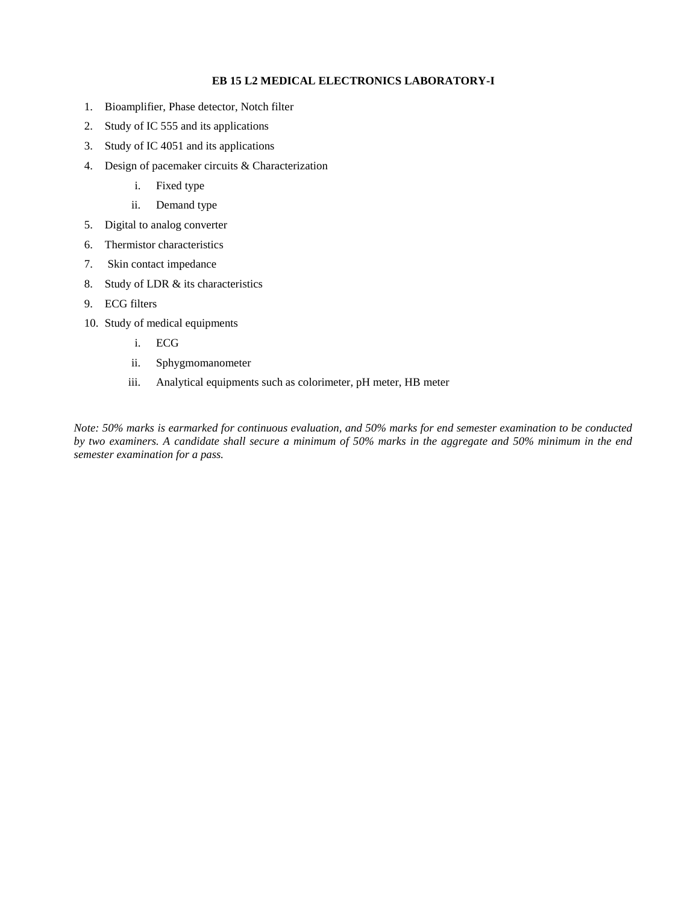### **EB 15 L2 MEDICAL ELECTRONICS LABORATORY-I**

- 1. Bioamplifier, Phase detector, Notch filter
- 2. Study of IC 555 and its applications
- 3. Study of IC 4051 and its applications
- 4. Design of pacemaker circuits & Characterization
	- i. Fixed type
	- ii. Demand type
- 5. Digital to analog converter
- 6. Thermistor characteristics
- 7. Skin contact impedance
- 8. Study of LDR & its characteristics
- 9. ECG filters
- 10. Study of medical equipments
	- i. ECG
	- ii. Sphygmomanometer
	- iii. Analytical equipments such as colorimeter, pH meter, HB meter

*Note: 50% marks is earmarked for continuous evaluation, and 50% marks for end semester examination to be conducted by two examiners. A candidate shall secure a minimum of 50% marks in the aggregate and 50% minimum in the end semester examination for a pass.*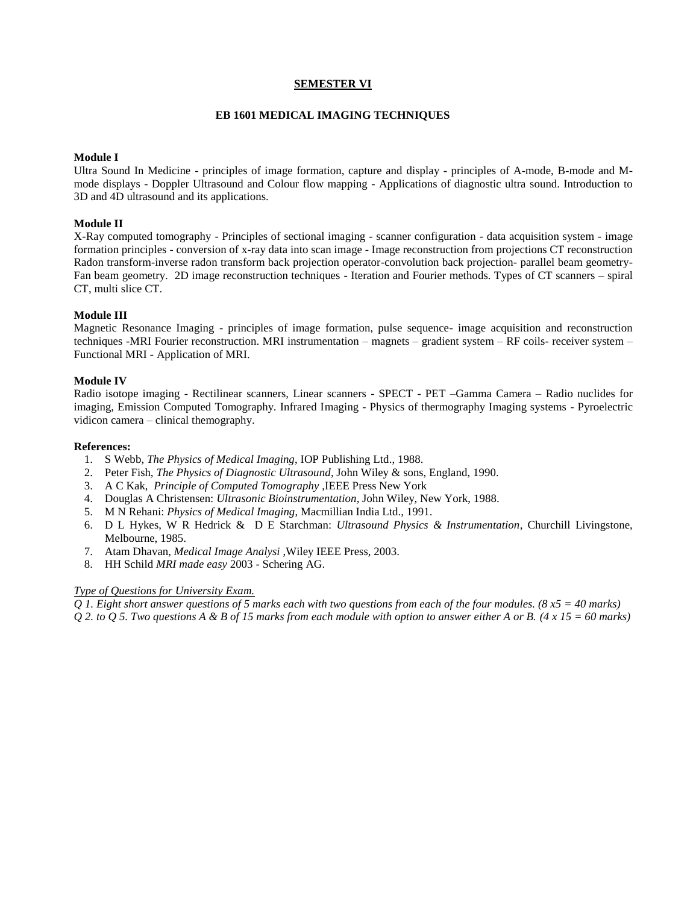## **SEMESTER VI**

#### **EB 1601 MEDICAL IMAGING TECHNIQUES**

#### **Module I**

Ultra Sound In Medicine - principles of image formation, capture and display - principles of A-mode, B-mode and Mmode displays - Doppler Ultrasound and Colour flow mapping - Applications of diagnostic ultra sound. Introduction to 3D and 4D ultrasound and its applications.

## **Module II**

X-Ray computed tomography - Principles of sectional imaging - scanner configuration - data acquisition system - image formation principles - conversion of x-ray data into scan image - Image reconstruction from projections CT reconstruction Radon transform-inverse radon transform back projection operator-convolution back projection- parallel beam geometry-Fan beam geometry. 2D image reconstruction techniques - Iteration and Fourier methods. Types of CT scanners – spiral CT, multi slice CT.

### **Module III**

Magnetic Resonance Imaging - principles of image formation, pulse sequence- image acquisition and reconstruction techniques -MRI Fourier reconstruction. MRI instrumentation – magnets – gradient system – RF coils- receiver system – Functional MRI - Application of MRI.

#### **Module IV**

Radio isotope imaging - Rectilinear scanners, Linear scanners - SPECT - PET –Gamma Camera – Radio nuclides for imaging, Emission Computed Tomography. Infrared Imaging - Physics of thermography Imaging systems - Pyroelectric vidicon camera – clinical themography.

#### **References:**

- 1. S Webb, *The Physics of Medical Imaging*, IOP Publishing Ltd., 1988.
- 2. Peter Fish, *The Physics of Diagnostic Ultrasound*, John Wiley & sons, England, 1990.
- 3. A C Kak, *Principle of Computed Tomography* ,IEEE Press New York
- 4. Douglas A Christensen: *Ultrasonic Bioinstrumentation*, John Wiley, New York, 1988.
- 5. M N Rehani: *Physics of Medical Imaging*, Macmillian India Ltd., 1991.
- 6. D L Hykes, W R Hedrick & D E Starchman: *Ultrasound Physics & Instrumentation*, Churchill Livingstone, Melbourne, 1985.
- 7. Atam Dhavan, *Medical Image Analysi* ,Wiley IEEE Press, 2003.
- 8. HH Schild *MRI made easy* 2003 Schering AG.

# *Type of Questions for University Exam.*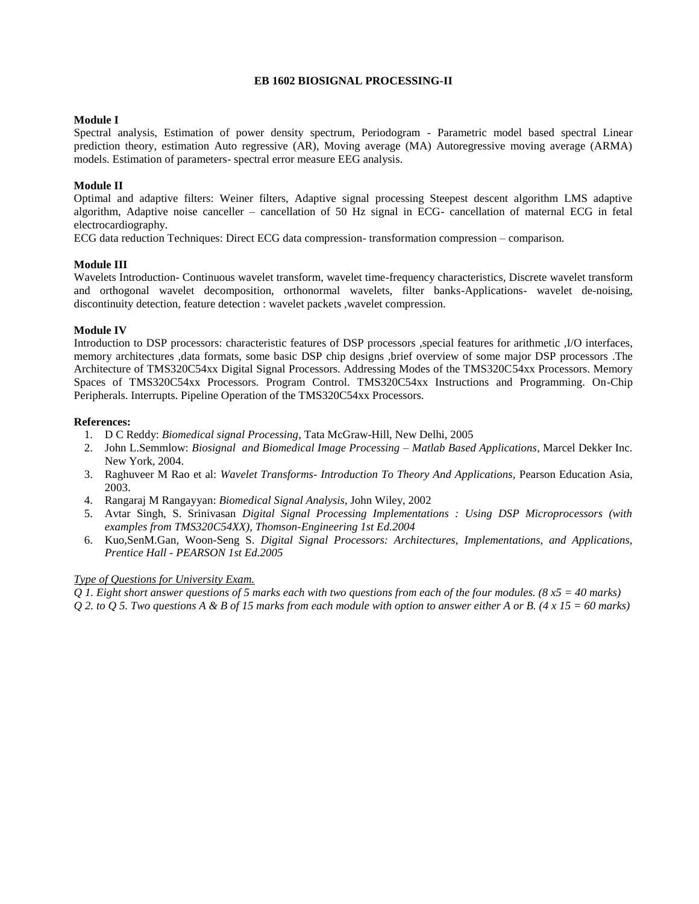### **EB 1602 BIOSIGNAL PROCESSING-II**

### **Module I**

Spectral analysis, Estimation of power density spectrum, Periodogram - Parametric model based spectral Linear prediction theory, estimation Auto regressive (AR), Moving average (MA) Autoregressive moving average (ARMA) models. Estimation of parameters- spectral error measure EEG analysis.

## **Module II**

Optimal and adaptive filters: Weiner filters, Adaptive signal processing Steepest descent algorithm LMS adaptive algorithm, Adaptive noise canceller – cancellation of 50 Hz signal in ECG- cancellation of maternal ECG in fetal electrocardiography.

ECG data reduction Techniques: Direct ECG data compression- transformation compression – comparison.

### **Module III**

Wavelets Introduction- Continuous wavelet transform, wavelet time-frequency characteristics, Discrete wavelet transform and orthogonal wavelet decomposition, orthonormal wavelets, filter banks-Applications- wavelet de-noising, discontinuity detection, feature detection : wavelet packets ,wavelet compression.

### **Module IV**

Introduction to DSP processors: [characteristic features of DSP processors](http://www.bores.com/courses/intro/chips/6_basics.htm) [,special features for arithmetic](http://www.bores.com/courses/intro/chips/6_maths.htm) [,I/O interfaces,](http://www.bores.com/courses/intro/chips/6_world.htm) [memory architectures](http://www.bores.com/courses/intro/chips/6_mem.htm) [,data formats,](http://www.bores.com/courses/intro/chips/6_data.htm) [some basic DSP chip designs](http://www.bores.com/courses/intro/chips/6_chips.htm) [,brief overview of some major DSP processors](http://www.bores.com/courses/intro/chips/6_dsp32c.htm) .The Architecture of TMS320C54xx Digital Signal Processors. Addressing Modes of the TMS320C54xx Processors. Memory Spaces of TMS320C54xx Processors. Program Control. TMS320C54xx Instructions and Programming. On-Chip Peripherals. Interrupts. Pipeline Operation of the TMS320C54xx Processors.

#### **References:**

- 1. D C Reddy: *Biomedical signal Processing*, Tata McGraw-Hill, New Delhi, 2005
- 2. John L.Semmlow: *Biosignal and Biomedical Image Processing – Matlab Based Applications*, Marcel Dekker Inc. New York, 2004.
- 3. Raghuveer M Rao et al: *Wavelet Transforms- Introduction To Theory And Applications,* Pearson Education Asia, 2003.
- 4. Rangaraj M Rangayyan: *Biomedical Signal Analysis*, John Wiley, 2002
- 5. Avtar Singh, S. Srinivasan *Digital Signal Processing Implementations : Using DSP Microprocessors (with examples from TMS320C54XX), Thomson-Engineering 1st Ed.2004*
- 6. Kuo,SenM.Gan, Woon-Seng S. *Digital Signal Processors: Architectures, Implementations, and Applications, Prentice Hall - PEARSON 1st Ed.2005*

# *Type of Questions for University Exam.*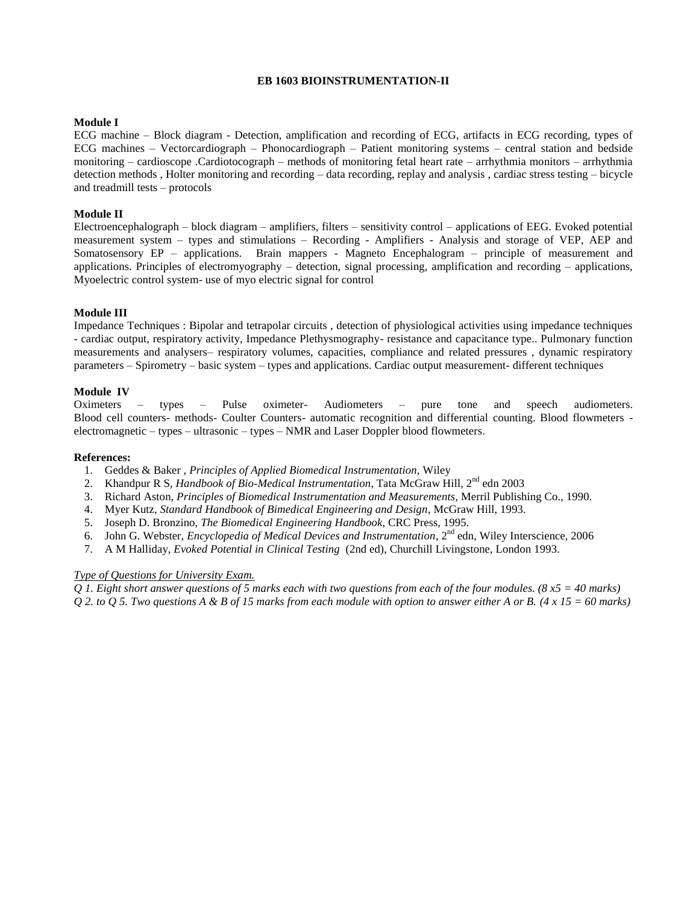## **EB 1603 BIOINSTRUMENTATION-II**

## **Module I**

ECG machine – Block diagram - Detection, amplification and recording of ECG, artifacts in ECG recording, types of ECG machines – Vectorcardiograph – Phonocardiograph – Patient monitoring systems – central station and bedside monitoring – cardioscope .Cardiotocograph – methods of monitoring fetal heart rate – arrhythmia monitors – arrhythmia detection methods , Holter monitoring and recording – data recording, replay and analysis , cardiac stress testing – bicycle and treadmill tests – protocols

#### **Module II**

Electroencephalograph – block diagram – amplifiers, filters – sensitivity control – applications of EEG. Evoked potential measurement system – types and stimulations – Recording - Amplifiers - Analysis and storage of VEP, AEP and Somatosensory EP – applications. Brain mappers - Magneto Encephalogram – principle of measurement and applications. Principles of electromyography – detection, signal processing, amplification and recording – applications, Myoelectric control system- use of myo electric signal for control

### **Module III**

Impedance Techniques : Bipolar and tetrapolar circuits , detection of physiological activities using impedance techniques - cardiac output, respiratory activity, Impedance Plethysmography- resistance and capacitance type.. Pulmonary function measurements and analysers– respiratory volumes, capacities, compliance and related pressures , dynamic respiratory parameters – Spirometry – basic system – types and applications. Cardiac output measurement- different techniques

### **Module IV**

Oximeters – types – Pulse oximeter- Audiometers – pure tone and speech audiometers. Blood cell counters- methods- Coulter Counters- automatic recognition and differential counting. Blood flowmeters electromagnetic – types – ultrasonic – types – NMR and Laser Doppler blood flowmeters.

#### **References:**

- 1. Geddes & Baker , *Principles of Applied Biomedical Instrumentation,* Wiley
- 2. Khandpur R S, *Handbook of Bio-Medical Instrumentation*, Tata McGraw Hill, 2<sup>nd</sup> edn 2003
- 3. Richard Aston, *Principles of Biomedical Instrumentation and Measurements*, Merril Publishing Co., 1990.
- 4. Myer Kutz, *Standard Handbook of Bimedical Engineering and Design*, McGraw Hill, 1993.
- 5. Joseph D. Bronzino, *The Biomedical Engineering Handbook*, CRC Press, 1995.
- 6. John G. Webster, *Encyclopedia of Medical Devices and Instrumentation*, 2nd edn, Wiley Interscience, 2006
- 7. A M Halliday, *Evoked Potential in Clinical Testing* (2nd ed), Churchill Livingstone, London 1993.

#### *Type of Questions for University Exam.*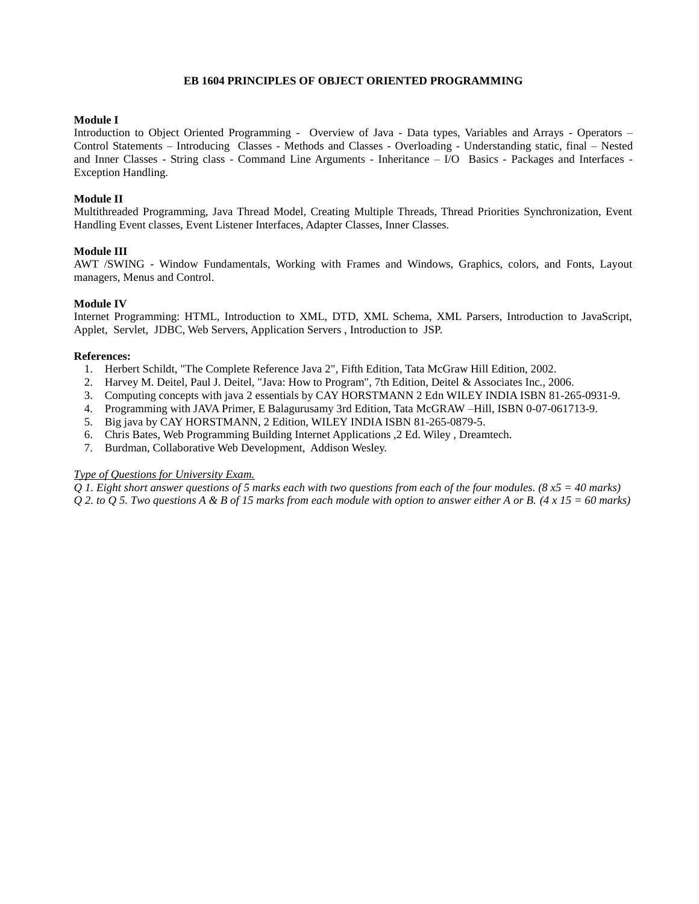### **EB 1604 PRINCIPLES OF OBJECT ORIENTED PROGRAMMING**

## **Module I**

Introduction to Object Oriented Programming - Overview of Java - Data types, Variables and Arrays - Operators – Control Statements – Introducing Classes - Methods and Classes - Overloading - Understanding static, final – Nested and Inner Classes - String class - Command Line Arguments - Inheritance – I/O Basics - Packages and Interfaces - Exception Handling.

### **Module II**

Multithreaded Programming, Java Thread Model, Creating Multiple Threads, Thread Priorities Synchronization, Event Handling Event classes, Event Listener Interfaces, Adapter Classes, Inner Classes.

### **Module III**

AWT /SWING - Window Fundamentals, Working with Frames and Windows, Graphics, colors, and Fonts, Layout managers, Menus and Control.

### **Module IV**

Internet Programming: HTML, Introduction to XML, DTD, XML Schema, XML Parsers, Introduction to JavaScript, Applet, Servlet, JDBC, Web Servers, Application Servers , Introduction to JSP.

#### **References:**

- 1. Herbert Schildt, "The Complete Reference Java 2", Fifth Edition, Tata McGraw Hill Edition, 2002.
- 2. Harvey M. Deitel, Paul J. Deitel, "Java: How to Program", 7th Edition, Deitel & Associates Inc., 2006.
- 3. Computing concepts with java 2 essentials by CAY HORSTMANN 2 Edn WILEY INDIA ISBN 81-265-0931-9.
- 4. Programming with JAVA Primer, E Balagurusamy 3rd Edition, Tata McGRAW –Hill, ISBN 0-07-061713-9.
- 5. Big java by CAY HORSTMANN, 2 Edition, WILEY INDIA ISBN 81-265-0879-5.
- 6. Chris Bates, Web Programming Building Internet Applications ,2 Ed. Wiley , Dreamtech.
- 7. Burdman, Collaborative Web Development, Addison Wesley.

# *Type of Questions for University Exam.*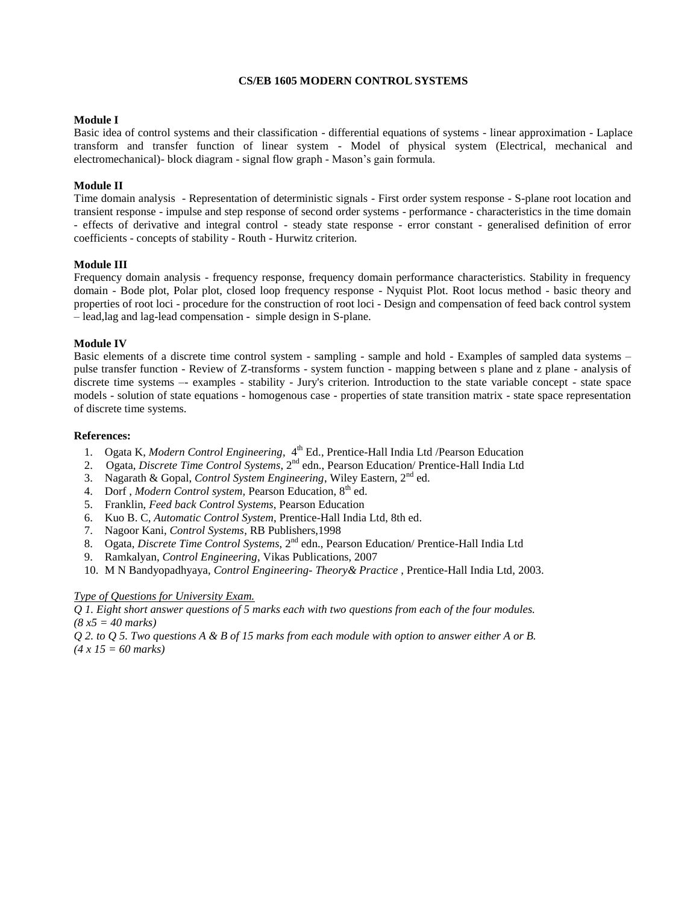#### **CS/EB 1605 MODERN CONTROL SYSTEMS**

#### **Module I**

Basic idea of control systems and their classification - differential equations of systems - linear approximation - Laplace transform and transfer function of linear system - Model of physical system (Electrical, mechanical and electromechanical)- block diagram - signal flow graph - Mason's gain formula.

### **Module II**

Time domain analysis - Representation of deterministic signals - First order system response - S-plane root location and transient response - impulse and step response of second order systems - performance - characteristics in the time domain - effects of derivative and integral control - steady state response - error constant - generalised definition of error coefficients - concepts of stability - Routh - Hurwitz criterion.

### **Module III**

Frequency domain analysis - frequency response, frequency domain performance characteristics. Stability in frequency domain - Bode plot, Polar plot, closed loop frequency response - Nyquist Plot. Root locus method - basic theory and properties of root loci - procedure for the construction of root loci - Design and compensation of feed back control system – lead,lag and lag-lead compensation - simple design in S-plane.

#### **Module IV**

Basic elements of a discrete time control system - sampling - sample and hold - Examples of sampled data systems – pulse transfer function - Review of Z-transforms - system function - mapping between s plane and z plane - analysis of discrete time systems –- examples - stability - Jury's criterion. Introduction to the state variable concept - state space models - solution of state equations - homogenous case - properties of state transition matrix - state space representation of discrete time systems.

#### **References:**

- 1. Ogata K, *Modern Control Engineering*, 4<sup>th</sup> Ed., Prentice-Hall India Ltd /Pearson Education
- 2. Ogata, *Discrete Time Control Systems*, 2nd edn., Pearson Education/ Prentice-Hall India Ltd
- 3. Nagarath & Gopal, *Control System Engineering*, Wiley Eastern, 2nd ed.
- 4. Dorf, *Modern Control system*, Pearson Education, 8<sup>th</sup> ed.
- 5. Franklin, *Feed back Control Systems*, Pearson Education
- 6. Kuo B. C, *Automatic Control System*, Prentice-Hall India Ltd, 8th ed.
- 7. Nagoor Kani, *Control Systems*, RB Publishers,1998
- 8. Ogata, *Discrete Time Control Systems*, 2<sup>nd</sup> edn., Pearson Education/ Prentice-Hall India Ltd
- 9. Ramkalyan, *Control Engineering*, Vikas Publications, 2007
- 10. M N Bandyopadhyaya, *Control Engineering- Theory& Practice* , Prentice-Hall India Ltd, 2003.

#### *Type of Questions for University Exam.*

*Q 1. Eight short answer questions of 5 marks each with two questions from each of the four modules. (8 x5 = 40 marks)*

*Q 2. to Q 5. Two questions A & B of 15 marks from each module with option to answer either A or B. (4 x 15 = 60 marks)*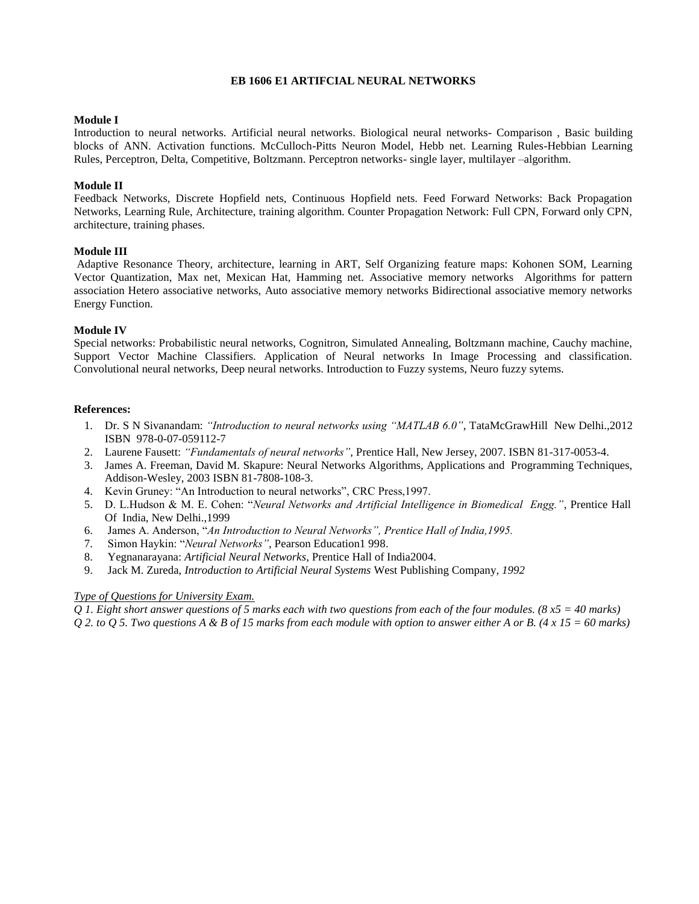### **EB 1606 E1 ARTIFCIAL NEURAL NETWORKS**

## **Module I**

Introduction to neural networks. Artificial neural networks. Biological neural networks- Comparison , Basic building blocks of ANN. Activation functions. McCulloch-Pitts Neuron Model, Hebb net. Learning Rules-Hebbian Learning Rules, Perceptron, Delta, Competitive, Boltzmann. Perceptron networks- single layer, multilayer –algorithm.

### **Module II**

Feedback Networks, Discrete Hopfield nets, Continuous Hopfield nets. Feed Forward Networks: Back Propagation Networks, Learning Rule, Architecture, training algorithm. Counter Propagation Network: Full CPN, Forward only CPN, architecture, training phases.

### **Module III**

Adaptive Resonance Theory, architecture, learning in ART, Self Organizing feature maps: Kohonen SOM, Learning Vector Quantization, Max net, Mexican Hat, Hamming net. Associative memory networks Algorithms for pattern association Hetero associative networks, Auto associative memory networks Bidirectional associative memory networks Energy Function.

### **Module IV**

Special networks: Probabilistic neural networks, Cognitron, Simulated Annealing, Boltzmann machine, Cauchy machine, Support Vector Machine Classifiers. Application of Neural networks In Image Processing and classification. Convolutional neural networks, Deep neural networks. Introduction to Fuzzy systems, Neuro fuzzy sytems.

#### **References:**

- 1. Dr. S N Sivanandam: *"Introduction to neural networks using "MATLAB 6.0"*, TataMcGrawHill New Delhi.,2012 ISBN 978-0-07-059112-7
- 2. Laurene Fausett: *"Fundamentals of neural networks"*, Prentice Hall, New Jersey, 2007. ISBN 81-317-0053-4.
- 3. James A. Freeman, David M. Skapure: Neural Networks Algorithms, Applications and Programming Techniques, Addison-Wesley, 2003 ISBN 81-7808-108-3.
- 4. Kevin Gruney: "An Introduction to neural networks", CRC Press,1997.
- 5. D. L.Hudson & M. E. Cohen: "*Neural Networks and Artificial Intelligence in Biomedical Engg."*, Prentice Hall Of India, New Delhi.,1999
- 6. James A. Anderson, "*An Introduction to Neural Networks", Prentice Hall of India,1995.*
- 7. Simon Haykin: "*Neural Networks"*, Pearson Education1 998.
- 8. Yegnanarayana: *Artificial Neural Networks*, Prentice Hall of India2004.
- 9. Jack M. Zureda, *Introduction to Artificial Neural Systems* West Publishing Company*, 1992*

# *Type of Questions for University Exam.*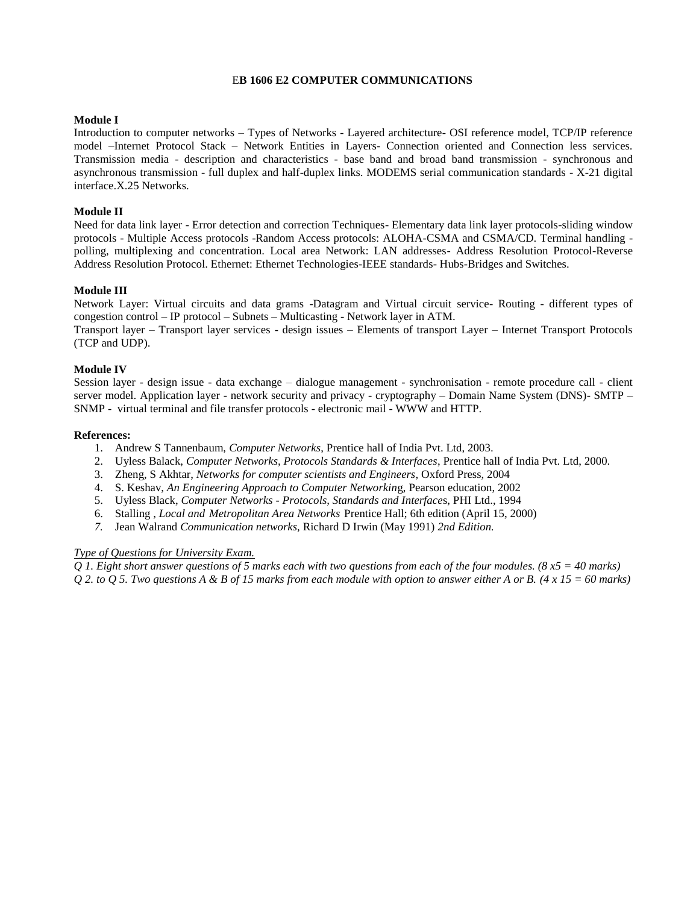#### E**B 1606 E2 COMPUTER COMMUNICATIONS**

### **Module I**

Introduction to computer networks – Types of Networks - Layered architecture- OSI reference model, TCP/IP reference model –Internet Protocol Stack – Network Entities in Layers- Connection oriented and Connection less services. Transmission media - description and characteristics - base band and broad band transmission - synchronous and asynchronous transmission - full duplex and half-duplex links. MODEMS serial communication standards - X-21 digital interface.X.25 Networks.

#### **Module II**

Need for data link layer - Error detection and correction Techniques- Elementary data link layer protocols-sliding window protocols - Multiple Access protocols -Random Access protocols: ALOHA-CSMA and CSMA/CD. Terminal handling polling, multiplexing and concentration. Local area Network: LAN addresses- Address Resolution Protocol-Reverse Address Resolution Protocol. Ethernet: Ethernet Technologies-IEEE standards- Hubs-Bridges and Switches.

### **Module III**

Network Layer: Virtual circuits and data grams -Datagram and Virtual circuit service- Routing - different types of congestion control – IP protocol – Subnets – Multicasting - Network layer in ATM.

Transport layer – Transport layer services - design issues – Elements of transport Layer – Internet Transport Protocols (TCP and UDP).

### **Module IV**

Session layer - design issue - data exchange – dialogue management - synchronisation - remote procedure call - client server model. Application layer - network security and privacy - cryptography – Domain Name System (DNS)- SMTP – SNMP - virtual terminal and file transfer protocols - electronic mail - WWW and HTTP.

#### **References:**

- 1. Andrew S Tannenbaum, *Computer Networks*, Prentice hall of India Pvt. Ltd, 2003.
- 2. Uyless Balack, *Computer Networks, Protocols Standards & Interfaces*, Prentice hall of India Pvt. Ltd, 2000.
- 3. Zheng, S Akhtar, *Networks for computer scientists and Engineers*, Oxford Press, 2004
- 4. S. Keshav, *An Engineering Approach to Computer Networkin*g, Pearson education, 2002
- 5. Uyless Black, *Computer Networks - Protocols, Standards and Interface*s, PHI Ltd., 1994
- 6. Stalling , *Local and Metropolitan Area Networks* Prentice Hall; 6th edition (April 15, 2000)
- *7.* Jean Walrand *Communication networks,* Richard D Irwin (May 1991) *2nd Edition.*

# *Type of Questions for University Exam.*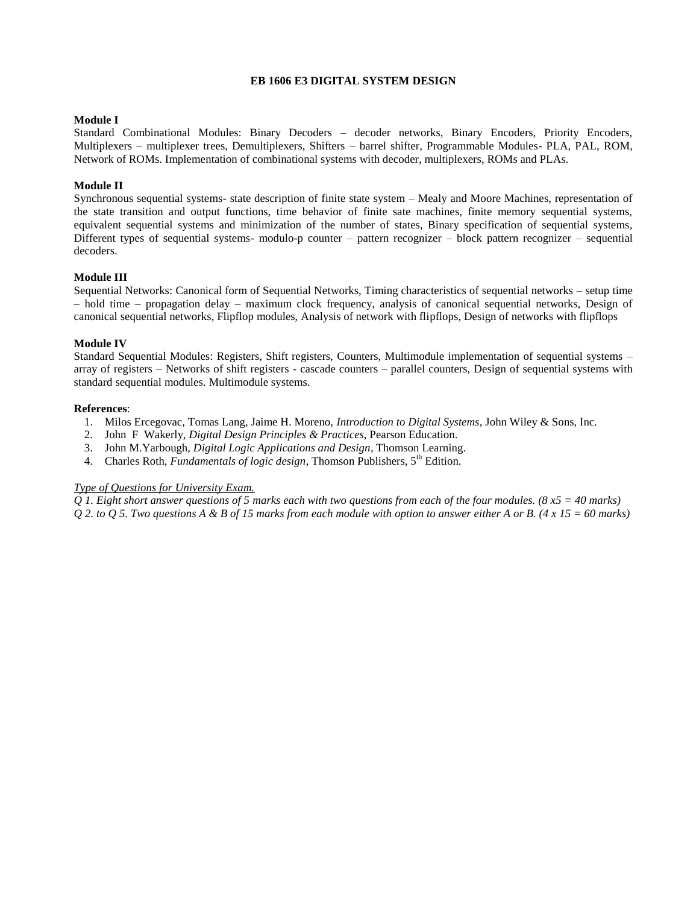### **EB 1606 E3 DIGITAL SYSTEM DESIGN**

#### **Module I**

Standard Combinational Modules: Binary Decoders – decoder networks, Binary Encoders, Priority Encoders, Multiplexers – multiplexer trees, Demultiplexers, Shifters – barrel shifter, Programmable Modules- PLA, PAL, ROM, Network of ROMs. Implementation of combinational systems with decoder, multiplexers, ROMs and PLAs.

#### **Module II**

Synchronous sequential systems- state description of finite state system – Mealy and Moore Machines, representation of the state transition and output functions, time behavior of finite sate machines, finite memory sequential systems, equivalent sequential systems and minimization of the number of states, Binary specification of sequential systems, Different types of sequential systems- modulo-p counter – pattern recognizer – block pattern recognizer – sequential decoders.

#### **Module III**

Sequential Networks: Canonical form of Sequential Networks, Timing characteristics of sequential networks – setup time – hold time – propagation delay – maximum clock frequency, analysis of canonical sequential networks, Design of canonical sequential networks, Flipflop modules, Analysis of network with flipflops, Design of networks with flipflops

#### **Module IV**

Standard Sequential Modules: Registers, Shift registers, Counters, Multimodule implementation of sequential systems – array of registers – Networks of shift registers - cascade counters – parallel counters, Design of sequential systems with standard sequential modules. Multimodule systems.

#### **References**:

- 1. Milos Ercegovac, Tomas Lang, Jaime H. Moreno, *Introduction to Digital Systems*, John Wiley & Sons, Inc.
- 2. John F Wakerly, *Digital Design Principles & Practices*, Pearson Education.
- 3. John M.Yarbough, *Digital Logic Applications and Design*, Thomson Learning.
- 4. Charles Roth, *Fundamentals of logic design*, Thomson Publishers, 5<sup>th</sup> Edition.

#### *Type of Questions for University Exam.*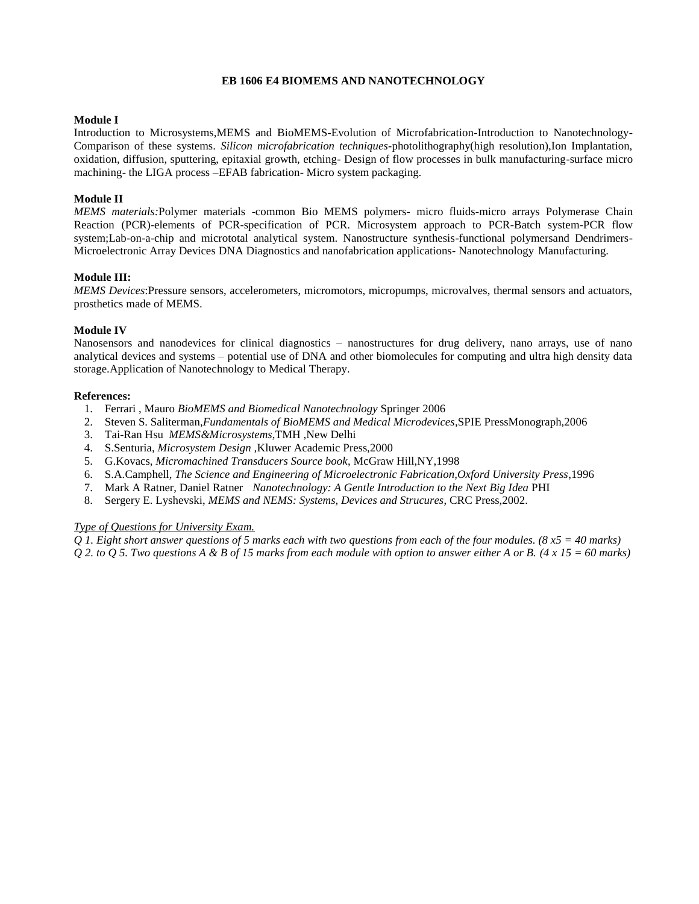### **EB 1606 E4 BIOMEMS AND NANOTECHNOLOGY**

### **Module I**

Introduction to Microsystems,MEMS and BioMEMS-Evolution of Microfabrication-Introduction to Nanotechnology-Comparison of these systems. *Silicon microfabrication techniques***-**photolithography(high resolution),Ion Implantation, oxidation, diffusion, sputtering, epitaxial growth, etching- Design of flow processes in bulk manufacturing-surface micro machining- the LIGA process –EFAB fabrication- Micro system packaging.

### **Module II**

*MEMS materials:*Polymer materials -common Bio MEMS polymers- micro fluids-micro arrays Polymerase Chain Reaction (PCR)-elements of PCR-specification of PCR. Microsystem approach to PCR-Batch system-PCR flow system;Lab-on-a-chip and micrototal analytical system. Nanostructure synthesis-functional polymersand Dendrimers-Microelectronic Array Devices DNA Diagnostics and nanofabrication applications- Nanotechnology Manufacturing.

#### **Module III:**

*MEMS Devices*:Pressure sensors, accelerometers, micromotors, micropumps, microvalves, thermal sensors and actuators, prosthetics made of MEMS.

### **Module IV**

Nanosensors and nanodevices for clinical diagnostics – nanostructures for drug delivery, nano arrays, use of nano analytical devices and systems – potential use of DNA and other biomolecules for computing and ultra high density data storage.Application of Nanotechnology to Medical Therapy.

#### **References:**

- 1. Ferrari , Mauro *BioMEMS and Biomedical Nanotechnology* Springer 2006
- 2. Steven S. Saliterman,*Fundamentals of BioMEMS and Medical Microdevices*,SPIE PressMonograph,2006
- 3. Tai-Ran Hsu *MEMS&Microsystems*,TMH ,New Delhi
- 4. S.Senturia, *Microsystem Design ,*Kluwer Academic Press,2000
- 5. G.Kovacs, *Micromachined Transducers Source book*, McGraw Hill,NY,1998
- 6. S.A.Camphell, *The Science and Engineering of Microelectronic Fabrication,Oxford University Press*,1996
- 7. Mark A Ratner, Daniel Ratner *Nanotechnology: A Gentle Introduction to the Next Big Idea* PHI
- 8. Sergery E. Lyshevski, *MEMS and NEMS: Systems, Devices and Strucures*, CRC Press,2002.

#### *Type of Questions for University Exam.*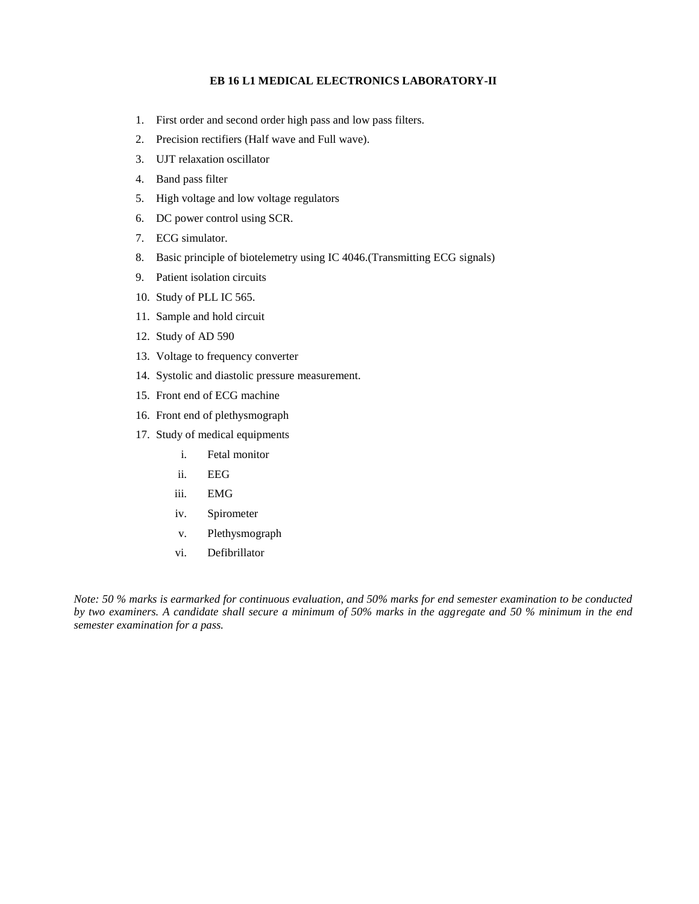### **EB 16 L1 MEDICAL ELECTRONICS LABORATORY-II**

- 1. First order and second order high pass and low pass filters.
- 2. Precision rectifiers (Half wave and Full wave).
- 3. UJT relaxation oscillator
- 4. Band pass filter
- 5. High voltage and low voltage regulators
- 6. DC power control using SCR.
- 7. ECG simulator.
- 8. Basic principle of biotelemetry using IC 4046.(Transmitting ECG signals)
- 9. Patient isolation circuits
- 10. Study of PLL IC 565.
- 11. Sample and hold circuit
- 12. Study of AD 590
- 13. Voltage to frequency converter
- 14. Systolic and diastolic pressure measurement.
- 15. Front end of ECG machine
- 16. Front end of plethysmograph
- 17. Study of medical equipments
	- i. Fetal monitor
	- ii. EEG
	- iii. EMG
	- iv. Spirometer
	- v. Plethysmograph
	- vi. Defibrillator

*Note: 50 % marks is earmarked for continuous evaluation, and 50% marks for end semester examination to be conducted by two examiners. A candidate shall secure a minimum of 50% marks in the aggregate and 50 % minimum in the end semester examination for a pass.*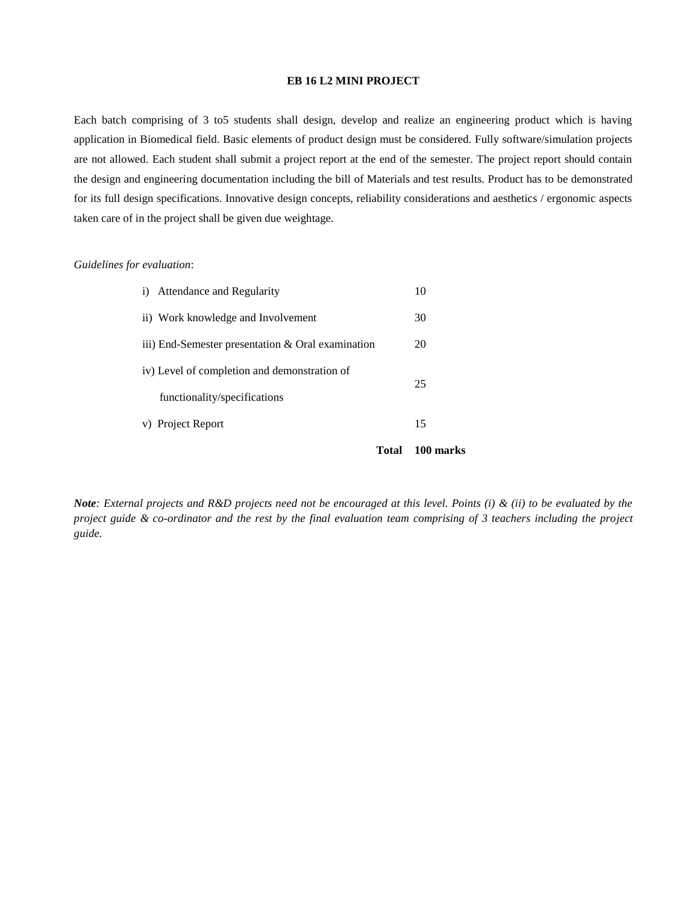#### **EB 16 L2 MINI PROJECT**

Each batch comprising of 3 to5 students shall design, develop and realize an engineering product which is having application in Biomedical field. Basic elements of product design must be considered. Fully software/simulation projects are not allowed. Each student shall submit a project report at the end of the semester. The project report should contain the design and engineering documentation including the bill of Materials and test results. Product has to be demonstrated for its full design specifications. Innovative design concepts, reliability considerations and aesthetics / ergonomic aspects taken care of in the project shall be given due weightage.

#### *Guidelines for evaluation*:

|                                              |                                                     | Total | 100 marks |  |
|----------------------------------------------|-----------------------------------------------------|-------|-----------|--|
|                                              | v) Project Report                                   |       | 15        |  |
|                                              | functionality/specifications                        |       |           |  |
| iv) Level of completion and demonstration of |                                                     |       | 25        |  |
|                                              | iii) End-Semester presentation $&$ Oral examination |       | 20        |  |
|                                              | ii) Work knowledge and Involvement                  |       | 30        |  |
|                                              | i) Attendance and Regularity                        |       | 10        |  |

*Note: External projects and R&D projects need not be encouraged at this level. Points (i) & (ii) to be evaluated by the project guide & co-ordinator and the rest by the final evaluation team comprising of 3 teachers including the project guide.*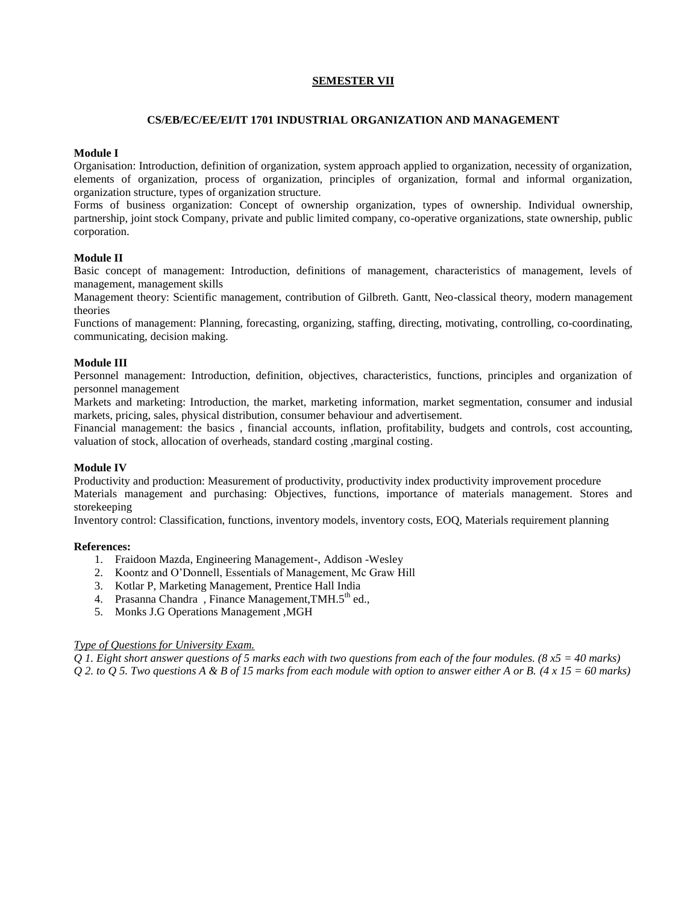# **SEMESTER VII**

#### **CS/EB/EC/EE/EI/IT 1701 INDUSTRIAL ORGANIZATION AND MANAGEMENT**

### **Module I**

Organisation: Introduction, definition of organization, system approach applied to organization, necessity of organization, elements of organization, process of organization, principles of organization, formal and informal organization, organization structure, types of organization structure.

Forms of business organization: Concept of ownership organization, types of ownership. Individual ownership, partnership, joint stock Company, private and public limited company, co-operative organizations, state ownership, public corporation.

### **Module II**

Basic concept of management: Introduction, definitions of management, characteristics of management, levels of management, management skills

Management theory: Scientific management, contribution of Gilbreth. Gantt, Neo-classical theory, modern management theories

Functions of management: Planning, forecasting, organizing, staffing, directing, motivating, controlling, co-coordinating, communicating, decision making.

### **Module III**

Personnel management: Introduction, definition, objectives, characteristics, functions, principles and organization of personnel management

Markets and marketing: Introduction, the market, marketing information, market segmentation, consumer and indusial markets, pricing, sales, physical distribution, consumer behaviour and advertisement.

Financial management: the basics , financial accounts, inflation, profitability, budgets and controls, cost accounting, valuation of stock, allocation of overheads, standard costing ,marginal costing.

#### **Module IV**

Productivity and production: Measurement of productivity, productivity index productivity improvement procedure Materials management and purchasing: Objectives, functions, importance of materials management. Stores and storekeeping

Inventory control: Classification, functions, inventory models, inventory costs, EOQ, Materials requirement planning

#### **References:**

- 1. Fraidoon Mazda, Engineering Management-, Addison -Wesley
- 2. Koontz and O'Donnell, Essentials of Management, Mc Graw Hill
- 3. Kotlar P, Marketing Management, Prentice Hall India
- 4. Prasanna Chandra, Finance Management, TMH.5<sup>th</sup> ed.,
- 5. Monks J.G Operations Management ,MGH

#### *Type of Questions for University Exam.*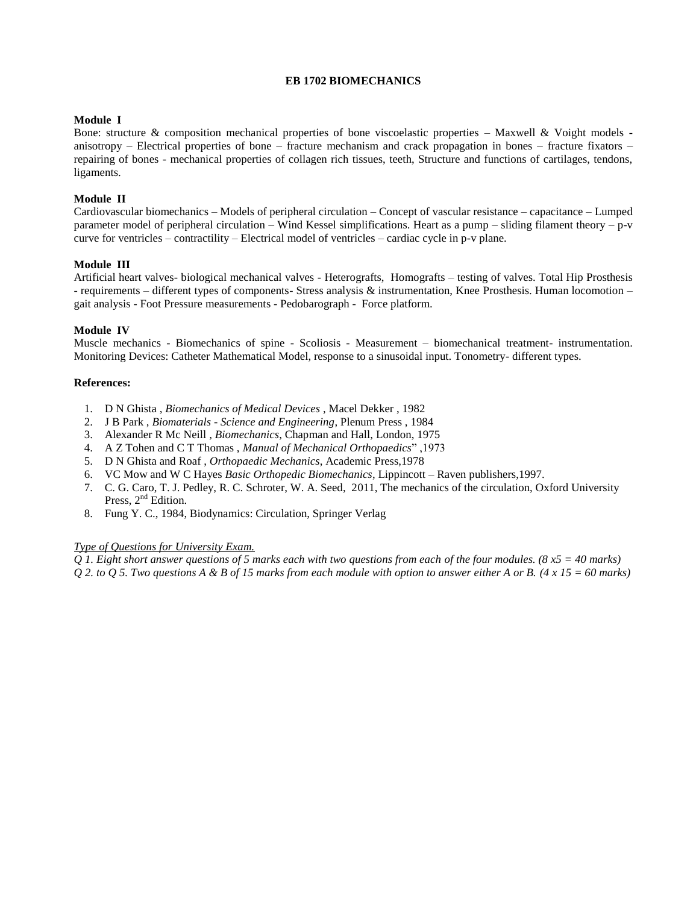# **EB 1702 BIOMECHANICS**

### **Module I**

Bone: structure & composition mechanical properties of bone viscoelastic properties – Maxwell & Voight models anisotropy – Electrical properties of bone – fracture mechanism and crack propagation in bones – fracture fixators – repairing of bones - mechanical properties of collagen rich tissues, teeth, Structure and functions of cartilages, tendons, ligaments.

## **Module II**

Cardiovascular biomechanics – Models of peripheral circulation – Concept of vascular resistance – capacitance – Lumped parameter model of peripheral circulation – Wind Kessel simplifications. Heart as a pump – sliding filament theory – p-v curve for ventricles – contractility – Electrical model of ventricles – cardiac cycle in p-v plane.

# **Module III**

Artificial heart valves- biological mechanical valves - Heterografts, Homografts – testing of valves. Total Hip Prosthesis - requirements – different types of components- Stress analysis & instrumentation, Knee Prosthesis. Human locomotion – gait analysis - Foot Pressure measurements - Pedobarograph - Force platform.

### **Module IV**

Muscle mechanics - Biomechanics of spine - Scoliosis - Measurement – biomechanical treatment- instrumentation. Monitoring Devices: Catheter Mathematical Model, response to a sinusoidal input. Tonometry- different types.

#### **References:**

- 1. D N Ghista , *Biomechanics of Medical Devices* , Macel Dekker , 1982
- 2. J B Park , *Biomaterials - Science and Engineering*, Plenum Press , 1984
- 3. Alexander R Mc Neill *, Biomechanics*, Chapman and Hall, London, 1975
- 4. A Z Tohen and C T Thomas , *Manual of Mechanical Orthopaedics*" ,1973
- 5. D N Ghista and Roaf , *Orthopaedic Mechanics*, Academic Press,1978
- 6. VC Mow and W C Hayes *Basic Orthopedic Biomechanics*, Lippincott Raven publishers,1997.
- 7. C. G. Caro, T. J. Pedley, R. C. Schroter, W. A. Seed, 2011, The mechanics of the circulation, Oxford University Press, 2<sup>nd</sup> Edition.
- 8. Fung Y. C., 1984, Biodynamics: Circulation, Springer Verlag

## *Type of Questions for University Exam.*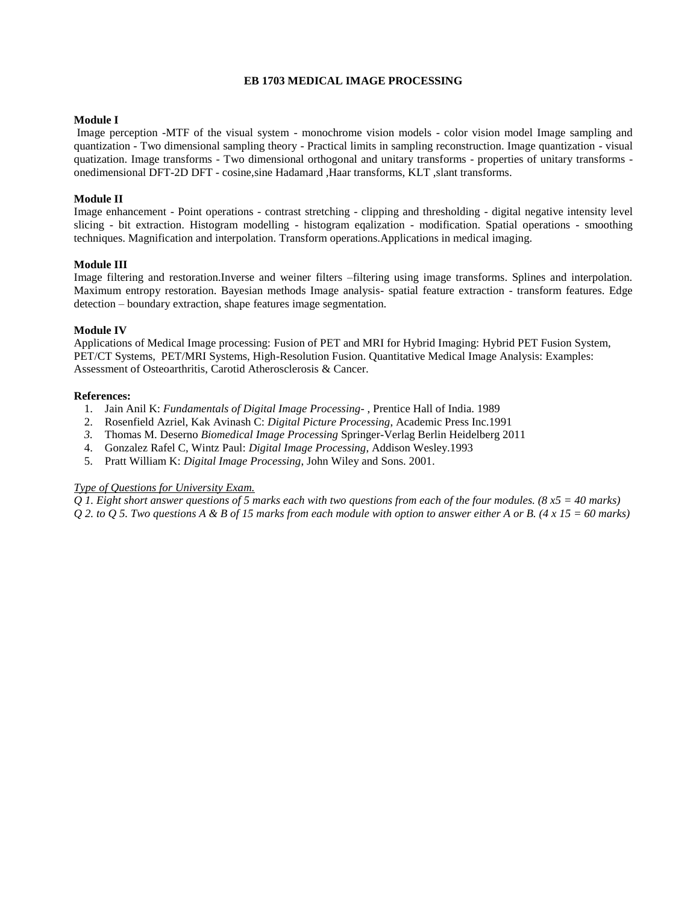## **EB 1703 MEDICAL IMAGE PROCESSING**

#### **Module I**

Image perception -MTF of the visual system - monochrome vision models - color vision model Image sampling and quantization - Two dimensional sampling theory - Practical limits in sampling reconstruction. Image quantization - visual quatization. Image transforms - Two dimensional orthogonal and unitary transforms - properties of unitary transforms onedimensional DFT-2D DFT - cosine,sine Hadamard ,Haar transforms, KLT ,slant transforms.

### **Module II**

Image enhancement - Point operations - contrast stretching - clipping and thresholding - digital negative intensity level slicing - bit extraction. Histogram modelling - histogram eqalization - modification. Spatial operations - smoothing techniques. Magnification and interpolation. Transform operations.Applications in medical imaging.

### **Module III**

Image filtering and restoration.Inverse and weiner filters –filtering using image transforms. Splines and interpolation. Maximum entropy restoration. Bayesian methods Image analysis- spatial feature extraction - transform features. Edge detection – boundary extraction, shape features image segmentation.

### **Module IV**

Applications of Medical Image processing: Fusion of PET and MRI for Hybrid Imaging: Hybrid PET Fusion System, PET/CT Systems, PET/MRI Systems, High-Resolution Fusion. Quantitative Medical Image Analysis: Examples: Assessment of Osteoarthritis, Carotid Atherosclerosis & Cancer.

#### **References:**

- 1. Jain Anil K: *Fundamentals of Digital Image Processing* , Prentice Hall of India. 1989
- 2. Rosenfield Azriel, Kak Avinash C: *Digital Picture Processing*, Academic Press Inc.1991
- *3.* Thomas M. Deserno *Biomedical Image Processing* Springer-Verlag Berlin Heidelberg 2011
- 4. Gonzalez Rafel C, Wintz Paul: *Digital Image Processing*, Addison Wesley.1993
- 5. Pratt William K: *Digital Image Processing*, John Wiley and Sons. 2001.

#### *Type of Questions for University Exam.*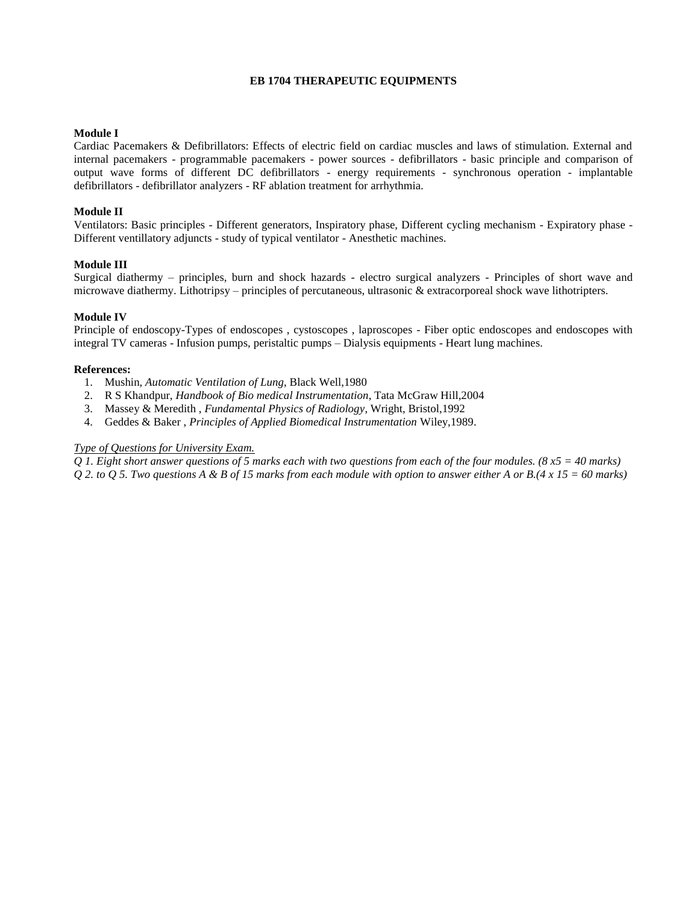# **EB 1704 THERAPEUTIC EQUIPMENTS**

### **Module I**

Cardiac Pacemakers & Defibrillators: Effects of electric field on cardiac muscles and laws of stimulation. External and internal pacemakers - programmable pacemakers - power sources - defibrillators - basic principle and comparison of output wave forms of different DC defibrillators - energy requirements - synchronous operation - implantable defibrillators - defibrillator analyzers - RF ablation treatment for arrhythmia.

#### **Module II**

Ventilators: Basic principles - Different generators, Inspiratory phase, Different cycling mechanism - Expiratory phase - Different ventillatory adjuncts - study of typical ventilator - Anesthetic machines.

### **Module III**

Surgical diathermy – principles, burn and shock hazards - electro surgical analyzers - Principles of short wave and microwave diathermy. Lithotripsy – principles of percutaneous, ultrasonic & extracorporeal shock wave lithotripters.

### **Module IV**

Principle of endoscopy-Types of endoscopes , cystoscopes , laproscopes - Fiber optic endoscopes and endoscopes with integral TV cameras - Infusion pumps, peristaltic pumps – Dialysis equipments - Heart lung machines.

### **References:**

- 1. Mushin, *Automatic Ventilation of Lung*, Black Well,1980
- 2. R S Khandpur, *Handbook of Bio medical Instrumentation*, Tata McGraw Hill,2004
- 3. Massey & Meredith , *Fundamental Physics of Radiology*, Wright, Bristol,1992
- 4. Geddes & Baker , *Principles of Applied Biomedical Instrumentation* Wiley,1989.

### *Type of Questions for University Exam.*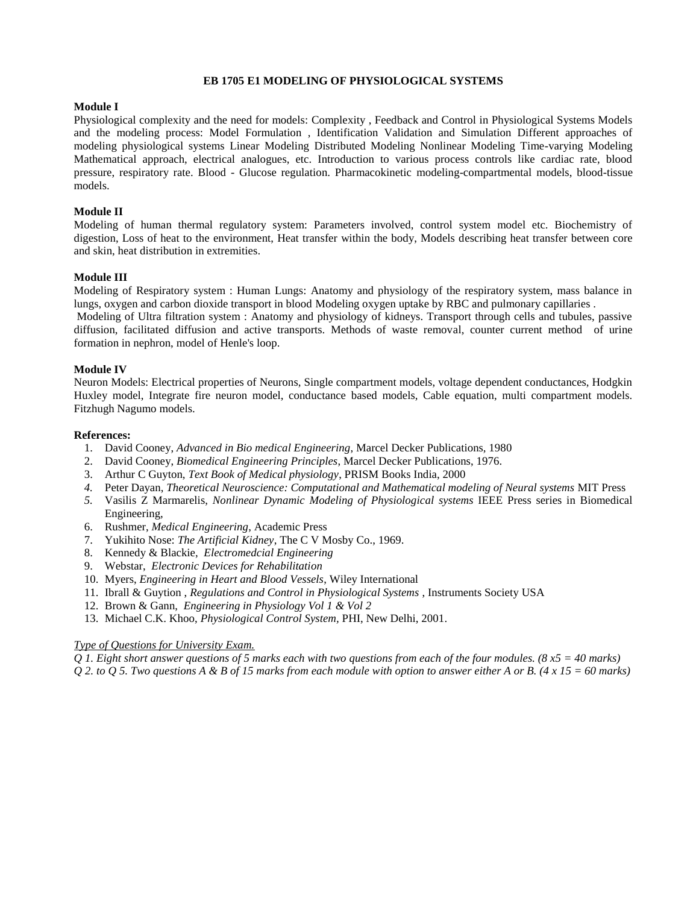#### **EB 1705 E1 MODELING OF PHYSIOLOGICAL SYSTEMS**

### **Module I**

Physiological complexity and the need for models: Complexity , Feedback and Control in Physiological Systems Models and the modeling process: Model Formulation , Identification Validation and Simulation Different approaches of modeling physiological systems Linear Modeling Distributed Modeling Nonlinear Modeling Time-varying Modeling Mathematical approach, electrical analogues, etc. Introduction to various process controls like cardiac rate, blood pressure, respiratory rate. Blood - Glucose regulation. Pharmacokinetic modeling-compartmental models, blood-tissue models.

#### **Module II**

Modeling of human thermal regulatory system: Parameters involved, control system model etc. Biochemistry of digestion, Loss of heat to the environment, Heat transfer within the body, Models describing heat transfer between core and skin, heat distribution in extremities.

#### **Module III**

Modeling of Respiratory system : Human Lungs: Anatomy and physiology of the respiratory system, mass balance in lungs, oxygen and carbon dioxide transport in blood Modeling oxygen uptake by RBC and pulmonary capillaries .

Modeling of Ultra filtration system : Anatomy and physiology of kidneys. Transport through cells and tubules, passive diffusion, facilitated diffusion and active transports. Methods of waste removal, counter current method of urine formation in nephron, model of Henle's loop.

### **Module IV**

Neuron Models: Electrical properties of Neurons, Single compartment models, voltage dependent conductances, Hodgkin Huxley model, Integrate fire neuron model, conductance based models, Cable equation, multi compartment models. Fitzhugh Nagumo models.

#### **References:**

- 1. David Cooney, *Advanced in Bio medical Engineering*, Marcel Decker Publications, 1980
- 2. David Cooney, *Biomedical Engineering Principles*, Marcel Decker Publications, 1976.
- 3. Arthur C Guyton, *Text Book of Medical physiology*, PRISM Books India, 2000
- *4.* Peter Dayan, *Theoretical Neuroscience: Computational and Mathematical modeling of Neural systems* MIT Press
- *5.* Vasilis Z Marmarelis, *Nonlinear Dynamic Modeling of Physiological systems* IEEE Press series in Biomedical Engineering,
- 6. Rushmer, *Medical Engineering*, Academic Press
- 7. Yukihito Nose: *The Artificial Kidney*, The C V Mosby Co., 1969.
- 8. Kennedy & Blackie, *Electromedcial Engineering*
- 9. Webstar, *Electronic Devices for Rehabilitation*
- 10. Myers, *Engineering in Heart and Blood Vessels*, Wiley International
- 11. Ibrall & Guytion , *Regulations and Control in Physiological Systems* , Instruments Society USA
- 12. Brown & Gann, *Engineering in Physiology Vol 1 & Vol 2*
- 13. Michael C.K. Khoo, *Physiological Control System,* PHI, New Delhi, 2001.

#### *Type of Questions for University Exam.*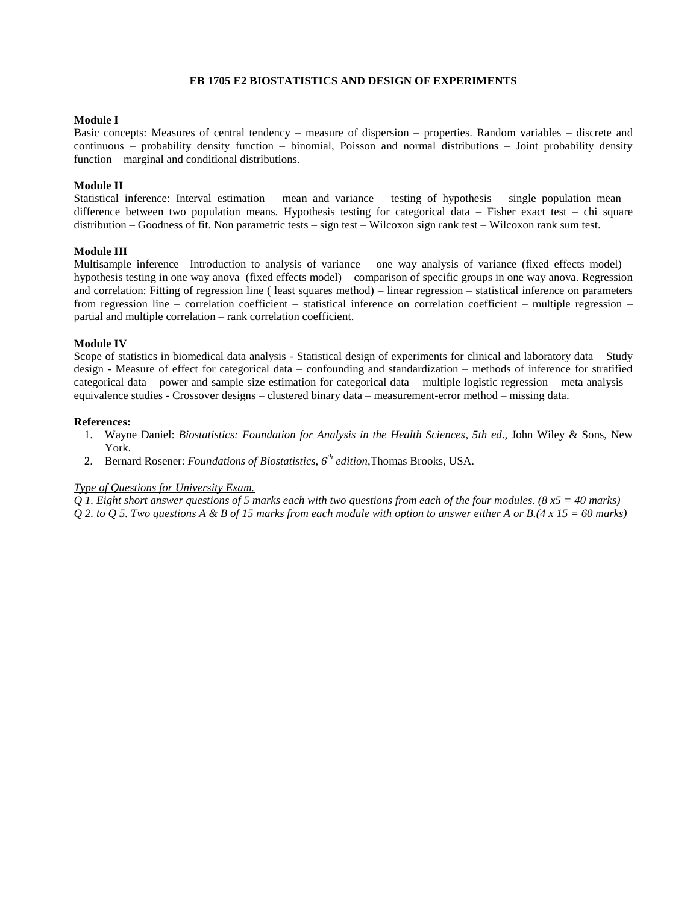#### **EB 1705 E2 BIOSTATISTICS AND DESIGN OF EXPERIMENTS**

#### **Module I**

Basic concepts: Measures of central tendency – measure of dispersion – properties. Random variables – discrete and continuous – probability density function – binomial, Poisson and normal distributions – Joint probability density function – marginal and conditional distributions.

### **Module II**

Statistical inference: Interval estimation – mean and variance – testing of hypothesis – single population mean – difference between two population means. Hypothesis testing for categorical data – Fisher exact test – chi square distribution – Goodness of fit. Non parametric tests – sign test – Wilcoxon sign rank test – Wilcoxon rank sum test.

#### **Module III**

Multisample inference –Introduction to analysis of variance – one way analysis of variance (fixed effects model) – hypothesis testing in one way anova (fixed effects model) – comparison of specific groups in one way anova. Regression and correlation: Fitting of regression line ( least squares method) – linear regression – statistical inference on parameters from regression line – correlation coefficient – statistical inference on correlation coefficient – multiple regression – partial and multiple correlation – rank correlation coefficient.

#### **Module IV**

Scope of statistics in biomedical data analysis - Statistical design of experiments for clinical and laboratory data – Study design - Measure of effect for categorical data – confounding and standardization – methods of inference for stratified categorical data – power and sample size estimation for categorical data – multiple logistic regression – meta analysis – equivalence studies - Crossover designs – clustered binary data – measurement-error method – missing data.

#### **References:**

- 1. Wayne Daniel: *Biostatistics: Foundation for Analysis in the Health Sciences*, *5th ed*., John Wiley & Sons, New York.
- 2. Bernard Rosener: *Foundations of Biostatistics, 6th edition*,Thomas Brooks, USA.

#### *Type of Questions for University Exam.*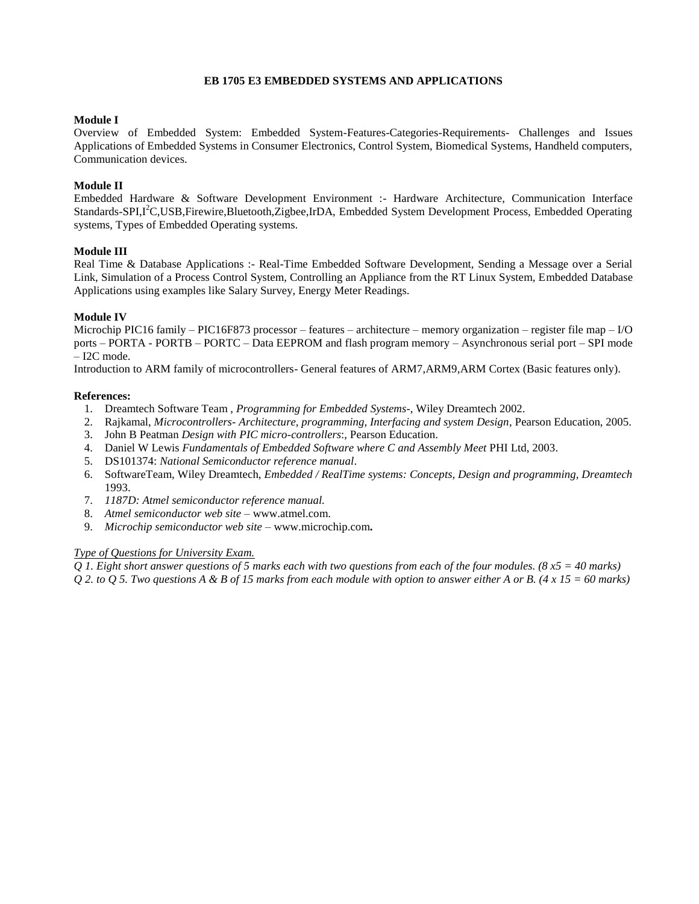### **EB 1705 E3 EMBEDDED SYSTEMS AND APPLICATIONS**

## **Module I**

Overview of Embedded System: Embedded System-Features-Categories-Requirements- Challenges and Issues Applications of Embedded Systems in Consumer Electronics, Control System, Biomedical Systems, Handheld computers, Communication devices.

# **Module II**

Embedded Hardware & Software Development Environment :- Hardware Architecture, Communication Interface Standards-SPI,I<sup>2</sup>C,USB,Firewire,Bluetooth,Zigbee,IrDA, Embedded System Development Process, Embedded Operating systems, Types of Embedded Operating systems.

### **Module III**

Real Time & Database Applications :- Real-Time Embedded Software Development, Sending a Message over a Serial Link, Simulation of a Process Control System, Controlling an Appliance from the RT Linux System, Embedded Database Applications using examples like Salary Survey, Energy Meter Readings.

### **Module IV**

Microchip PIC16 family – PIC16F873 processor – features – architecture – memory organization – register file map – I/O ports – PORTA - PORTB – PORTC – Data EEPROM and flash program memory – Asynchronous serial port – SPI mode – I2C mode.

Introduction to ARM family of microcontrollers- General features of ARM7,ARM9,ARM Cortex (Basic features only).

#### **References:**

- 1. Dreamtech Software Team , *Programming for Embedded Systems*-, Wiley Dreamtech 2002.
- 2. Rajkamal, *Microcontrollers- Architecture, programming, Interfacing and system Design*, Pearson Education, 2005.
- 3. John B Peatman *Design with PIC micro-controllers*:, Pearson Education.
- 4. Daniel W Lewis *Fundamentals of Embedded Software where C and Assembly Meet* PHI Ltd, 2003.
- 5. DS101374: *National Semiconductor reference manual*.
- 6. SoftwareTeam, Wiley Dreamtech, *Embedded / RealTime systems: Concepts, Design and programming, Dreamtech*  1993.
- 7. *1187D: Atmel semiconductor reference manual.*
- 8. *Atmel semiconductor web site –* [www.atmel.com.](http://www.atmel.com/)
- 9. *Microchip semiconductor web site* [www.microchip.com](http://www.microchip.com/)**.**

# *Type of Questions for University Exam.*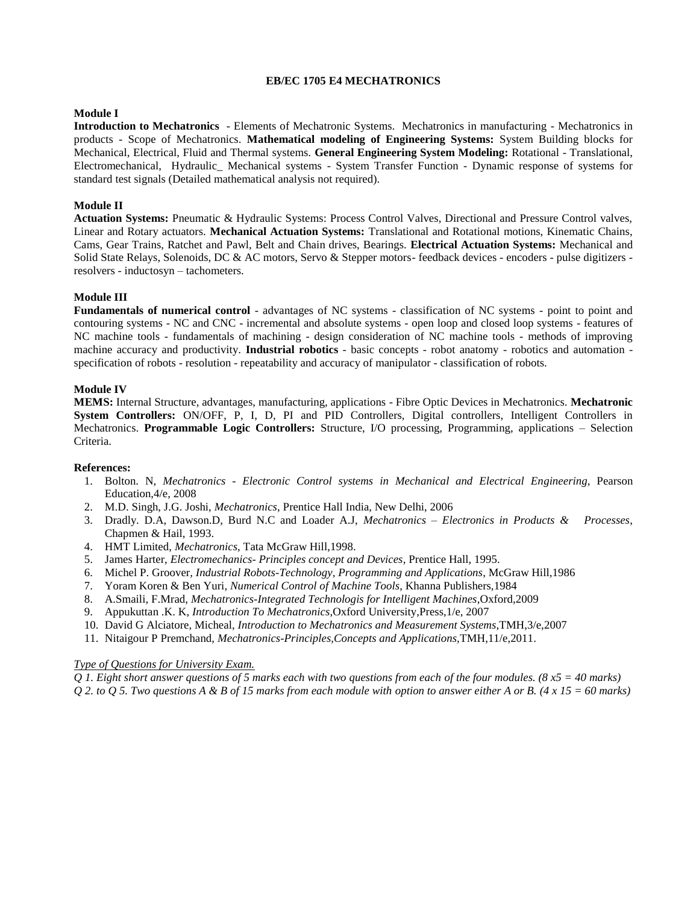#### **EB/EC 1705 E4 MECHATRONICS**

## **Module I**

**Introduction to Mechatronics** - Elements of Mechatronic Systems. Mechatronics in manufacturing - Mechatronics in products - Scope of Mechatronics. **Mathematical modeling of Engineering Systems:** System Building blocks for Mechanical, Electrical, Fluid and Thermal systems. **General Engineering System Modeling:** Rotational - Translational, Electromechanical, Hydraulic\_ Mechanical systems - System Transfer Function - Dynamic response of systems for standard test signals (Detailed mathematical analysis not required).

## **Module II**

**Actuation Systems:** Pneumatic & Hydraulic Systems: Process Control Valves, Directional and Pressure Control valves, Linear and Rotary actuators. **Mechanical Actuation Systems:** Translational and Rotational motions, Kinematic Chains, Cams, Gear Trains, Ratchet and Pawl, Belt and Chain drives, Bearings. **Electrical Actuation Systems:** Mechanical and Solid State Relays, Solenoids, DC & AC motors, Servo & Stepper motors- feedback devices - encoders - pulse digitizers resolvers - inductosyn – tachometers.

### **Module III**

**Fundamentals of numerical control** - advantages of NC systems - classification of NC systems - point to point and contouring systems - NC and CNC - incremental and absolute systems - open loop and closed loop systems - features of NC machine tools - fundamentals of machining - design consideration of NC machine tools - methods of improving machine accuracy and productivity. **Industrial robotics** - basic concepts - robot anatomy - robotics and automation specification of robots - resolution - repeatability and accuracy of manipulator - classification of robots.

### **Module IV**

**MEMS:** Internal Structure, advantages, manufacturing, applications - Fibre Optic Devices in Mechatronics. **Mechatronic System Controllers:** ON/OFF, P, I, D, PI and PID Controllers, Digital controllers, Intelligent Controllers in Mechatronics. **Programmable Logic Controllers:** Structure, I/O processing, Programming, applications – Selection Criteria.

#### **References:**

- 1. Bolton. N, *Mechatronics - Electronic Control systems in Mechanical and Electrical Engineering,* Pearson Education,4/e, 2008
- 2. M.D. Singh, J.G. Joshi, *Mechatronics*, Prentice Hall India, New Delhi, 2006
- 3. Dradly. D.A, Dawson.D, Burd N.C and Loader A.J, *Mechatronics Electronics in Products & Processes*, Chapmen & Hail, 1993.
- 4. HMT Limited, *Mechatronics*, Tata McGraw Hill,1998.
- 5. James Harter, *Electromechanics- Principles concept and Devices*, Prentice Hall, 1995.
- 6. Michel P. Groover*, Industrial Robots-Technology, Programming and Applications*, McGraw Hill,1986
- 7. Yoram Koren & Ben Yuri*, Numerical Control of Machine Tools*, Khanna Publishers,1984
- 8. A.Smaili, F.Mrad, *Mechatronics-Integrated Technologis for Intelligent Machines*,Oxford,2009
- 9. Appukuttan .K. K, *Introduction To Mechatronics*,Oxford University,Press,1/e, 2007
- 10. David G Alciatore, Micheal, *Introduction to Mechatronics and Measurement Systems*,TMH,3/e,2007
- 11. Nitaigour P Premchand, *Mechatronics-Principles,Concepts and Applications,*TMH,11/e,2011.

#### *Type of Questions for University Exam.*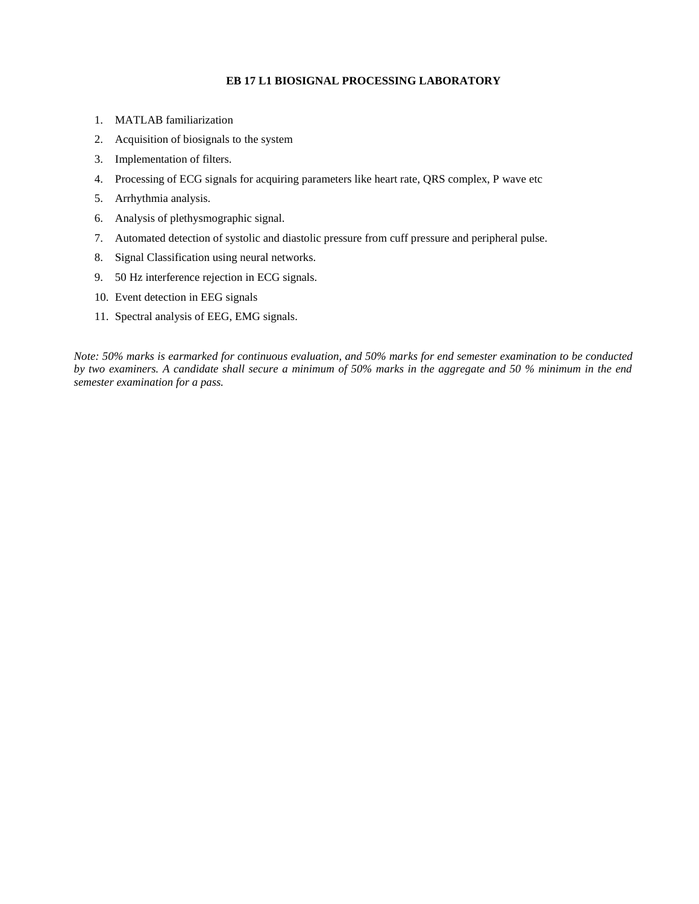# **EB 17 L1 BIOSIGNAL PROCESSING LABORATORY**

- 1. MATLAB familiarization
- 2. Acquisition of biosignals to the system
- 3. Implementation of filters.
- 4. Processing of ECG signals for acquiring parameters like heart rate, QRS complex, P wave etc
- 5. Arrhythmia analysis.
- 6. Analysis of plethysmographic signal.
- 7. Automated detection of systolic and diastolic pressure from cuff pressure and peripheral pulse.
- 8. Signal Classification using neural networks.
- 9. 50 Hz interference rejection in ECG signals.
- 10. Event detection in EEG signals
- 11. Spectral analysis of EEG, EMG signals.

*Note: 50% marks is earmarked for continuous evaluation, and 50% marks for end semester examination to be conducted by two examiners. A candidate shall secure a minimum of 50% marks in the aggregate and 50 % minimum in the end semester examination for a pass.*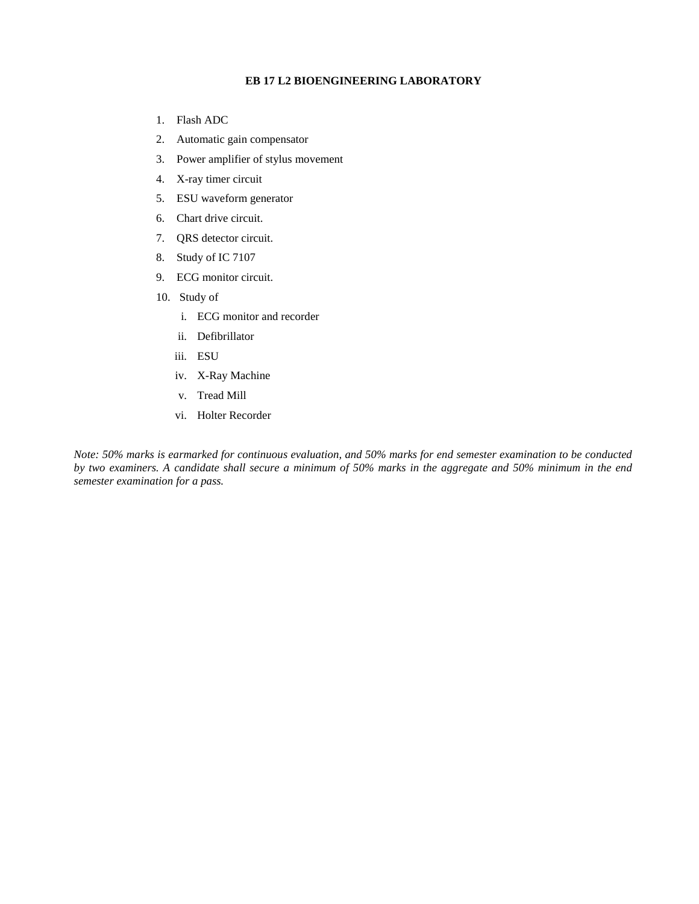#### **EB 17 L2 BIOENGINEERING LABORATORY**

- 1. Flash ADC
- 2. Automatic gain compensator
- 3. Power amplifier of stylus movement
- 4. X-ray timer circuit
- 5. ESU waveform generator
- 6. Chart drive circuit.
- 7. QRS detector circuit.
- 8. Study of IC 7107
- 9. ECG monitor circuit.
- 10. Study of
	- i. ECG monitor and recorder
	- ii. Defibrillator
	- iii. ESU
	- iv. X-Ray Machine
	- v. Tread Mill
	- vi. Holter Recorder

*Note: 50% marks is earmarked for continuous evaluation, and 50% marks for end semester examination to be conducted by two examiners. A candidate shall secure a minimum of 50% marks in the aggregate and 50% minimum in the end semester examination for a pass.*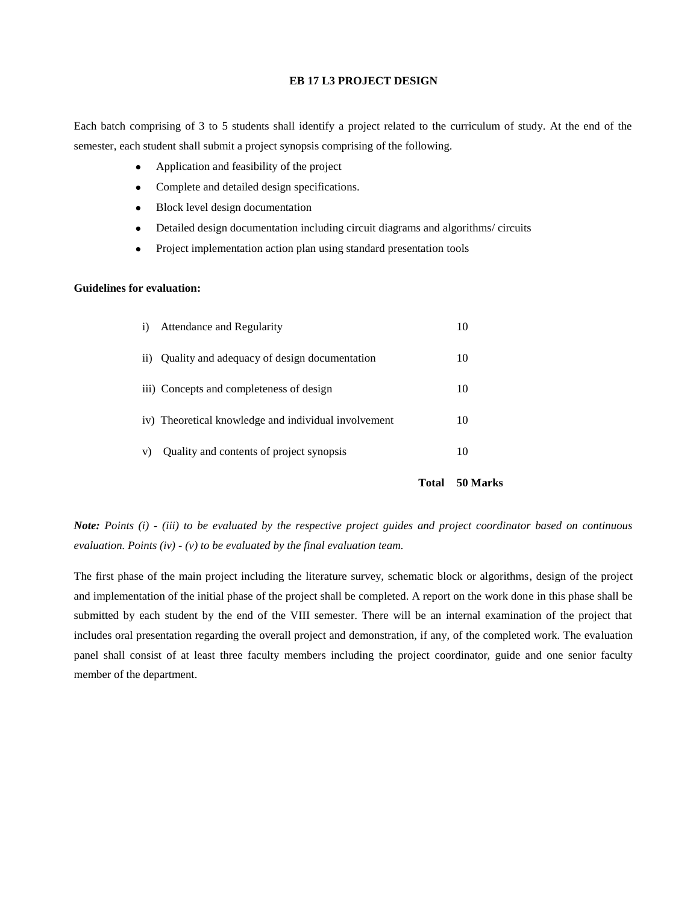#### **EB 17 L3 PROJECT DESIGN**

Each batch comprising of 3 to 5 students shall identify a project related to the curriculum of study. At the end of the semester, each student shall submit a project synopsis comprising of the following.

- Application and feasibility of the project
- Complete and detailed design specifications.
- Block level design documentation
- Detailed design documentation including circuit diagrams and algorithms/ circuits
- Project implementation action plan using standard presentation tools

#### **Guidelines for evaluation:**

| $\ddot{1}$ | Attendance and Regularity                            |    |
|------------|------------------------------------------------------|----|
| $\rm ii)$  | Quality and adequacy of design documentation         | 10 |
|            | iii) Concepts and completeness of design             | 10 |
|            | iv) Theoretical knowledge and individual involvement | 10 |
| V)         | Quality and contents of project synopsis             | 10 |
|            |                                                      |    |

 **Total 50 Marks**

*Note: Points (i) - (iii) to be evaluated by the respective project guides and project coordinator based on continuous evaluation. Points (iv) - (v) to be evaluated by the final evaluation team.*

The first phase of the main project including the literature survey, schematic block or algorithms, design of the project and implementation of the initial phase of the project shall be completed. A report on the work done in this phase shall be submitted by each student by the end of the VIII semester. There will be an internal examination of the project that includes oral presentation regarding the overall project and demonstration, if any, of the completed work. The evaluation panel shall consist of at least three faculty members including the project coordinator, guide and one senior faculty member of the department.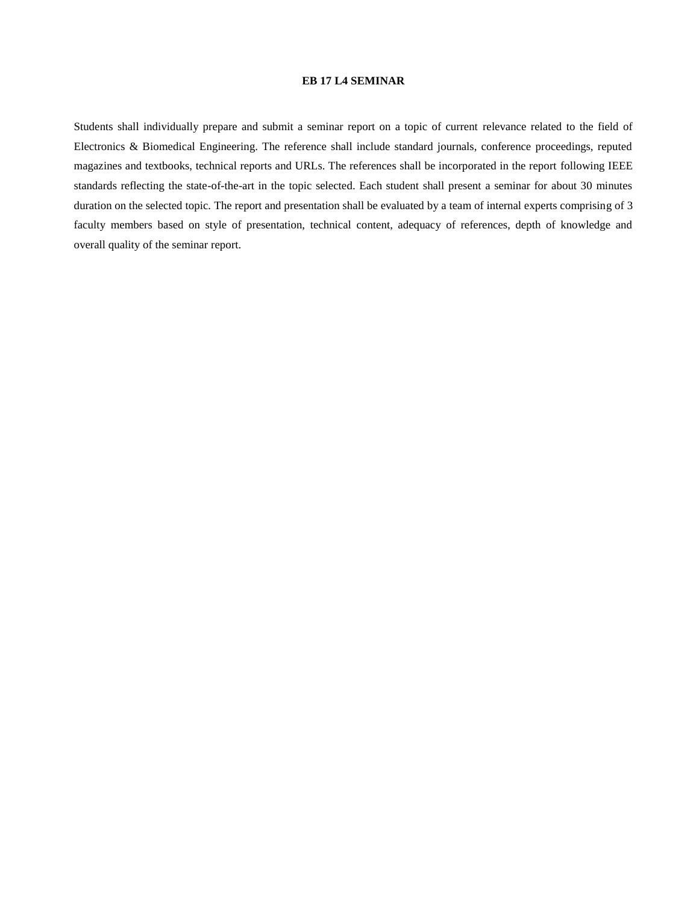#### **EB 17 L4 SEMINAR**

Students shall individually prepare and submit a seminar report on a topic of current relevance related to the field of Electronics & Biomedical Engineering. The reference shall include standard journals, conference proceedings, reputed magazines and textbooks, technical reports and URLs. The references shall be incorporated in the report following IEEE standards reflecting the state-of-the-art in the topic selected. Each student shall present a seminar for about 30 minutes duration on the selected topic. The report and presentation shall be evaluated by a team of internal experts comprising of 3 faculty members based on style of presentation, technical content, adequacy of references, depth of knowledge and overall quality of the seminar report.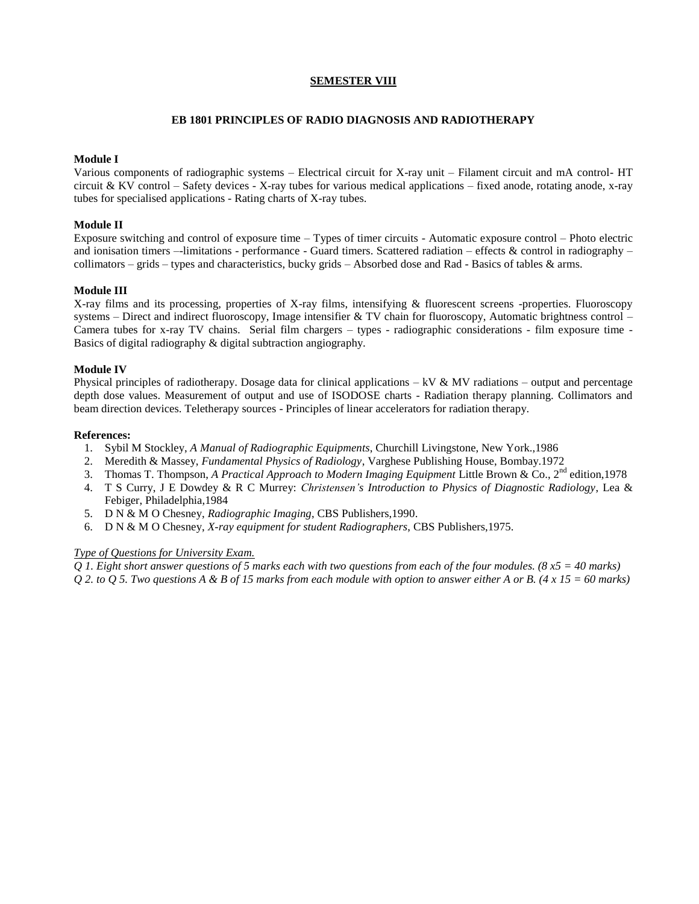# **SEMESTER VIII**

### **EB 1801 PRINCIPLES OF RADIO DIAGNOSIS AND RADIOTHERAPY**

# **Module I**

Various components of radiographic systems – Electrical circuit for X-ray unit – Filament circuit and mA control- HT circuit & KV control – Safety devices - X-ray tubes for various medical applications – fixed anode, rotating anode, x-ray tubes for specialised applications - Rating charts of X-ray tubes.

## **Module II**

Exposure switching and control of exposure time – Types of timer circuits - Automatic exposure control – Photo electric and ionisation timers –-limitations - performance - Guard timers. Scattered radiation – effects & control in radiography – collimators – grids – types and characteristics, bucky grids – Absorbed dose and Rad - Basics of tables & arms.

# **Module III**

X-ray films and its processing, properties of X-ray films, intensifying & fluorescent screens -properties. Fluoroscopy systems – Direct and indirect fluoroscopy, Image intensifier & TV chain for fluoroscopy, Automatic brightness control – Camera tubes for x-ray TV chains. Serial film chargers – types - radiographic considerations - film exposure time - Basics of digital radiography & digital subtraction angiography.

### **Module IV**

Physical principles of radiotherapy. Dosage data for clinical applications – kV  $\&$  MV radiations – output and percentage depth dose values. Measurement of output and use of ISODOSE charts - Radiation therapy planning. Collimators and beam direction devices. Teletherapy sources - Principles of linear accelerators for radiation therapy.

### **References:**

- 1. Sybil M Stockley, *A Manual of Radiographic Equipments*, Churchill Livingstone, New York.,1986
- 2. Meredith & Massey, *Fundamental Physics of Radiology*, Varghese Publishing House, Bombay.1972
- 3. Thomas T. Thompson, *A Practical Approach to Modern Imaging Equipment* Little Brown & Co., 2nd edition,1978
- 4. T S Curry, J E Dowdey & R C Murrey: *Christensen's Introduction to Physics of Diagnostic Radiology*, Lea & Febiger, Philadelphia,1984
- 5. D N & M O Chesney, *Radiographic Imaging*, CBS Publishers,1990.
- 6. D N & M O Chesney, *X-ray equipment for student Radiographers*, CBS Publishers,1975.

# *Type of Questions for University Exam.*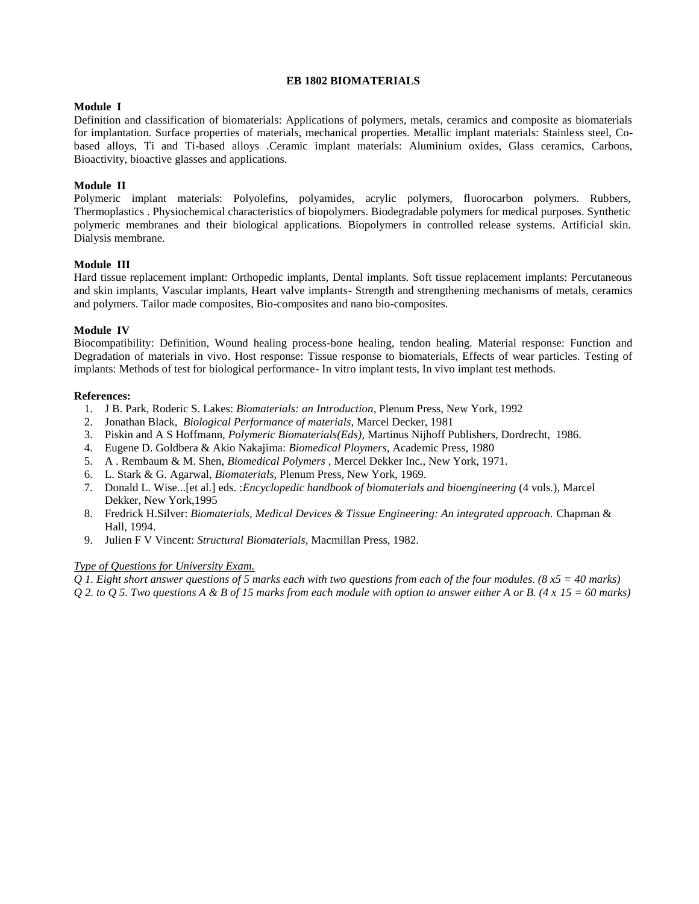# **EB 1802 BIOMATERIALS**

# **Module I**

Definition and classification of biomaterials: Applications of polymers, metals, ceramics and composite as biomaterials for implantation. Surface properties of materials, mechanical properties. Metallic implant materials: Stainless steel, Cobased alloys, Ti and Ti-based alloys .Ceramic implant materials: Aluminium oxides, Glass ceramics, Carbons, Bioactivity, bioactive glasses and applications.

# **Module II**

Polymeric implant materials: Polyolefins, polyamides, acrylic polymers, fluorocarbon polymers. Rubbers, Thermoplastics . Physiochemical characteristics of biopolymers. Biodegradable polymers for medical purposes. Synthetic polymeric membranes and their biological applications. Biopolymers in controlled release systems. Artificial skin. Dialysis membrane.

# **Module III**

Hard tissue replacement implant: Orthopedic implants, Dental implants. Soft tissue replacement implants: Percutaneous and skin implants, Vascular implants, Heart valve implants- Strength and strengthening mechanisms of metals, ceramics and polymers. Tailor made composites, Bio-composites and nano bio-composites.

# **Module IV**

Biocompatibility: Definition, Wound healing process-bone healing, tendon healing. Material response: Function and Degradation of materials in vivo. Host response: Tissue response to biomaterials, Effects of wear particles. Testing of implants: Methods of test for biological performance- In vitro implant tests, In vivo implant test methods.

# **References:**

- 1. J B. Park, Roderic S. Lakes: *Biomaterials: an Introduction*, Plenum Press, New York, 1992
- 2. Jonathan Black, *Biological Performance of materials*, Marcel Decker, 1981
- 3. Piskin and A S Hoffmann, *Polymeric Biomaterials(Eds)*, Martinus Nijhoff Publishers, Dordrecht, 1986.
- 4. Eugene D. Goldbera & Akio Nakajima: *Biomedical Ploymers*, Academic Press, 1980
- 5. A . Rembaum & M. Shen, *Biomedical Polymers* , Mercel Dekker Inc., New York, 1971.
- 6. L. Stark & G. Agarwal, *Biomaterials*, Plenum Press, New York, 1969.
- 7. Donald L. Wise...[et al.] eds. :*Encyclopedic handbook of biomaterials and bioengineering* (4 vols.), Marcel Dekker, New York,1995
- 8. Fredrick H.Silver: *Biomaterials, Medical Devices & Tissue Engineering: An integrated approach.* Chapman & Hall, 1994.
- 9. Julien F V Vincent: *Structural Biomaterials*, Macmillan Press, 1982.

# *Type of Questions for University Exam.*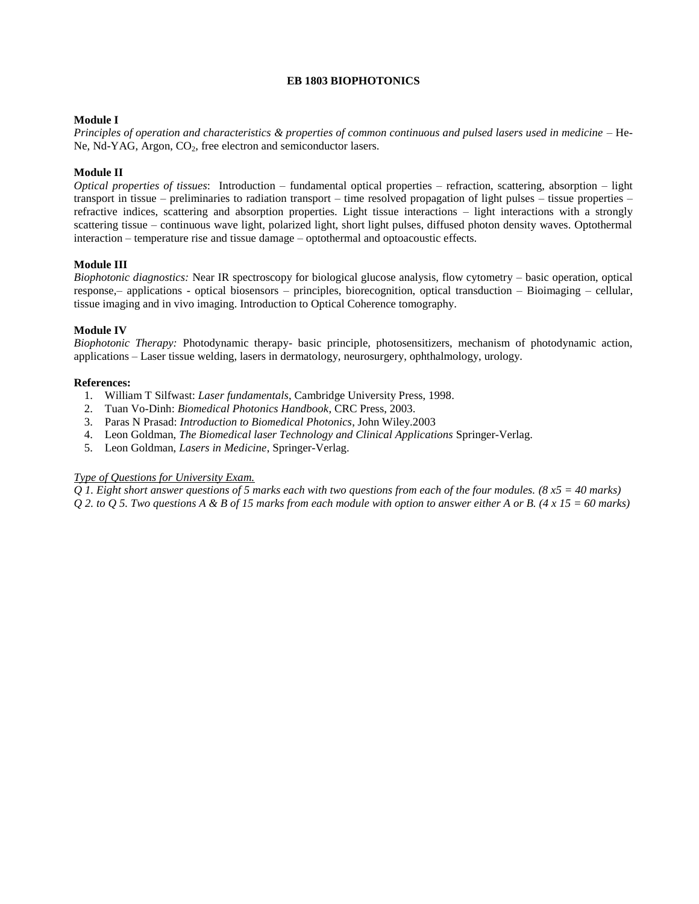# **EB 1803 BIOPHOTONICS**

# **Module I**

*Principles of operation and characteristics & properties of common continuous and pulsed lasers used in medicine* – He-Ne, Nd-YAG, Argon, CO<sub>2</sub>, free electron and semiconductor lasers.

## **Module II**

*Optical properties of tissues*: Introduction – fundamental optical properties – refraction, scattering, absorption – light transport in tissue – preliminaries to radiation transport – time resolved propagation of light pulses – tissue properties – refractive indices, scattering and absorption properties. Light tissue interactions – light interactions with a strongly scattering tissue – continuous wave light, polarized light, short light pulses, diffused photon density waves. Optothermal interaction – temperature rise and tissue damage – optothermal and optoacoustic effects.

### **Module III**

*Biophotonic diagnostics:* Near IR spectroscopy for biological glucose analysis, flow cytometry – basic operation, optical response,– applications - optical biosensors – principles, biorecognition, optical transduction – Bioimaging – cellular, tissue imaging and in vivo imaging. Introduction to Optical Coherence tomography.

### **Module IV**

*Biophotonic Therapy:* Photodynamic therapy- basic principle, photosensitizers, mechanism of photodynamic action, applications – Laser tissue welding, lasers in dermatology, neurosurgery, ophthalmology, urology.

### **References:**

- 1. William T Silfwast: *Laser fundamentals*, Cambridge University Press, 1998.
- 2. Tuan Vo-Dinh: *Biomedical Photonics Handbook*, CRC Press, 2003.
- 3. Paras N Prasad: *Introduction to Biomedical Photonics*, John Wiley.2003
- 4. Leon Goldman, *The Biomedical laser Technology and Clinical Applications* Springer-Verlag.
- 5. Leon Goldman, *Lasers in Medicine*, Springer-Verlag.

# *Type of Questions for University Exam.*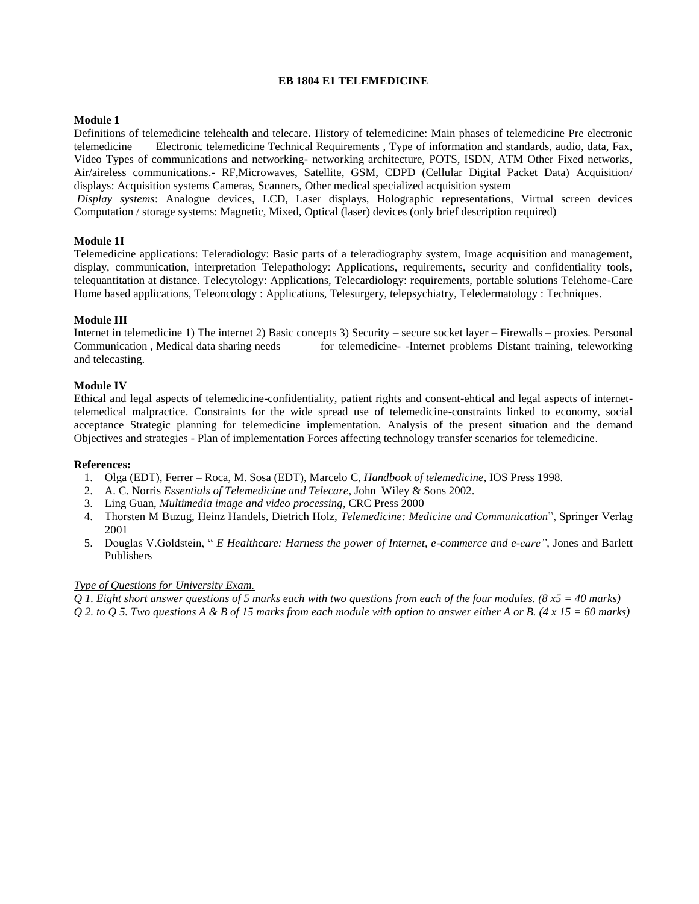## **EB 1804 E1 TELEMEDICINE**

## **Module 1**

Definitions of telemedicine telehealth and telecare**.** History of telemedicine: Main phases of telemedicine Pre electronic telemedicine Electronic telemedicine Technical Requirements , Type of information and standards, audio, data, Fax, Video Types of communications and networking- networking architecture, POTS, ISDN, ATM Other Fixed networks, Air/aireless communications.- RF,Microwaves, Satellite, GSM, CDPD (Cellular Digital Packet Data) Acquisition/ displays: Acquisition systems Cameras, Scanners, Other medical specialized acquisition system

*Display systems*: Analogue devices, LCD, Laser displays, Holographic representations, Virtual screen devices Computation / storage systems: Magnetic, Mixed, Optical (laser) devices (only brief description required)

### **Module 1I**

Telemedicine applications: Teleradiology: Basic parts of a teleradiography system, Image acquisition and management, display, communication, interpretation Telepathology: Applications, requirements, security and confidentiality tools, telequantitation at distance. Telecytology: Applications, Telecardiology: requirements, portable solutions Telehome-Care Home based applications, Teleoncology : Applications, Telesurgery, telepsychiatry, Teledermatology : Techniques.

### **Module III**

Internet in telemedicine 1) The internet 2) Basic concepts 3) Security – secure socket layer – Firewalls – proxies. Personal Communication, Medical data sharing needs for telemedicine- -Internet problems Distant training, teleworking and telecasting.

### **Module IV**

Ethical and legal aspects of telemedicine-confidentiality, patient rights and consent-ehtical and legal aspects of internettelemedical malpractice. Constraints for the wide spread use of telemedicine-constraints linked to economy, social acceptance Strategic planning for telemedicine implementation. Analysis of the present situation and the demand Objectives and strategies - Plan of implementation Forces affecting technology transfer scenarios for telemedicine.

#### **References:**

- 1. Olga (EDT), Ferrer Roca, M. Sosa (EDT), Marcelo C, *Handbook of telemedicine*, IOS Press 1998.
- 2. A. C. Norris *Essentials of Telemedicine and Telecare*, John Wiley & Sons 2002.
- 3. Ling Guan, *Multimedia image and video processing*, CRC Press 2000
- 4. Thorsten M Buzug, Heinz Handels, Dietrich Holz, *Telemedicine: Medicine and Communication*", Springer Verlag 2001
- 5. Douglas V.Goldstein, " *E Healthcare: Harness the power of Internet, e-commerce and e-care"*, Jones and Barlett Publishers

#### *Type of Questions for University Exam.*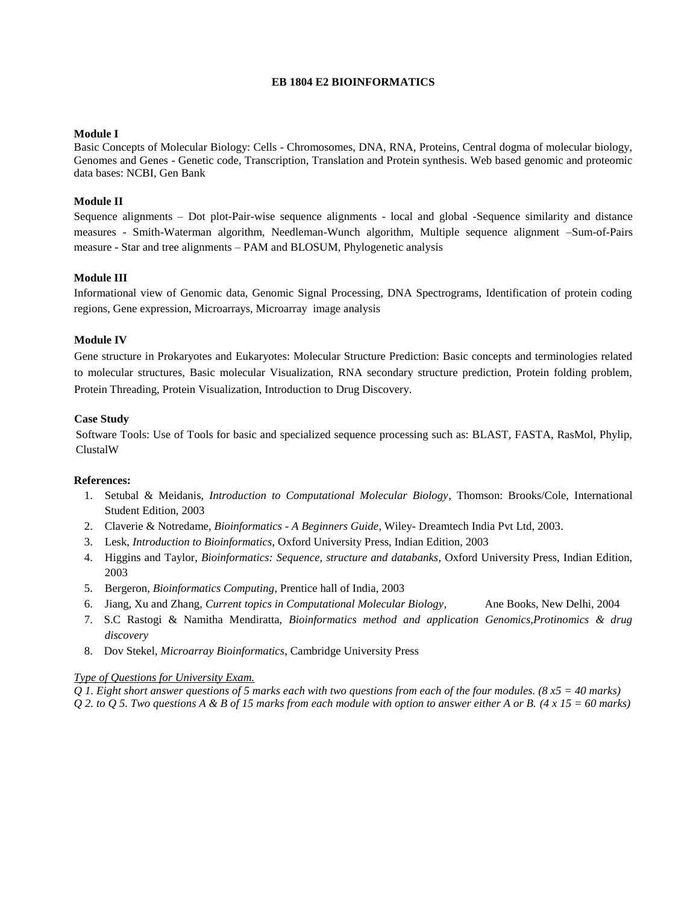### **EB 1804 E2 BIOINFORMATICS**

#### **Module I**

Basic Concepts of Molecular Biology: Cells - Chromosomes, DNA, RNA, Proteins, Central dogma of molecular biology, Genomes and Genes - Genetic code, Transcription, Translation and Protein synthesis. Web based genomic and proteomic data bases: NCBI, Gen Bank

## **Module II**

Sequence alignments – Dot plot-Pair-wise sequence alignments - local and global -Sequence similarity and distance measures - Smith-Waterman algorithm, Needleman-Wunch algorithm, Multiple sequence alignment –Sum-of-Pairs measure - Star and tree alignments – PAM and BLOSUM, Phylogenetic analysis

### **Module III**

Informational view of Genomic data, Genomic Signal Processing, DNA Spectrograms, Identification of protein coding regions, Gene expression, Microarrays, Microarray image analysis

#### **Module IV**

Gene structure in Prokaryotes and Eukaryotes: Molecular Structure Prediction: Basic concepts and terminologies related to molecular structures, Basic molecular Visualization, RNA secondary structure prediction, Protein folding problem, Protein Threading, Protein Visualization, Introduction to Drug Discovery.

### **Case Study**

Software Tools: Use of Tools for basic and specialized sequence processing such as: BLAST, FASTA, RasMol, Phylip, ClustalW

#### **References:**

- 1. Setubal & Meidanis, *Introduction to Computational Molecular Biology*, Thomson: Brooks/Cole, International Student Edition, 2003
- 2. Claverie & Notredame, *Bioinformatics - A Beginners Guide*, Wiley- Dreamtech India Pvt Ltd, 2003.
- 3. Lesk, *Introduction to Bioinformatics*, Oxford University Press, Indian Edition, 2003
- 4. Higgins and Taylor, *Bioinformatics: Sequence, structure and databanks*, Oxford University Press, Indian Edition, 2003
- 5. Bergeron, *Bioinformatics Computing*, Prentice hall of India, 2003
- 6. Jiang, Xu and Zhang, *Current topics in Computational Molecular Biology*, Ane Books, New Delhi, 2004
- 7. S.C Rastogi & Namitha Mendiratta, *Bioinformatics method and application Genomics,Protinomics & drug discovery*
- 8. Dov Stekel, *Microarray Bioinformatics*, Cambridge University Press

#### *Type of Questions for University Exam.*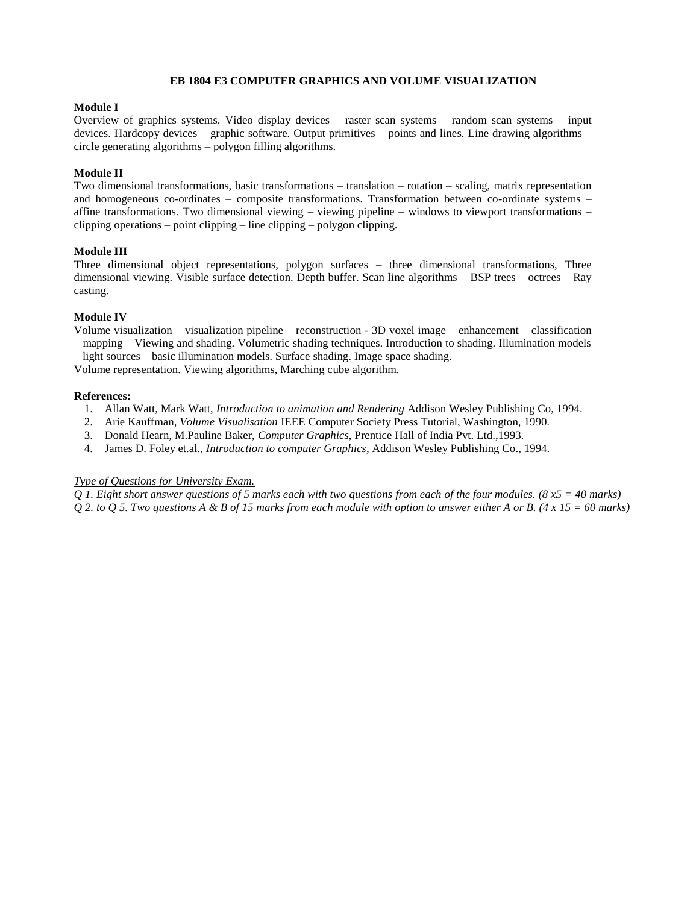### **EB 1804 E3 COMPUTER GRAPHICS AND VOLUME VISUALIZATION**

#### **Module I**

Overview of graphics systems. Video display devices – raster scan systems – random scan systems – input devices. Hardcopy devices – graphic software. Output primitives – points and lines. Line drawing algorithms – circle generating algorithms – polygon filling algorithms.

# **Module II**

Two dimensional transformations, basic transformations – translation – rotation – scaling, matrix representation and homogeneous co-ordinates – composite transformations. Transformation between co-ordinate systems – affine transformations. Two dimensional viewing – viewing pipeline – windows to viewport transformations – clipping operations – point clipping – line clipping – polygon clipping.

### **Module III**

Three dimensional object representations, polygon surfaces – three dimensional transformations, Three dimensional viewing. Visible surface detection. Depth buffer. Scan line algorithms – BSP trees – octrees – Ray casting.

### **Module IV**

Volume visualization – visualization pipeline – reconstruction - 3D voxel image – enhancement – classification – mapping – Viewing and shading. Volumetric shading techniques. Introduction to shading. Illumination models – light sources – basic illumination models. Surface shading. Image space shading.

Volume representation. Viewing algorithms, Marching cube algorithm.

### **References:**

- 1. Allan Watt, Mark Watt, *Introduction to animation and Rendering* Addison Wesley Publishing Co, 1994.
- 2. Arie Kauffman*, Volume Visualisation* IEEE Computer Society Press Tutorial, Washington, 1990.
- 3. Donald Hearn, M.Pauline Baker, *Computer Graphics*, Prentice Hall of India Pvt. Ltd.,1993.
- 4. James D. Foley et.al., *Introduction to computer Graphics*, Addison Wesley Publishing Co., 1994.

# *Type of Questions for University Exam.*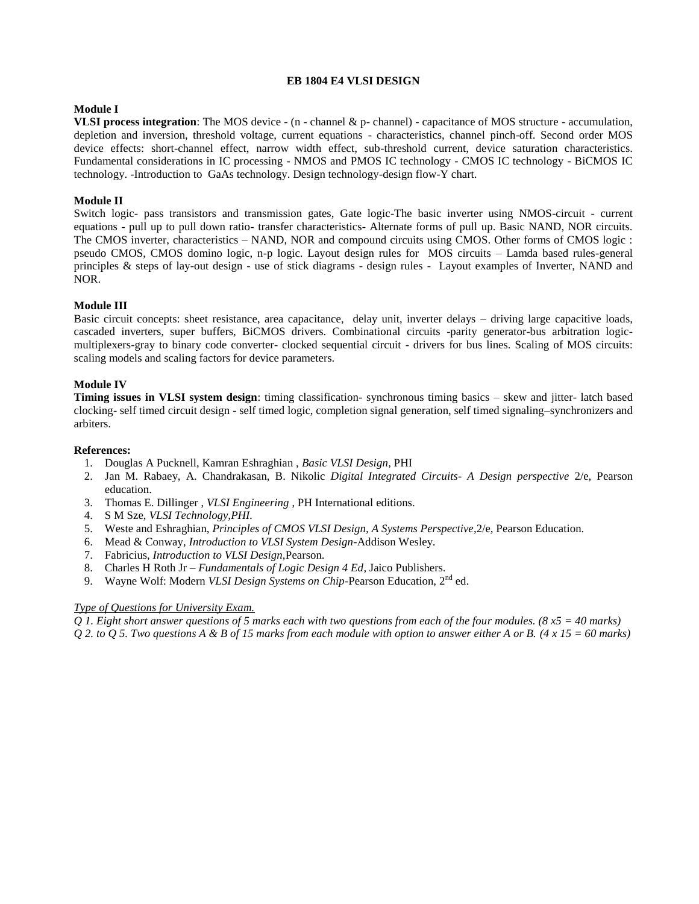# **EB 1804 E4 VLSI DESIGN**

# **Module I**

**VLSI process integration**: The MOS device - (n - channel & p- channel) - capacitance of MOS structure - accumulation, depletion and inversion, threshold voltage, current equations - characteristics, channel pinch-off. Second order MOS device effects: short-channel effect, narrow width effect, sub-threshold current, device saturation characteristics. Fundamental considerations in IC processing - NMOS and PMOS IC technology - CMOS IC technology - BiCMOS IC technology. -Introduction to GaAs technology. Design technology-design flow-Y chart.

# **Module II**

Switch logic- pass transistors and transmission gates, Gate logic-The basic inverter using NMOS-circuit - current equations - pull up to pull down ratio- transfer characteristics- Alternate forms of pull up. Basic NAND, NOR circuits. The CMOS inverter, characteristics – NAND, NOR and compound circuits using CMOS. Other forms of CMOS logic : pseudo CMOS, CMOS domino logic, n-p logic. Layout design rules for MOS circuits – Lamda based rules-general principles & steps of lay-out design - use of stick diagrams - design rules - Layout examples of Inverter, NAND and NOR.

# **Module III**

Basic circuit concepts: sheet resistance, area capacitance, delay unit, inverter delays – driving large capacitive loads, cascaded inverters, super buffers, BiCMOS drivers. Combinational circuits -parity generator-bus arbitration logicmultiplexers-gray to binary code converter- clocked sequential circuit - drivers for bus lines. Scaling of MOS circuits: scaling models and scaling factors for device parameters.

### **Module IV**

**Timing issues in VLSI system design**: timing classification- synchronous timing basics – skew and jitter- latch based clocking- self timed circuit design - self timed logic, completion signal generation, self timed signaling–synchronizers and arbiters.

### **References:**

- 1. Douglas A Pucknell, Kamran Eshraghian , *Basic VLSI Design*, PHI
- 2. Jan M. Rabaey, A. Chandrakasan, B. Nikolic *Digital Integrated Circuits- A Design perspective* 2/e, Pearson education.
- 3. Thomas E. Dillinger , *VLSI Engineering* , PH International editions.
- 4. S M Sze, *VLSI Technology,PHI.*
- 5. Weste and Eshraghian, *Principles of CMOS VLSI Design, A Systems Perspective*,2/e, Pearson Education.
- 6. Mead & Conway, *Introduction to VLSI System Design*-Addison Wesley.
- 7. Fabricius, *Introduction to VLSI Design,*Pearson.
- 8. Charles H Roth Jr *Fundamentals of Logic Design 4 Ed*, Jaico Publishers.
- 9. Wayne Wolf: Modern *VLSI Design Systems on Chip*-Pearson Education, 2<sup>nd</sup> ed.

### *Type of Questions for University Exam.*

*Q 1. Eight short answer questions of 5 marks each with two questions from each of the four modules. (8 x5 = 40 marks) Q 2. to Q 5. Two questions A & B of 15 marks from each module with option to answer either A or B. (4 x 15 = 60 marks)*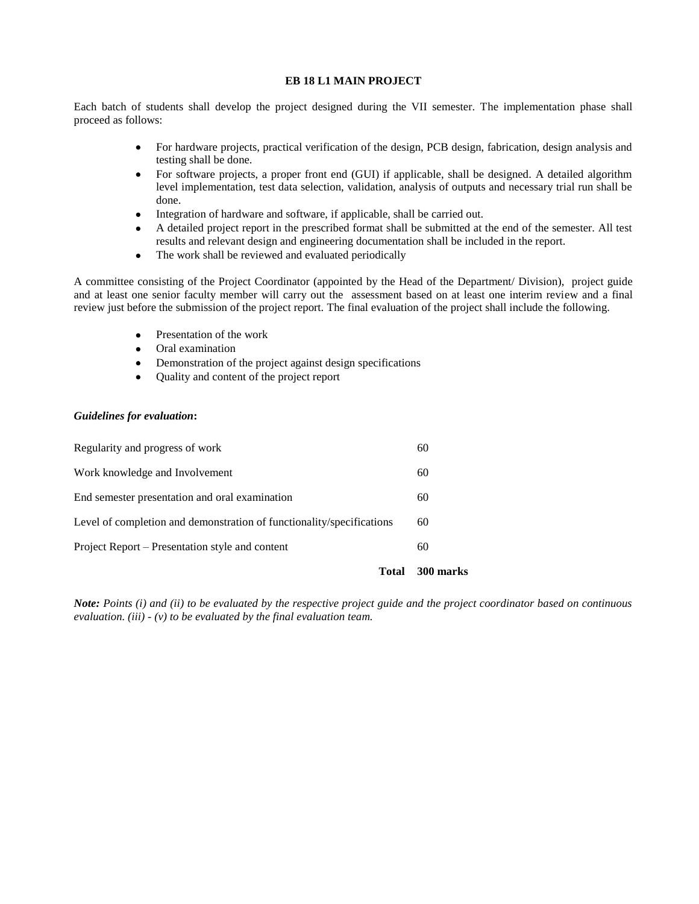# **EB 18 L1 MAIN PROJECT**

Each batch of students shall develop the project designed during the VII semester. The implementation phase shall proceed as follows:

- For hardware projects, practical verification of the design, PCB design, fabrication, design analysis and testing shall be done.
- For software projects, a proper front end (GUI) if applicable, shall be designed. A detailed algorithm level implementation, test data selection, validation, analysis of outputs and necessary trial run shall be done.
- Integration of hardware and software, if applicable, shall be carried out.
- A detailed project report in the prescribed format shall be submitted at the end of the semester. All test results and relevant design and engineering documentation shall be included in the report.
- The work shall be reviewed and evaluated periodically

A committee consisting of the Project Coordinator (appointed by the Head of the Department/ Division), project guide and at least one senior faculty member will carry out the assessment based on at least one interim review and a final review just before the submission of the project report. The final evaluation of the project shall include the following.

- Presentation of the work
- Oral examination
- Demonstration of the project against design specifications
- Quality and content of the project report

# *Guidelines for evaluation***:**

| Total                                                                 | 300 marks |
|-----------------------------------------------------------------------|-----------|
| Project Report – Presentation style and content                       | 60        |
| Level of completion and demonstration of functionality/specifications | 60        |
| End semester presentation and oral examination                        | 60        |
| Work knowledge and Involvement                                        | 60        |
| Regularity and progress of work                                       | 60        |

*Note: Points (i) and (ii) to be evaluated by the respective project guide and the project coordinator based on continuous evaluation. (iii) - (v) to be evaluated by the final evaluation team.*